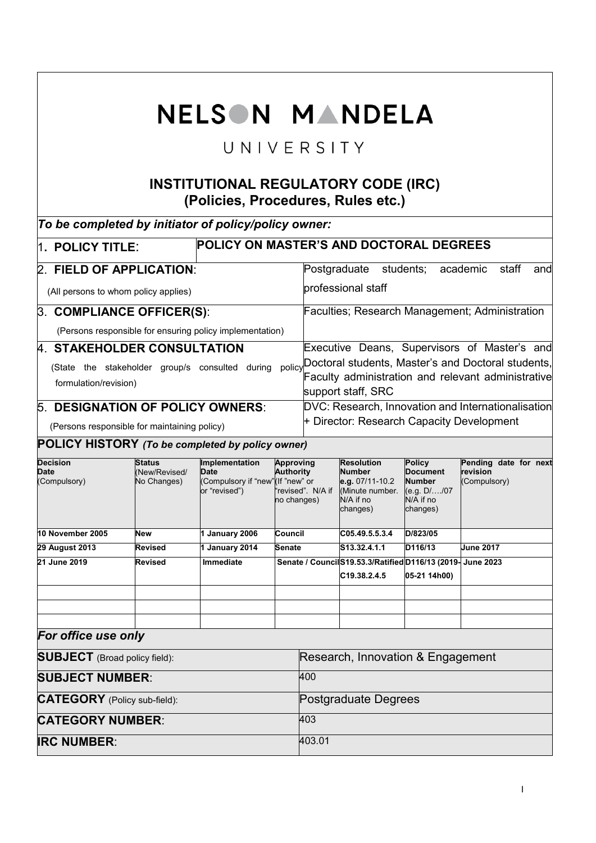|                                                                                                                               |                                                                    | NELSON MANDELA                                                                     |                                                                   |                                                                                                                                |                                                                                                   |                                                                                              |                                                   |  |  |  |  |
|-------------------------------------------------------------------------------------------------------------------------------|--------------------------------------------------------------------|------------------------------------------------------------------------------------|-------------------------------------------------------------------|--------------------------------------------------------------------------------------------------------------------------------|---------------------------------------------------------------------------------------------------|----------------------------------------------------------------------------------------------|---------------------------------------------------|--|--|--|--|
| UNIVERSITY                                                                                                                    |                                                                    |                                                                                    |                                                                   |                                                                                                                                |                                                                                                   |                                                                                              |                                                   |  |  |  |  |
| <b>INSTITUTIONAL REGULATORY CODE (IRC)</b><br>(Policies, Procedures, Rules etc.)                                              |                                                                    |                                                                                    |                                                                   |                                                                                                                                |                                                                                                   |                                                                                              |                                                   |  |  |  |  |
| To be completed by initiator of policy/policy owner:                                                                          |                                                                    |                                                                                    |                                                                   |                                                                                                                                |                                                                                                   |                                                                                              |                                                   |  |  |  |  |
|                                                                                                                               | <b>POLICY ON MASTER'S AND DOCTORAL DEGREES</b><br>1. POLICY TITLE: |                                                                                    |                                                                   |                                                                                                                                |                                                                                                   |                                                                                              |                                                   |  |  |  |  |
| 2. FIELD OF APPLICATION:                                                                                                      |                                                                    |                                                                                    |                                                                   | Postgraduate students;<br>academic<br>staff<br>and                                                                             |                                                                                                   |                                                                                              |                                                   |  |  |  |  |
| (All persons to whom policy applies)                                                                                          |                                                                    |                                                                                    |                                                                   |                                                                                                                                | professional staff                                                                                |                                                                                              |                                                   |  |  |  |  |
| 3. COMPLIANCE OFFICER(S):                                                                                                     |                                                                    |                                                                                    |                                                                   |                                                                                                                                | Faculties; Research Management; Administration                                                    |                                                                                              |                                                   |  |  |  |  |
| (Persons responsible for ensuring policy implementation)                                                                      |                                                                    |                                                                                    |                                                                   |                                                                                                                                |                                                                                                   |                                                                                              |                                                   |  |  |  |  |
| 4. STAKEHOLDER CONSULTATION                                                                                                   |                                                                    |                                                                                    |                                                                   |                                                                                                                                |                                                                                                   |                                                                                              | Executive Deans, Supervisors of Master's and      |  |  |  |  |
| (State the stakeholder group/s consulted during<br>policy<br>formulation/revision)<br><b>5. DESIGNATION OF POLICY OWNERS:</b> |                                                                    |                                                                                    |                                                                   | Doctoral students, Master's and Doctoral students,<br>Faculty administration and relevant administrative<br>support staff, SRC |                                                                                                   |                                                                                              |                                                   |  |  |  |  |
| (Persons responsible for maintaining policy)                                                                                  |                                                                    |                                                                                    |                                                                   | DVC: Research, Innovation and Internationalisation<br>+ Director: Research Capacity Development                                |                                                                                                   |                                                                                              |                                                   |  |  |  |  |
| POLICY HISTORY (To be completed by policy owner)                                                                              |                                                                    |                                                                                    |                                                                   |                                                                                                                                |                                                                                                   |                                                                                              |                                                   |  |  |  |  |
| <b>Decision</b><br>Date<br>(Compulsory)                                                                                       | Status<br>(New/Revised/<br>No Changes)                             | Implementation<br><b>Date</b><br>(Compulsory if "new"(If "new" or<br>or "revised") | <b>Approving</b><br>Authority<br>"revised". N/A if<br>no changes) |                                                                                                                                | <b>Resolution</b><br><b>Number</b><br>e.g. 07/11-10.2<br>(Minute number.<br>N/A if no<br>changes) | <b>Policy</b><br><b>Document</b><br><b>Number</b><br>$(e.g. D/$ /07<br>N/A if no<br>changes) | Pending date for next<br>revision<br>(Compulsory) |  |  |  |  |
| 10 November 2005                                                                                                              | New                                                                | 1 January 2006                                                                     | Council                                                           |                                                                                                                                | C05.49.5.5.3.4                                                                                    | D/823/05                                                                                     |                                                   |  |  |  |  |
| <b>29 August 2013</b><br>21 June 2019                                                                                         | Revised                                                            | 1 January 2014                                                                     | Senate                                                            |                                                                                                                                | S <sub>13.32</sub> .4.1.1                                                                         | D116/13                                                                                      | <b>June 2017</b>                                  |  |  |  |  |
|                                                                                                                               | Revised                                                            | <b>Immediate</b>                                                                   |                                                                   |                                                                                                                                | Senate / Council S19.53.3/Ratified D116/13 (2019- June 2023<br>C19.38.2.4.5                       | 05-21 14h00)                                                                                 |                                                   |  |  |  |  |
|                                                                                                                               |                                                                    |                                                                                    |                                                                   |                                                                                                                                |                                                                                                   |                                                                                              |                                                   |  |  |  |  |
|                                                                                                                               |                                                                    |                                                                                    |                                                                   |                                                                                                                                |                                                                                                   |                                                                                              |                                                   |  |  |  |  |
| For office use only                                                                                                           |                                                                    |                                                                                    |                                                                   |                                                                                                                                |                                                                                                   |                                                                                              |                                                   |  |  |  |  |
| <b>SUBJECT</b> (Broad policy field):                                                                                          |                                                                    |                                                                                    |                                                                   | Research, Innovation & Engagement                                                                                              |                                                                                                   |                                                                                              |                                                   |  |  |  |  |
| <b>SUBJECT NUMBER:</b>                                                                                                        |                                                                    |                                                                                    |                                                                   | 400                                                                                                                            |                                                                                                   |                                                                                              |                                                   |  |  |  |  |
| <b>CATEGORY</b> (Policy sub-field):                                                                                           |                                                                    |                                                                                    |                                                                   | Postgraduate Degrees                                                                                                           |                                                                                                   |                                                                                              |                                                   |  |  |  |  |
| <b>CATEGORY NUMBER:</b>                                                                                                       |                                                                    |                                                                                    |                                                                   | 403                                                                                                                            |                                                                                                   |                                                                                              |                                                   |  |  |  |  |
| <b>IRC NUMBER:</b>                                                                                                            |                                                                    |                                                                                    |                                                                   | 403.01                                                                                                                         |                                                                                                   |                                                                                              |                                                   |  |  |  |  |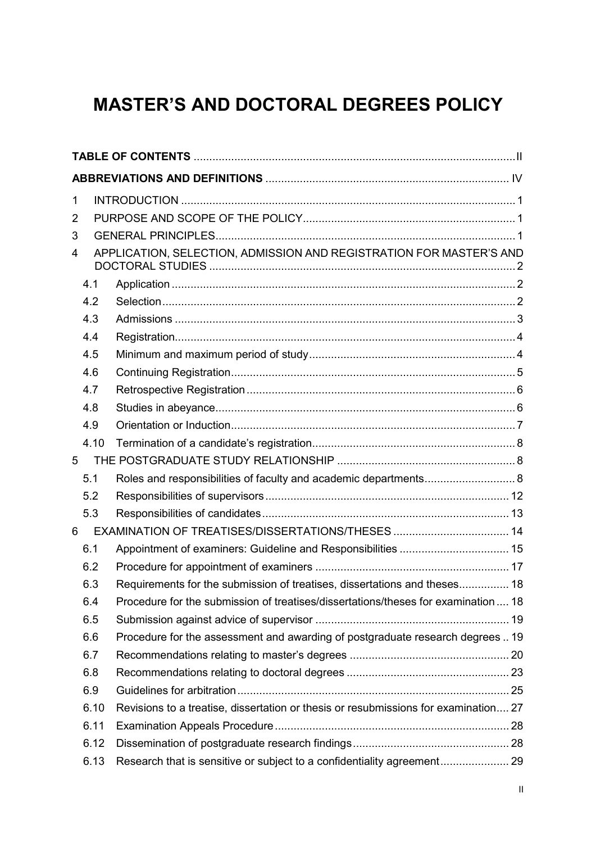# **MASTER'S AND DOCTORAL DEGREES POLICY**

| 1 |      |                                                                                     |  |
|---|------|-------------------------------------------------------------------------------------|--|
| 2 |      |                                                                                     |  |
| 3 |      |                                                                                     |  |
| 4 |      | APPLICATION, SELECTION, ADMISSION AND REGISTRATION FOR MASTER'S AND                 |  |
|   | 4.1  |                                                                                     |  |
|   | 4.2  |                                                                                     |  |
|   | 4.3  |                                                                                     |  |
|   | 4.4  |                                                                                     |  |
|   | 4.5  |                                                                                     |  |
|   | 4.6  |                                                                                     |  |
|   | 4.7  |                                                                                     |  |
|   | 4.8  |                                                                                     |  |
|   | 4.9  |                                                                                     |  |
|   | 4.10 |                                                                                     |  |
| 5 |      |                                                                                     |  |
|   | 5.1  | Roles and responsibilities of faculty and academic departments 8                    |  |
|   | 5.2  |                                                                                     |  |
|   | 5.3  |                                                                                     |  |
| 6 |      |                                                                                     |  |
|   | 6.1  | Appointment of examiners: Guideline and Responsibilities  15                        |  |
|   | 6.2  |                                                                                     |  |
|   | 6.3  | Requirements for the submission of treatises, dissertations and theses 18           |  |
|   | 6.4  | Procedure for the submission of treatises/dissertations/theses for examination  18  |  |
|   | 6.5  |                                                                                     |  |
|   | 6.6  | Procedure for the assessment and awarding of postgraduate research degrees  19      |  |
|   | 6.7  |                                                                                     |  |
|   | 6.8  |                                                                                     |  |
|   | 6.9  |                                                                                     |  |
|   | 6.10 | Revisions to a treatise, dissertation or thesis or resubmissions for examination 27 |  |
|   | 6.11 |                                                                                     |  |
|   | 6.12 |                                                                                     |  |
|   | 6.13 |                                                                                     |  |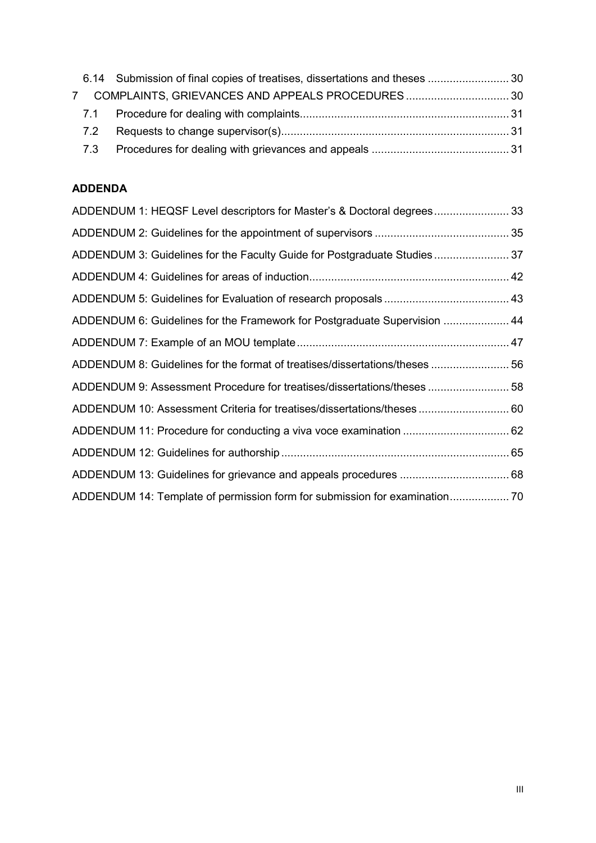|  | 6.14 Submission of final copies of treatises, dissertations and theses  30 |  |
|--|----------------------------------------------------------------------------|--|
|  |                                                                            |  |
|  |                                                                            |  |
|  |                                                                            |  |
|  |                                                                            |  |

## **ADDENDA**

| ADDENDUM 1: HEQSF Level descriptors for Master's & Doctoral degrees 33      |  |
|-----------------------------------------------------------------------------|--|
|                                                                             |  |
| ADDENDUM 3: Guidelines for the Faculty Guide for Postgraduate Studies37     |  |
|                                                                             |  |
|                                                                             |  |
| ADDENDUM 6: Guidelines for the Framework for Postgraduate Supervision  44   |  |
|                                                                             |  |
| ADDENDUM 8: Guidelines for the format of treatises/dissertations/theses  56 |  |
| ADDENDUM 9: Assessment Procedure for treatises/dissertations/theses  58     |  |
| ADDENDUM 10: Assessment Criteria for treatises/dissertations/theses  60     |  |
|                                                                             |  |
|                                                                             |  |
|                                                                             |  |
|                                                                             |  |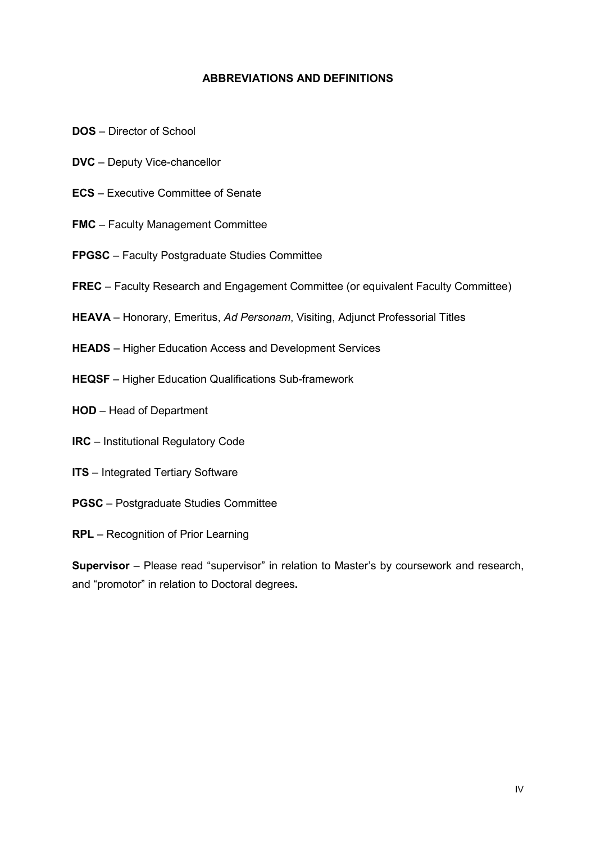#### **ABBREVIATIONS AND DEFINITIONS**

- **DOS**  Director of School
- **DVC** Deputy Vice-chancellor
- **ECS** Executive Committee of Senate
- **FMC** Faculty Management Committee
- **FPGSC**  Faculty Postgraduate Studies Committee
- **FREC** Faculty Research and Engagement Committee (or equivalent Faculty Committee)
- **HEAVA** Honorary, Emeritus, *Ad Personam*, Visiting, Adjunct Professorial Titles
- **HEADS** Higher Education Access and Development Services
- **HEQSF** Higher Education Qualifications Sub-framework
- **HOD** Head of Department
- **IRC**  Institutional Regulatory Code
- **ITS** Integrated Tertiary Software
- **PGSC** Postgraduate Studies Committee
- **RPL** Recognition of Prior Learning

**Supervisor** – Please read "supervisor" in relation to Master's by coursework and research, and "promotor" in relation to Doctoral degrees**.**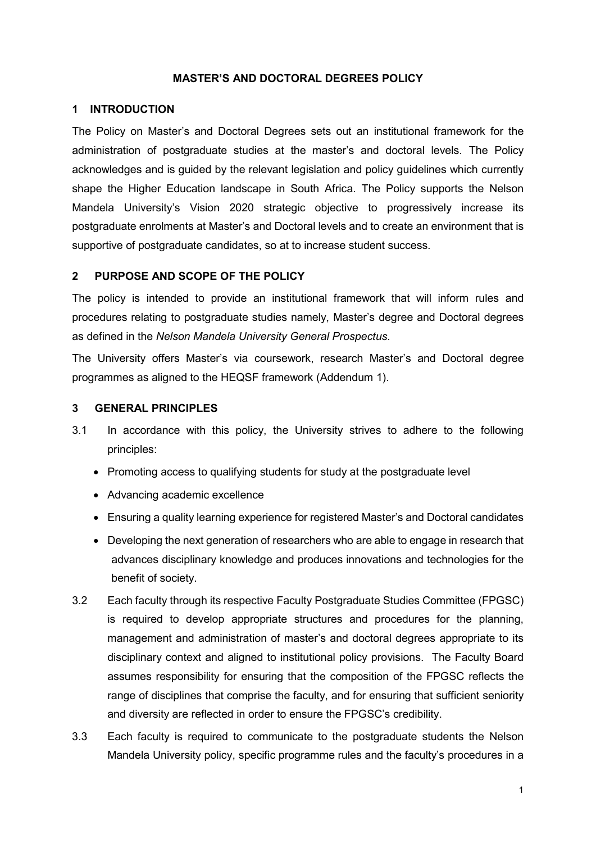#### **MASTER'S AND DOCTORAL DEGREES POLICY**

#### <span id="page-4-0"></span>**1 INTRODUCTION**

The Policy on Master's and Doctoral Degrees sets out an institutional framework for the administration of postgraduate studies at the master's and doctoral levels. The Policy acknowledges and is guided by the relevant legislation and policy guidelines which currently shape the Higher Education landscape in South Africa. The Policy supports the Nelson Mandela University's Vision 2020 strategic objective to progressively increase its postgraduate enrolments at Master's and Doctoral levels and to create an environment that is supportive of postgraduate candidates, so at to increase student success.

#### <span id="page-4-1"></span>**2 PURPOSE AND SCOPE OF THE POLICY**

The policy is intended to provide an institutional framework that will inform rules and procedures relating to postgraduate studies namely, Master's degree and Doctoral degrees as defined in the *Nelson Mandela University General Prospectus*.

The University offers Master's via coursework, research Master's and Doctoral degree programmes as aligned to the HEQSF framework (Addendum 1).

#### <span id="page-4-2"></span>**3 GENERAL PRINCIPLES**

- 3.1 In accordance with this policy, the University strives to adhere to the following principles:
	- Promoting access to qualifying students for study at the postgraduate level
	- Advancing academic excellence
	- Ensuring a quality learning experience for registered Master's and Doctoral candidates
	- Developing the next generation of researchers who are able to engage in research that advances disciplinary knowledge and produces innovations and technologies for the benefit of society.
- 3.2 Each faculty through its respective Faculty Postgraduate Studies Committee (FPGSC) is required to develop appropriate structures and procedures for the planning, management and administration of master's and doctoral degrees appropriate to its disciplinary context and aligned to institutional policy provisions. The Faculty Board assumes responsibility for ensuring that the composition of the FPGSC reflects the range of disciplines that comprise the faculty, and for ensuring that sufficient seniority and diversity are reflected in order to ensure the FPGSC's credibility.
- 3.3 Each faculty is required to communicate to the postgraduate students the Nelson Mandela University policy, specific programme rules and the faculty's procedures in a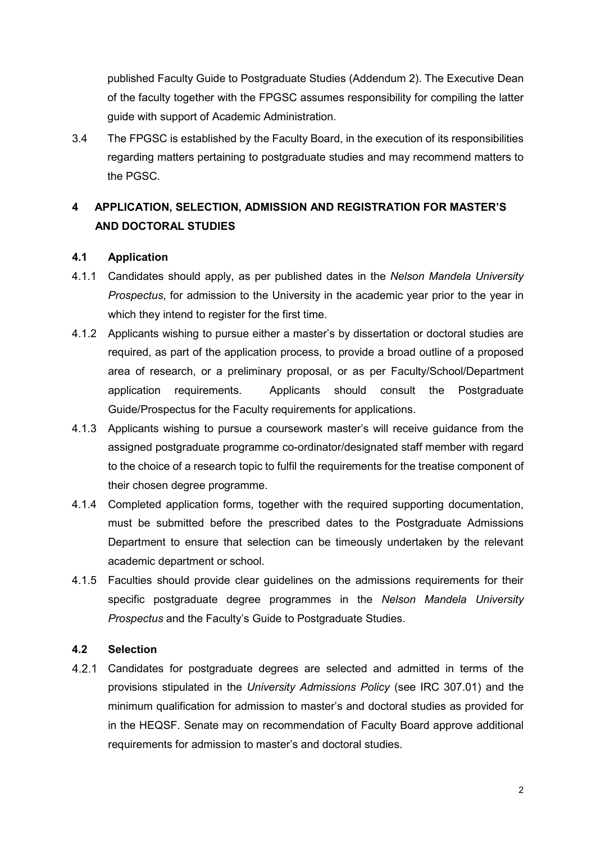published Faculty Guide to Postgraduate Studies (Addendum 2). The Executive Dean of the faculty together with the FPGSC assumes responsibility for compiling the latter guide with support of Academic Administration.

3.4 The FPGSC is established by the Faculty Board, in the execution of its responsibilities regarding matters pertaining to postgraduate studies and may recommend matters to the PGSC.

# <span id="page-5-0"></span>**4 APPLICATION, SELECTION, ADMISSION AND REGISTRATION FOR MASTER'S AND DOCTORAL STUDIES**

## <span id="page-5-1"></span>**4.1 Application**

- 4.1.1 Candidates should apply, as per published dates in the *Nelson Mandela University Prospectus*, for admission to the University in the academic year prior to the year in which they intend to register for the first time.
- 4.1.2 Applicants wishing to pursue either a master's by dissertation or doctoral studies are required, as part of the application process, to provide a broad outline of a proposed area of research, or a preliminary proposal, or as per Faculty/School/Department application requirements. Applicants should consult the Postgraduate Guide/Prospectus for the Faculty requirements for applications.
- 4.1.3 Applicants wishing to pursue a coursework master's will receive guidance from the assigned postgraduate programme co-ordinator/designated staff member with regard to the choice of a research topic to fulfil the requirements for the treatise component of their chosen degree programme.
- 4.1.4 Completed application forms, together with the required supporting documentation, must be submitted before the prescribed dates to the Postgraduate Admissions Department to ensure that selection can be timeously undertaken by the relevant academic department or school.
- 4.1.5 Faculties should provide clear guidelines on the admissions requirements for their specific postgraduate degree programmes in the *Nelson Mandela University Prospectus* and the Faculty's Guide to Postgraduate Studies.

## <span id="page-5-2"></span>**4.2 Selection**

 $4.2.1$ Candidates for postgraduate degrees are selected and admitted in terms of the provisions stipulated in the *University Admissions Policy* (see IRC 307.01) and the minimum qualification for admission to master's and doctoral studies as provided for in the HEQSF. Senate may on recommendation of Faculty Board approve additional requirements for admission to master's and doctoral studies.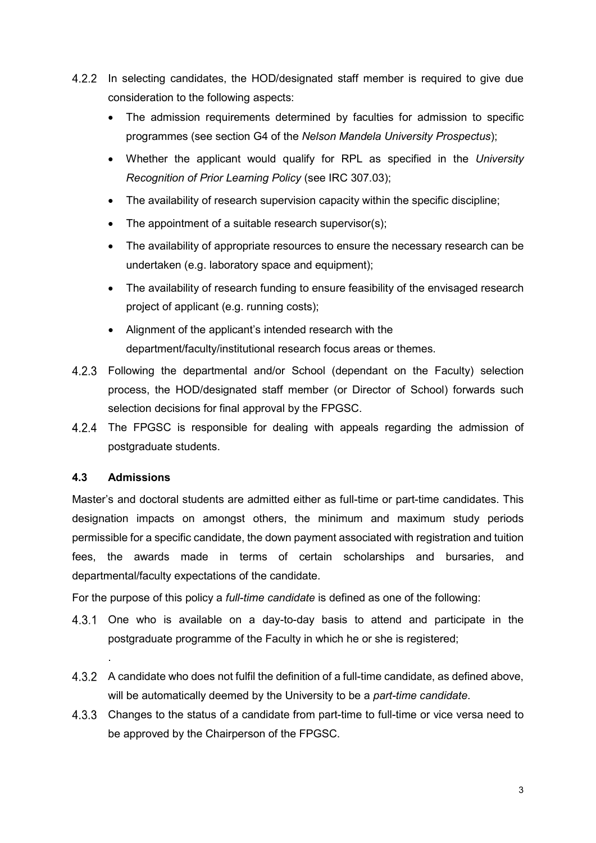- In selecting candidates, the HOD/designated staff member is required to give due consideration to the following aspects:
	- The admission requirements determined by faculties for admission to specific programmes (see section G4 of the *Nelson Mandela University Prospectus*);
	- Whether the applicant would qualify for RPL as specified in the *University Recognition of Prior Learning Policy* (see IRC 307.03);
	- The availability of research supervision capacity within the specific discipline;
	- The appointment of a suitable research supervisor(s);
	- The availability of appropriate resources to ensure the necessary research can be undertaken (e.g. laboratory space and equipment);
	- The availability of research funding to ensure feasibility of the envisaged research project of applicant (e.g. running costs);
	- Alignment of the applicant's intended research with the department/faculty/institutional research focus areas or themes.
- Following the departmental and/or School (dependant on the Faculty) selection process, the HOD/designated staff member (or Director of School) forwards such selection decisions for final approval by the FPGSC.
- 4.2.4 The FPGSC is responsible for dealing with appeals regarding the admission of postgraduate students.

## <span id="page-6-0"></span>**4.3 Admissions**

.

Master's and doctoral students are admitted either as full-time or part-time candidates. This designation impacts on amongst others, the minimum and maximum study periods permissible for a specific candidate, the down payment associated with registration and tuition fees, the awards made in terms of certain scholarships and bursaries, and departmental/faculty expectations of the candidate.

For the purpose of this policy a *full-time candidate* is defined as one of the following:

- 4.3.1 One who is available on a day-to-day basis to attend and participate in the postgraduate programme of the Faculty in which he or she is registered;
- A candidate who does not fulfil the definition of a full-time candidate, as defined above, will be automatically deemed by the University to be a *part-time candidate*.
- Changes to the status of a candidate from part-time to full-time or vice versa need to be approved by the Chairperson of the FPGSC.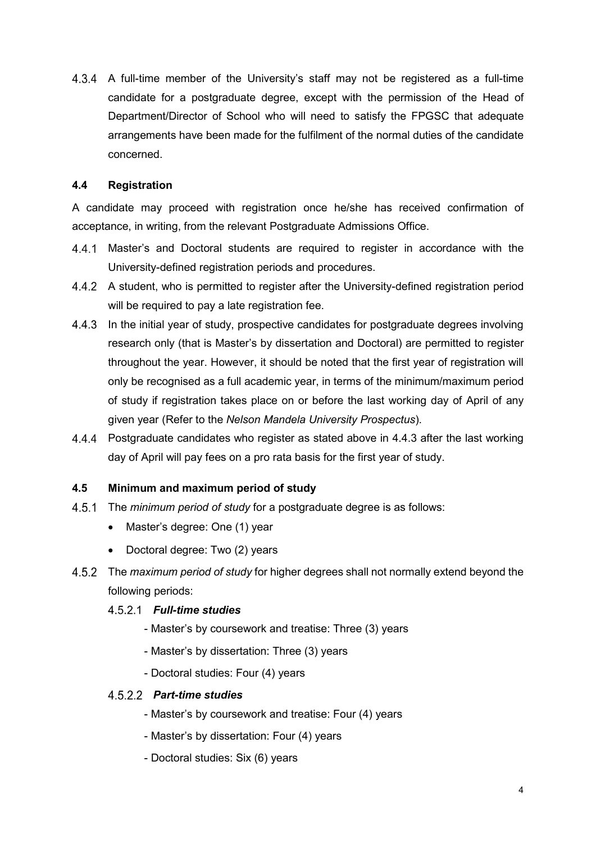A full-time member of the University's staff may not be registered as a full-time candidate for a postgraduate degree, except with the permission of the Head of Department/Director of School who will need to satisfy the FPGSC that adequate arrangements have been made for the fulfilment of the normal duties of the candidate concerned.

## <span id="page-7-0"></span>**4.4 Registration**

A candidate may proceed with registration once he/she has received confirmation of acceptance, in writing, from the relevant Postgraduate Admissions Office.

- Master's and Doctoral students are required to register in accordance with the University-defined registration periods and procedures.
- 4.4.2 A student, who is permitted to register after the University-defined registration period will be required to pay a late registration fee.
- 4.4.3 In the initial year of study, prospective candidates for postgraduate degrees involving research only (that is Master's by dissertation and Doctoral) are permitted to register throughout the year. However, it should be noted that the first year of registration will only be recognised as a full academic year, in terms of the minimum/maximum period of study if registration takes place on or before the last working day of April of any given year (Refer to the *Nelson Mandela University Prospectus*).
- Postgraduate candidates who register as stated above in 4.4.3 after the last working day of April will pay fees on a pro rata basis for the first year of study.

## <span id="page-7-1"></span>**4.5 Minimum and maximum period of study**

- The *minimum period of study* for a postgraduate degree is as follows:
	- Master's degree: One (1) year
	- Doctoral degree: Two (2) years
- The *maximum period of study* for higher degrees shall not normally extend beyond the following periods:

## *Full-time studies*

- Master's by coursework and treatise: Three (3) years
- Master's by dissertation: Three (3) years
- Doctoral studies: Four (4) years

## *Part-time studies*

- Master's by coursework and treatise: Four (4) years
- Master's by dissertation: Four (4) years
- Doctoral studies: Six (6) years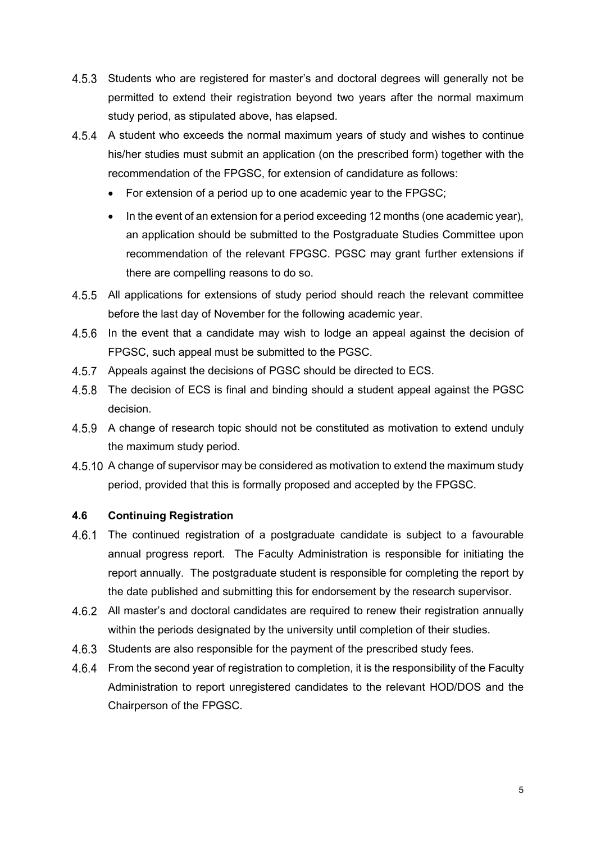- 4.5.3 Students who are registered for master's and doctoral degrees will generally not be permitted to extend their registration beyond two years after the normal maximum study period, as stipulated above, has elapsed.
- A student who exceeds the normal maximum years of study and wishes to continue his/her studies must submit an application (on the prescribed form) together with the recommendation of the FPGSC, for extension of candidature as follows:
	- For extension of a period up to one academic year to the FPGSC;
	- In the event of an extension for a period exceeding 12 months (one academic year), an application should be submitted to the Postgraduate Studies Committee upon recommendation of the relevant FPGSC. PGSC may grant further extensions if there are compelling reasons to do so.
- All applications for extensions of study period should reach the relevant committee before the last day of November for the following academic year.
- 4.5.6 In the event that a candidate may wish to lodge an appeal against the decision of FPGSC, such appeal must be submitted to the PGSC.
- 4.5.7 Appeals against the decisions of PGSC should be directed to ECS.
- 4.5.8 The decision of ECS is final and binding should a student appeal against the PGSC decision.
- A change of research topic should not be constituted as motivation to extend unduly the maximum study period.
- A change of supervisor may be considered as motivation to extend the maximum study period, provided that this is formally proposed and accepted by the FPGSC.

## <span id="page-8-0"></span>**4.6 Continuing Registration**

- $4.6.1$ The continued registration of a postgraduate candidate is subject to a favourable annual progress report. The Faculty Administration is responsible for initiating the report annually. The postgraduate student is responsible for completing the report by the date published and submitting this for endorsement by the research supervisor.
- All master's and doctoral candidates are required to renew their registration annually within the periods designated by the university until completion of their studies.
- 4.6.3 Students are also responsible for the payment of the prescribed study fees.
- 4.6.4 From the second year of registration to completion, it is the responsibility of the Faculty Administration to report unregistered candidates to the relevant HOD/DOS and the Chairperson of the FPGSC.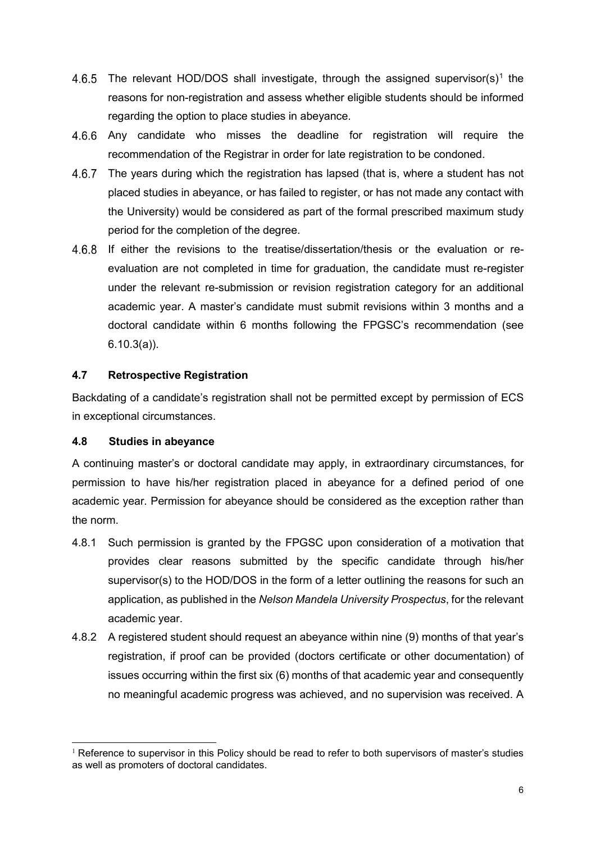- 4.6.5 The relevant HOD/DOS shall investigate, through the assigned supervisor(s)<sup>[1](#page-9-2)</sup> the reasons for non-registration and assess whether eligible students should be informed regarding the option to place studies in abeyance.
- Any candidate who misses the deadline for registration will require the recommendation of the Registrar in order for late registration to be condoned.
- 4.6.7 The years during which the registration has lapsed (that is, where a student has not placed studies in abeyance, or has failed to register, or has not made any contact with the University) would be considered as part of the formal prescribed maximum study period for the completion of the degree.
- If either the revisions to the treatise/dissertation/thesis or the evaluation or reevaluation are not completed in time for graduation, the candidate must re-register under the relevant re-submission or revision registration category for an additional academic year. A master's candidate must submit revisions within 3 months and a doctoral candidate within 6 months following the FPGSC's recommendation (see 6.10.3(a)).

## <span id="page-9-0"></span>**4.7 Retrospective Registration**

Backdating of a candidate's registration shall not be permitted except by permission of ECS in exceptional circumstances.

## <span id="page-9-1"></span>**4.8 Studies in abeyance**

A continuing master's or doctoral candidate may apply, in extraordinary circumstances, for permission to have his/her registration placed in abeyance for a defined period of one academic year. Permission for abeyance should be considered as the exception rather than the norm.

- 4.8.1 Such permission is granted by the FPGSC upon consideration of a motivation that provides clear reasons submitted by the specific candidate through his/her supervisor(s) to the HOD/DOS in the form of a letter outlining the reasons for such an application, as published in the *Nelson Mandela University Prospectus*, for the relevant academic year.
- 4.8.2 A registered student should request an abeyance within nine (9) months of that year's registration, if proof can be provided (doctors certificate or other documentation) of issues occurring within the first six (6) months of that academic year and consequently no meaningful academic progress was achieved, and no supervision was received. A

<span id="page-9-2"></span><sup>-</sup> $1$  Reference to supervisor in this Policy should be read to refer to both supervisors of master's studies as well as promoters of doctoral candidates.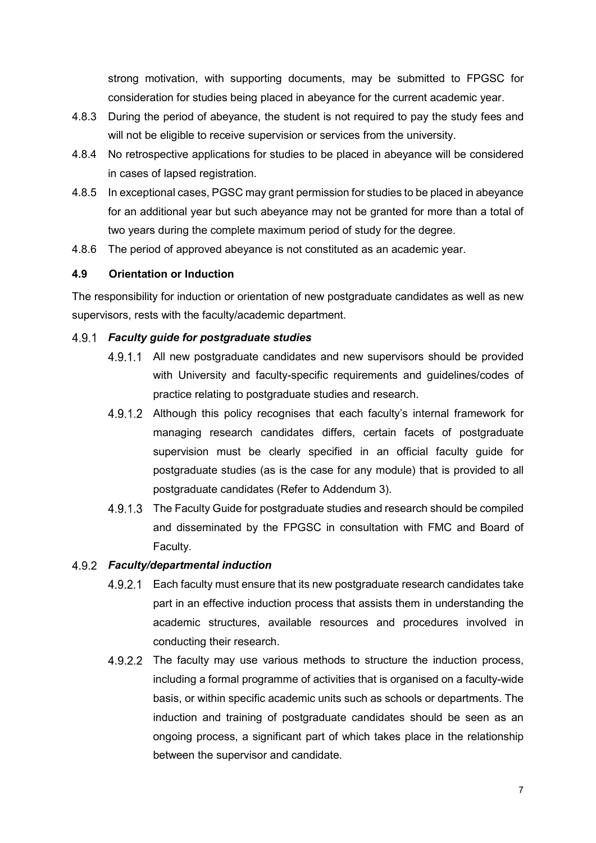strong motivation, with supporting documents, may be submitted to FPGSC for consideration for studies being placed in abeyance for the current academic year.

- 4.8.3 During the period of abeyance, the student is not required to pay the study fees and will not be eligible to receive supervision or services from the university.
- 4.8.4 No retrospective applications for studies to be placed in abeyance will be considered in cases of lapsed registration.
- 4.8.5 In exceptional cases, PGSC may grant permission for studies to be placed in abeyance for an additional year but such abeyance may not be granted for more than a total of two years during the complete maximum period of study for the degree.
- 4.8.6 The period of approved abeyance is not constituted as an academic year.

## <span id="page-10-0"></span>**4.9 Orientation or Induction**

The responsibility for induction or orientation of new postgraduate candidates as well as new supervisors, rests with the faculty/academic department.

## *Faculty guide for postgraduate studies*

- 4.9.1.1 All new postgraduate candidates and new supervisors should be provided with University and faculty-specific requirements and guidelines/codes of practice relating to postgraduate studies and research.
- 4.9.1.2 Although this policy recognises that each faculty's internal framework for managing research candidates differs, certain facets of postgraduate supervision must be clearly specified in an official faculty guide for postgraduate studies (as is the case for any module) that is provided to all postgraduate candidates (Refer to Addendum 3).
- 4.9.1.3 The Faculty Guide for postgraduate studies and research should be compiled and disseminated by the FPGSC in consultation with FMC and Board of Faculty.

## *Faculty/departmental induction*

- 4.9.2.1 Each faculty must ensure that its new postgraduate research candidates take part in an effective induction process that assists them in understanding the academic structures, available resources and procedures involved in conducting their research.
- 4.9.2.2 The faculty may use various methods to structure the induction process, including a formal programme of activities that is organised on a faculty-wide basis, or within specific academic units such as schools or departments. The induction and training of postgraduate candidates should be seen as an ongoing process, a significant part of which takes place in the relationship between the supervisor and candidate.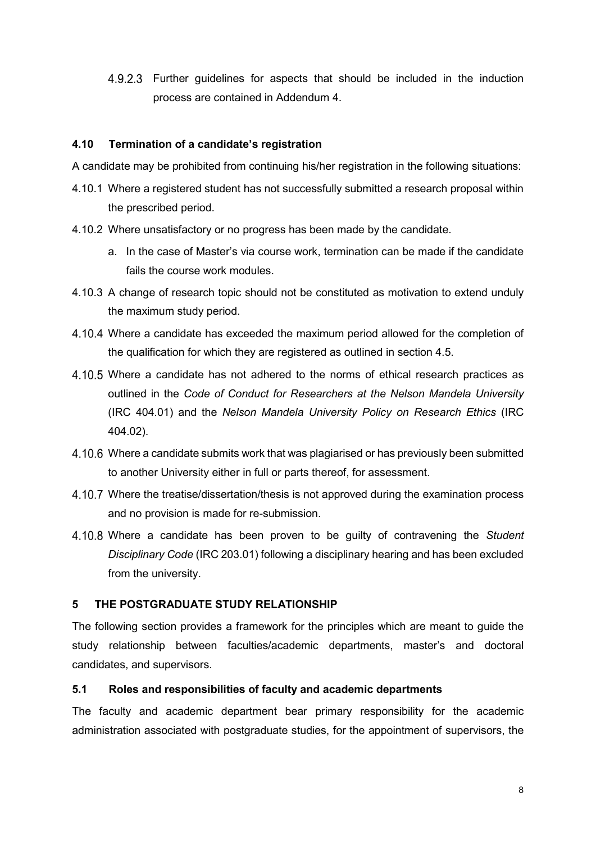Further guidelines for aspects that should be included in the induction process are contained in Addendum 4.

## <span id="page-11-0"></span>**4.10 Termination of a candidate's registration**

A candidate may be prohibited from continuing his/her registration in the following situations:

- 4.10.1 Where a registered student has not successfully submitted a research proposal within the prescribed period.
- 4.10.2 Where unsatisfactory or no progress has been made by the candidate.
	- a. In the case of Master's via course work, termination can be made if the candidate fails the course work modules.
- 4.10.3 A change of research topic should not be constituted as motivation to extend unduly the maximum study period.
- Where a candidate has exceeded the maximum period allowed for the completion of the qualification for which they are registered as outlined in section 4.5.
- Where a candidate has not adhered to the norms of ethical research practices as outlined in the *Code of Conduct for Researchers at the Nelson Mandela University* (IRC 404.01) and the *Nelson Mandela University Policy on Research Ethics* (IRC 404.02).
- Where a candidate submits work that was plagiarised or has previously been submitted to another University either in full or parts thereof, for assessment.
- Where the treatise/dissertation/thesis is not approved during the examination process and no provision is made for re-submission.
- Where a candidate has been proven to be guilty of contravening the *Student Disciplinary Code* (IRC 203.01) following a disciplinary hearing and has been excluded from the university.

## <span id="page-11-1"></span>**5 THE POSTGRADUATE STUDY RELATIONSHIP**

The following section provides a framework for the principles which are meant to guide the study relationship between faculties/academic departments, master's and doctoral candidates, and supervisors.

## <span id="page-11-2"></span>**5.1 Roles and responsibilities of faculty and academic departments**

The faculty and academic department bear primary responsibility for the academic administration associated with postgraduate studies, for the appointment of supervisors, the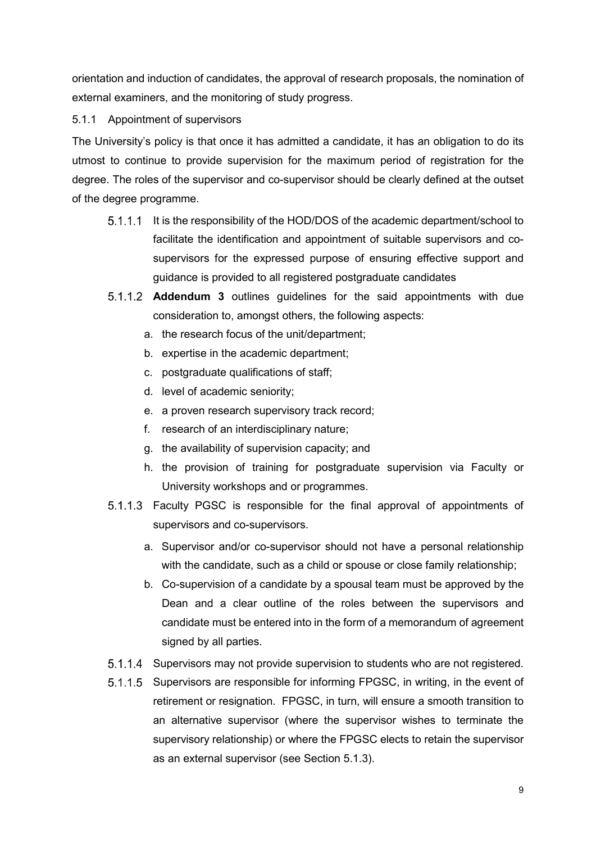orientation and induction of candidates, the approval of research proposals, the nomination of external examiners, and the monitoring of study progress.

5.1.1 Appointment of supervisors

The University's policy is that once it has admitted a candidate, it has an obligation to do its utmost to continue to provide supervision for the maximum period of registration for the degree. The roles of the supervisor and co-supervisor should be clearly defined at the outset of the degree programme.

- 5.1.1.1 It is the responsibility of the HOD/DOS of the academic department/school to facilitate the identification and appointment of suitable supervisors and cosupervisors for the expressed purpose of ensuring effective support and guidance is provided to all registered postgraduate candidates
- **Addendum 3** outlines guidelines for the said appointments with due consideration to, amongst others, the following aspects:
	- a. the research focus of the unit/department;
	- b. expertise in the academic department;
	- c. postgraduate qualifications of staff;
	- d. level of academic seniority;
	- e. a proven research supervisory track record;
	- f. research of an interdisciplinary nature;
	- g. the availability of supervision capacity; and
	- h. the provision of training for postgraduate supervision via Faculty or University workshops and or programmes.
- Faculty PGSC is responsible for the final approval of appointments of supervisors and co-supervisors.
	- a. Supervisor and/or co-supervisor should not have a personal relationship with the candidate, such as a child or spouse or close family relationship;
	- b. Co-supervision of a candidate by a spousal team must be approved by the Dean and a clear outline of the roles between the supervisors and candidate must be entered into in the form of a memorandum of agreement signed by all parties.
- 5.1.1.4 Supervisors may not provide supervision to students who are not registered.
- 5.1.1.5 Supervisors are responsible for informing FPGSC, in writing, in the event of retirement or resignation. FPGSC, in turn, will ensure a smooth transition to an alternative supervisor (where the supervisor wishes to terminate the supervisory relationship) or where the FPGSC elects to retain the supervisor as an external supervisor (see Section 5.1.3).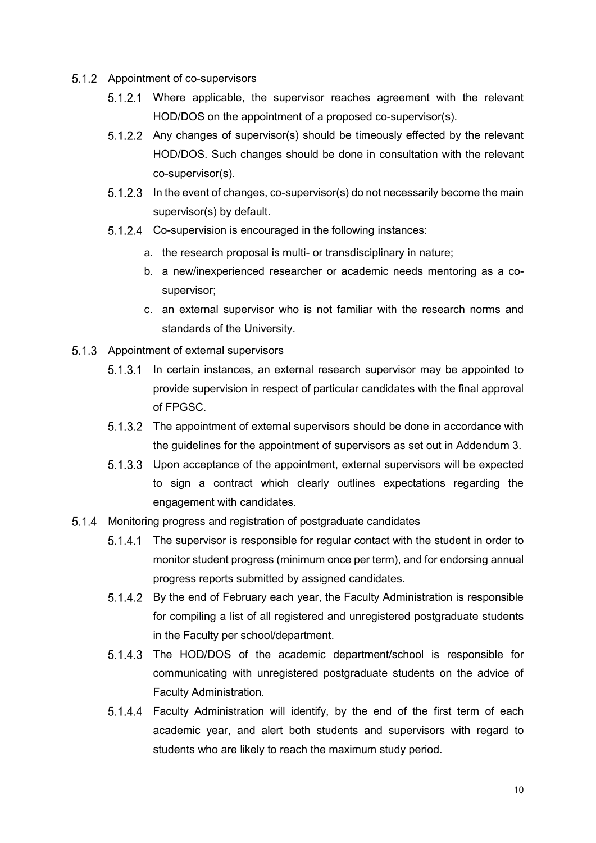- 5.1.2 Appointment of co-supervisors
	- Where applicable, the supervisor reaches agreement with the relevant HOD/DOS on the appointment of a proposed co-supervisor(s).
	- 5.1.2.2 Any changes of supervisor(s) should be timeously effected by the relevant HOD/DOS. Such changes should be done in consultation with the relevant co-supervisor(s).
	- 5.1.2.3 In the event of changes, co-supervisor(s) do not necessarily become the main supervisor(s) by default.
	- 5.1.2.4 Co-supervision is encouraged in the following instances:
		- a. the research proposal is multi- or transdisciplinary in nature;
		- b. a new/inexperienced researcher or academic needs mentoring as a cosupervisor;
		- c. an external supervisor who is not familiar with the research norms and standards of the University.
- 5.1.3 Appointment of external supervisors
	- In certain instances, an external research supervisor may be appointed to provide supervision in respect of particular candidates with the final approval of FPGSC.
	- 5.1.3.2 The appointment of external supervisors should be done in accordance with the guidelines for the appointment of supervisors as set out in Addendum 3.
	- 5.1.3.3 Upon acceptance of the appointment, external supervisors will be expected to sign a contract which clearly outlines expectations regarding the engagement with candidates.
- 5.1.4 Monitoring progress and registration of postgraduate candidates
	- 5.1.4.1 The supervisor is responsible for regular contact with the student in order to monitor student progress (minimum once per term), and for endorsing annual progress reports submitted by assigned candidates.
	- By the end of February each year, the Faculty Administration is responsible for compiling a list of all registered and unregistered postgraduate students in the Faculty per school/department.
	- 5.1.4.3 The HOD/DOS of the academic department/school is responsible for communicating with unregistered postgraduate students on the advice of Faculty Administration.
	- 5.1.4.4 Faculty Administration will identify, by the end of the first term of each academic year, and alert both students and supervisors with regard to students who are likely to reach the maximum study period.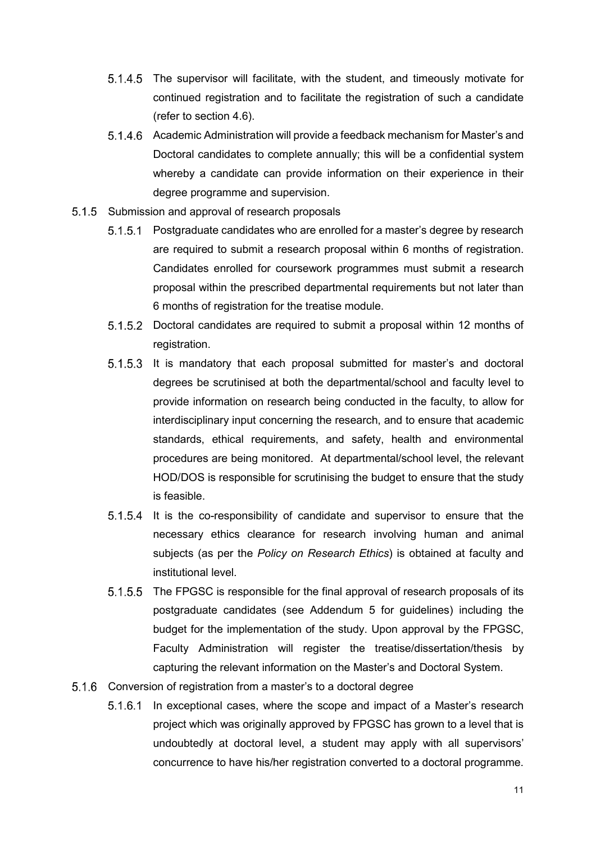- 5.1.4.5 The supervisor will facilitate, with the student, and timeously motivate for continued registration and to facilitate the registration of such a candidate (refer to section 4.6).
- 5.1.4.6 Academic Administration will provide a feedback mechanism for Master's and Doctoral candidates to complete annually; this will be a confidential system whereby a candidate can provide information on their experience in their degree programme and supervision.
- 5.1.5 Submission and approval of research proposals
	- 5.1.5.1 Postgraduate candidates who are enrolled for a master's degree by research are required to submit a research proposal within 6 months of registration. Candidates enrolled for coursework programmes must submit a research proposal within the prescribed departmental requirements but not later than 6 months of registration for the treatise module.
	- 5.1.5.2 Doctoral candidates are required to submit a proposal within 12 months of registration.
	- 5.1.5.3 It is mandatory that each proposal submitted for master's and doctoral degrees be scrutinised at both the departmental/school and faculty level to provide information on research being conducted in the faculty, to allow for interdisciplinary input concerning the research, and to ensure that academic standards, ethical requirements, and safety, health and environmental procedures are being monitored. At departmental/school level, the relevant HOD/DOS is responsible for scrutinising the budget to ensure that the study is feasible.
	- 5.1.5.4 It is the co-responsibility of candidate and supervisor to ensure that the necessary ethics clearance for research involving human and animal subjects (as per the *Policy on Research Ethics*) is obtained at faculty and institutional level.
	- 5.1.5.5 The FPGSC is responsible for the final approval of research proposals of its postgraduate candidates (see Addendum 5 for guidelines) including the budget for the implementation of the study. Upon approval by the FPGSC, Faculty Administration will register the treatise/dissertation/thesis by capturing the relevant information on the Master's and Doctoral System.
- 5.1.6 Conversion of registration from a master's to a doctoral degree
	- 5.1.6.1 In exceptional cases, where the scope and impact of a Master's research project which was originally approved by FPGSC has grown to a level that is undoubtedly at doctoral level, a student may apply with all supervisors' concurrence to have his/her registration converted to a doctoral programme.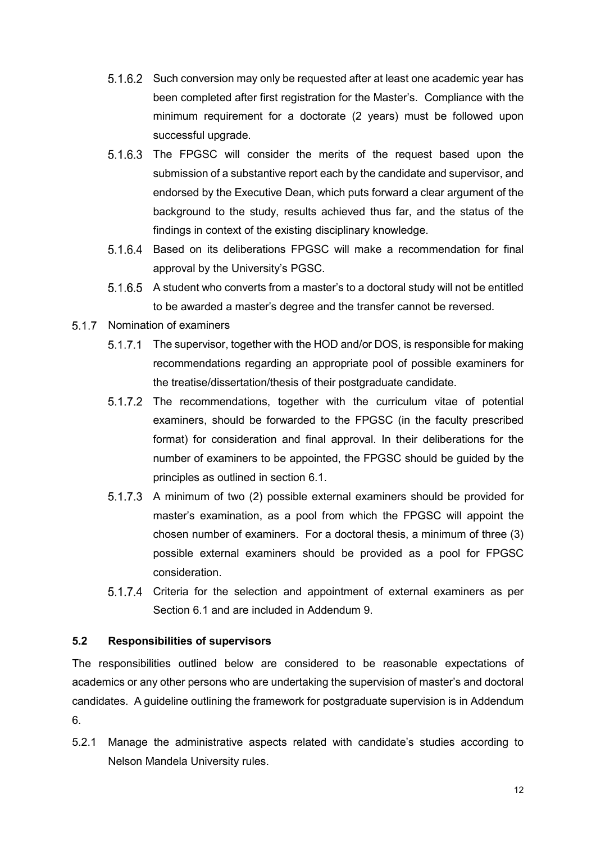- 5.1.6.2 Such conversion may only be requested after at least one academic year has been completed after first registration for the Master's. Compliance with the minimum requirement for a doctorate (2 years) must be followed upon successful upgrade.
- 5.1.6.3 The FPGSC will consider the merits of the request based upon the submission of a substantive report each by the candidate and supervisor, and endorsed by the Executive Dean, which puts forward a clear argument of the background to the study, results achieved thus far, and the status of the findings in context of the existing disciplinary knowledge.
- Based on its deliberations FPGSC will make a recommendation for final approval by the University's PGSC.
- 5.1.6.5 A student who converts from a master's to a doctoral study will not be entitled to be awarded a master's degree and the transfer cannot be reversed.
- 5.1.7 Nomination of examiners
	- 5.1.7.1 The supervisor, together with the HOD and/or DOS, is responsible for making recommendations regarding an appropriate pool of possible examiners for the treatise/dissertation/thesis of their postgraduate candidate.
	- 5.1.7.2 The recommendations, together with the curriculum vitae of potential examiners, should be forwarded to the FPGSC (in the faculty prescribed format) for consideration and final approval. In their deliberations for the number of examiners to be appointed, the FPGSC should be guided by the principles as outlined in section 6.1.
	- 5.1.7.3 A minimum of two (2) possible external examiners should be provided for master's examination, as a pool from which the FPGSC will appoint the chosen number of examiners. For a doctoral thesis, a minimum of three (3) possible external examiners should be provided as a pool for FPGSC consideration.
	- 5.1.7.4 Criteria for the selection and appointment of external examiners as per Section 6.1 and are included in Addendum 9.

## <span id="page-15-0"></span>**5.2 Responsibilities of supervisors**

The responsibilities outlined below are considered to be reasonable expectations of academics or any other persons who are undertaking the supervision of master's and doctoral candidates. A guideline outlining the framework for postgraduate supervision is in Addendum 6.

5.2.1 Manage the administrative aspects related with candidate's studies according to Nelson Mandela University rules.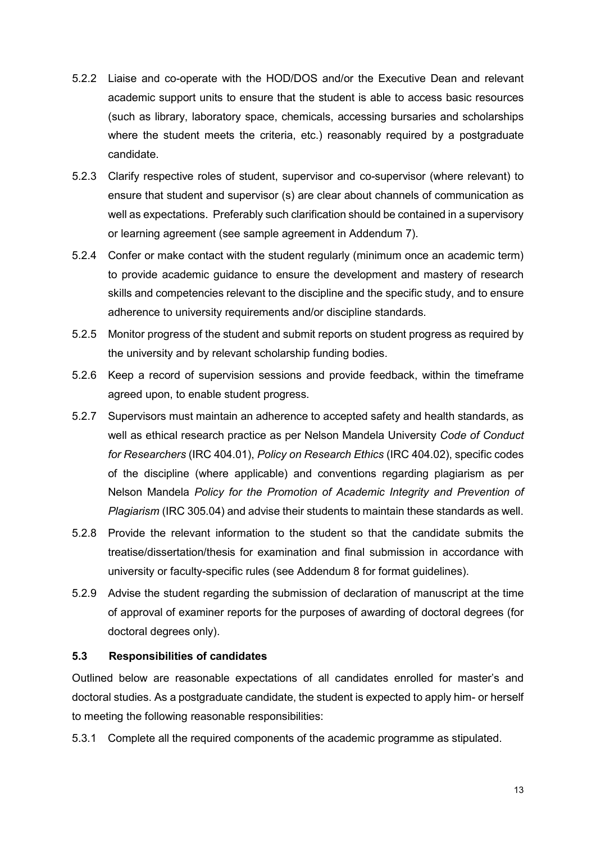- 5.2.2 Liaise and co-operate with the HOD/DOS and/or the Executive Dean and relevant academic support units to ensure that the student is able to access basic resources (such as library, laboratory space, chemicals, accessing bursaries and scholarships where the student meets the criteria, etc.) reasonably required by a postgraduate candidate.
- 5.2.3 Clarify respective roles of student, supervisor and co-supervisor (where relevant) to ensure that student and supervisor (s) are clear about channels of communication as well as expectations. Preferably such clarification should be contained in a supervisory or learning agreement (see sample agreement in Addendum 7).
- 5.2.4 Confer or make contact with the student regularly (minimum once an academic term) to provide academic guidance to ensure the development and mastery of research skills and competencies relevant to the discipline and the specific study, and to ensure adherence to university requirements and/or discipline standards.
- 5.2.5 Monitor progress of the student and submit reports on student progress as required by the university and by relevant scholarship funding bodies.
- 5.2.6 Keep a record of supervision sessions and provide feedback, within the timeframe agreed upon, to enable student progress.
- 5.2.7 Supervisors must maintain an adherence to accepted safety and health standards, as well as ethical research practice as per Nelson Mandela University *Code of Conduct for Researchers* (IRC 404.01), *Policy on Research Ethics* (IRC 404.02), specific codes of the discipline (where applicable) and conventions regarding plagiarism as per Nelson Mandela *Policy for the Promotion of Academic Integrity and Prevention of Plagiarism* (IRC 305.04) and advise their students to maintain these standards as well.
- 5.2.8 Provide the relevant information to the student so that the candidate submits the treatise/dissertation/thesis for examination and final submission in accordance with university or faculty-specific rules (see Addendum 8 for format guidelines).
- 5.2.9 Advise the student regarding the submission of declaration of manuscript at the time of approval of examiner reports for the purposes of awarding of doctoral degrees (for doctoral degrees only).

## <span id="page-16-0"></span>**5.3 Responsibilities of candidates**

Outlined below are reasonable expectations of all candidates enrolled for master's and doctoral studies. As a postgraduate candidate, the student is expected to apply him- or herself to meeting the following reasonable responsibilities:

5.3.1 Complete all the required components of the academic programme as stipulated.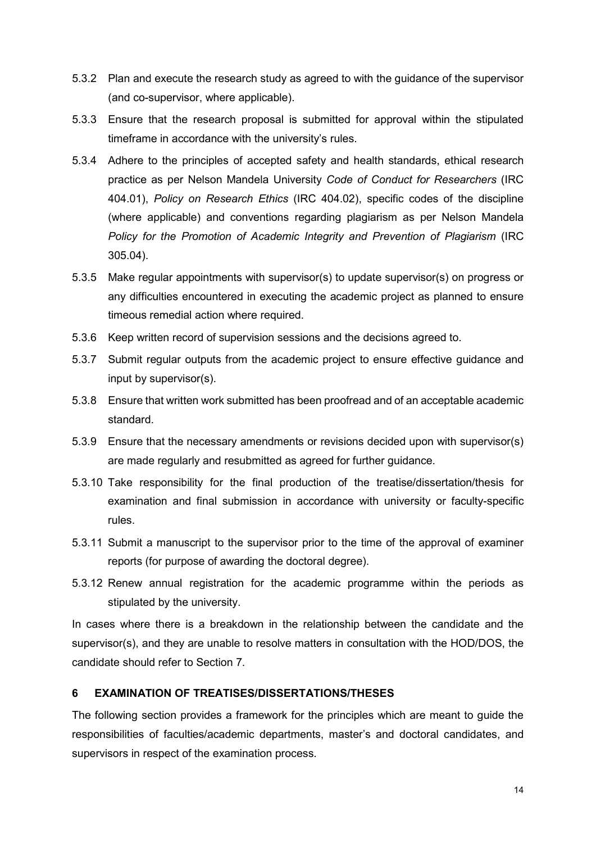- 5.3.2 Plan and execute the research study as agreed to with the guidance of the supervisor (and co-supervisor, where applicable).
- 5.3.3 Ensure that the research proposal is submitted for approval within the stipulated timeframe in accordance with the university's rules.
- 5.3.4 Adhere to the principles of accepted safety and health standards, ethical research practice as per Nelson Mandela University *Code of Conduct for Researchers* (IRC 404.01), *Policy on Research Ethics* (IRC 404.02), specific codes of the discipline (where applicable) and conventions regarding plagiarism as per Nelson Mandela *Policy for the Promotion of Academic Integrity and Prevention of Plagiarism* (IRC 305.04).
- 5.3.5 Make regular appointments with supervisor(s) to update supervisor(s) on progress or any difficulties encountered in executing the academic project as planned to ensure timeous remedial action where required.
- 5.3.6 Keep written record of supervision sessions and the decisions agreed to.
- 5.3.7 Submit regular outputs from the academic project to ensure effective guidance and input by supervisor(s).
- 5.3.8 Ensure that written work submitted has been proofread and of an acceptable academic standard.
- 5.3.9 Ensure that the necessary amendments or revisions decided upon with supervisor(s) are made regularly and resubmitted as agreed for further guidance.
- 5.3.10 Take responsibility for the final production of the treatise/dissertation/thesis for examination and final submission in accordance with university or faculty-specific rules.
- 5.3.11 Submit a manuscript to the supervisor prior to the time of the approval of examiner reports (for purpose of awarding the doctoral degree).
- 5.3.12 Renew annual registration for the academic programme within the periods as stipulated by the university.

In cases where there is a breakdown in the relationship between the candidate and the supervisor(s), and they are unable to resolve matters in consultation with the HOD/DOS, the candidate should refer to Section 7.

## <span id="page-17-0"></span>**6 EXAMINATION OF TREATISES/DISSERTATIONS/THESES**

The following section provides a framework for the principles which are meant to guide the responsibilities of faculties/academic departments, master's and doctoral candidates, and supervisors in respect of the examination process.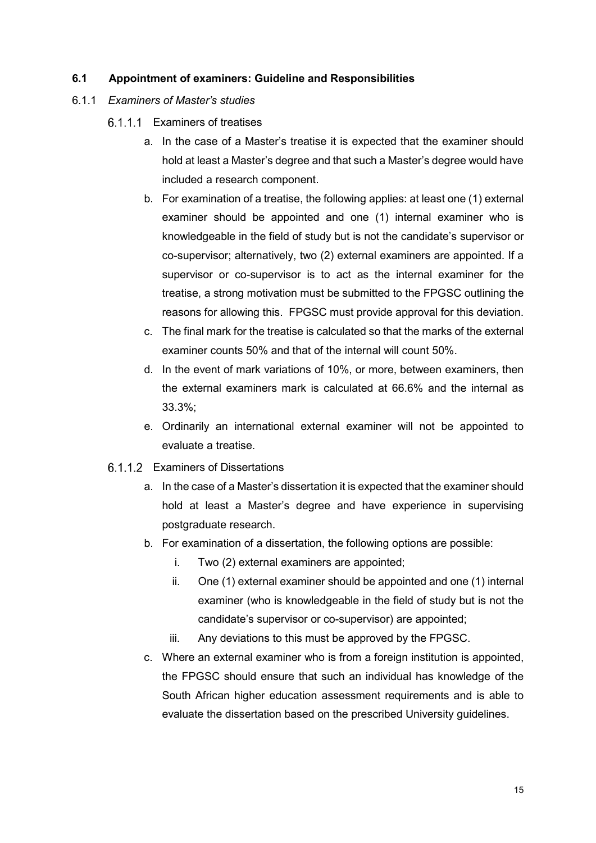## <span id="page-18-0"></span>**6.1 Appointment of examiners: Guideline and Responsibilities**

## 6.1.1 *Examiners of Master's studies*

- Examiners of treatises
	- a. In the case of a Master's treatise it is expected that the examiner should hold at least a Master's degree and that such a Master's degree would have included a research component.
	- b. For examination of a treatise, the following applies: at least one (1) external examiner should be appointed and one (1) internal examiner who is knowledgeable in the field of study but is not the candidate's supervisor or co-supervisor; alternatively, two (2) external examiners are appointed. If a supervisor or co-supervisor is to act as the internal examiner for the treatise, a strong motivation must be submitted to the FPGSC outlining the reasons for allowing this. FPGSC must provide approval for this deviation.
	- c. The final mark for the treatise is calculated so that the marks of the external examiner counts 50% and that of the internal will count 50%.
	- d. In the event of mark variations of 10%, or more, between examiners, then the external examiners mark is calculated at 66.6% and the internal as 33.3%;
	- e. Ordinarily an international external examiner will not be appointed to evaluate a treatise.
- 6.1.1.2 Examiners of Dissertations
	- a. In the case of a Master's dissertation it is expected that the examiner should hold at least a Master's degree and have experience in supervising postgraduate research.
	- b. For examination of a dissertation, the following options are possible:
		- i. Two (2) external examiners are appointed;
		- ii. One (1) external examiner should be appointed and one (1) internal examiner (who is knowledgeable in the field of study but is not the candidate's supervisor or co-supervisor) are appointed;
		- iii. Any deviations to this must be approved by the FPGSC.
	- c. Where an external examiner who is from a foreign institution is appointed, the FPGSC should ensure that such an individual has knowledge of the South African higher education assessment requirements and is able to evaluate the dissertation based on the prescribed University guidelines.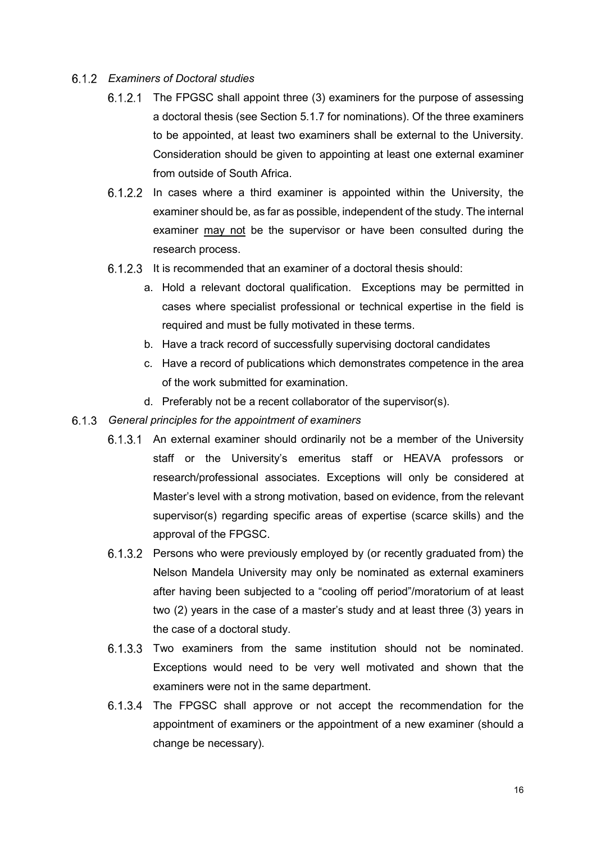## *Examiners of Doctoral studies*

- $6.1.2.1$  The FPGSC shall appoint three (3) examiners for the purpose of assessing a doctoral thesis (see Section 5.1.7 for nominations). Of the three examiners to be appointed, at least two examiners shall be external to the University. Consideration should be given to appointing at least one external examiner from outside of South Africa.
- $6.1.2.2$  In cases where a third examiner is appointed within the University, the examiner should be, as far as possible, independent of the study. The internal examiner may not be the supervisor or have been consulted during the research process.
- 6.1.2.3 It is recommended that an examiner of a doctoral thesis should:
	- a. Hold a relevant doctoral qualification. Exceptions may be permitted in cases where specialist professional or technical expertise in the field is required and must be fully motivated in these terms.
	- b. Have a track record of successfully supervising doctoral candidates
	- c. Have a record of publications which demonstrates competence in the area of the work submitted for examination.
	- d. Preferably not be a recent collaborator of the supervisor(s).
- *General principles for the appointment of examiners*
	- 6.1.3.1 An external examiner should ordinarily not be a member of the University staff or the University's emeritus staff or HEAVA professors or research/professional associates. Exceptions will only be considered at Master's level with a strong motivation, based on evidence, from the relevant supervisor(s) regarding specific areas of expertise (scarce skills) and the approval of the FPGSC.
	- 6.1.3.2 Persons who were previously employed by (or recently graduated from) the Nelson Mandela University may only be nominated as external examiners after having been subjected to a "cooling off period"/moratorium of at least two (2) years in the case of a master's study and at least three (3) years in the case of a doctoral study.
	- 6.1.3.3 Two examiners from the same institution should not be nominated. Exceptions would need to be very well motivated and shown that the examiners were not in the same department.
	- 6.1.3.4 The FPGSC shall approve or not accept the recommendation for the appointment of examiners or the appointment of a new examiner (should a change be necessary).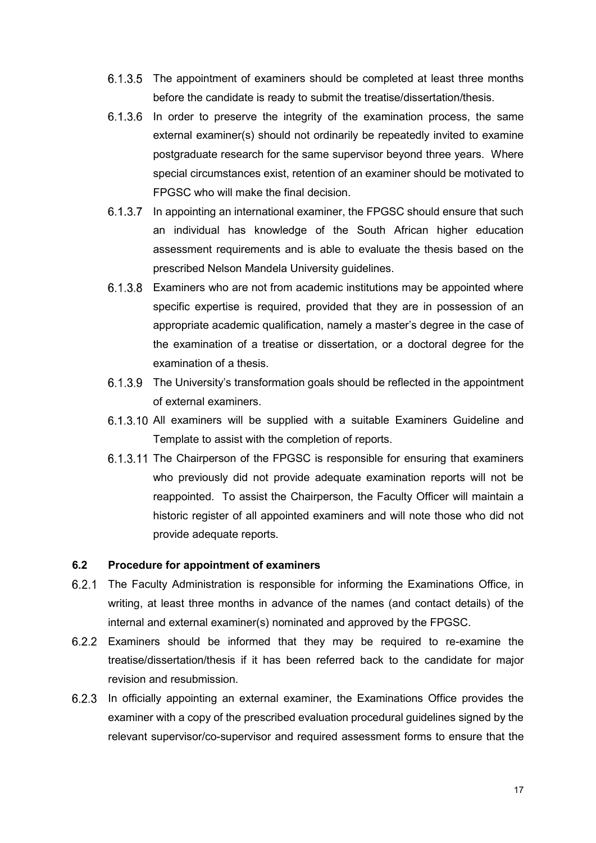- 6.1.3.5 The appointment of examiners should be completed at least three months before the candidate is ready to submit the treatise/dissertation/thesis.
- $6.1.3.6$  In order to preserve the integrity of the examination process, the same external examiner(s) should not ordinarily be repeatedly invited to examine postgraduate research for the same supervisor beyond three years. Where special circumstances exist, retention of an examiner should be motivated to FPGSC who will make the final decision.
- 6.1.3.7 In appointing an international examiner, the FPGSC should ensure that such an individual has knowledge of the South African higher education assessment requirements and is able to evaluate the thesis based on the prescribed Nelson Mandela University guidelines.
- Examiners who are not from academic institutions may be appointed where specific expertise is required, provided that they are in possession of an appropriate academic qualification, namely a master's degree in the case of the examination of a treatise or dissertation, or a doctoral degree for the examination of a thesis.
- 6.1.3.9 The University's transformation goals should be reflected in the appointment of external examiners.
- 6.1.3.10 All examiners will be supplied with a suitable Examiners Guideline and Template to assist with the completion of reports.
- 6.1.3.11 The Chairperson of the FPGSC is responsible for ensuring that examiners who previously did not provide adequate examination reports will not be reappointed. To assist the Chairperson, the Faculty Officer will maintain a historic register of all appointed examiners and will note those who did not provide adequate reports.

#### <span id="page-20-0"></span>**6.2 Procedure for appointment of examiners**

- $6.2.1$ The Faculty Administration is responsible for informing the Examinations Office, in writing, at least three months in advance of the names (and contact details) of the internal and external examiner(s) nominated and approved by the FPGSC.
- Examiners should be informed that they may be required to re-examine the treatise/dissertation/thesis if it has been referred back to the candidate for major revision and resubmission.
- In officially appointing an external examiner, the Examinations Office provides the examiner with a copy of the prescribed evaluation procedural guidelines signed by the relevant supervisor/co-supervisor and required assessment forms to ensure that the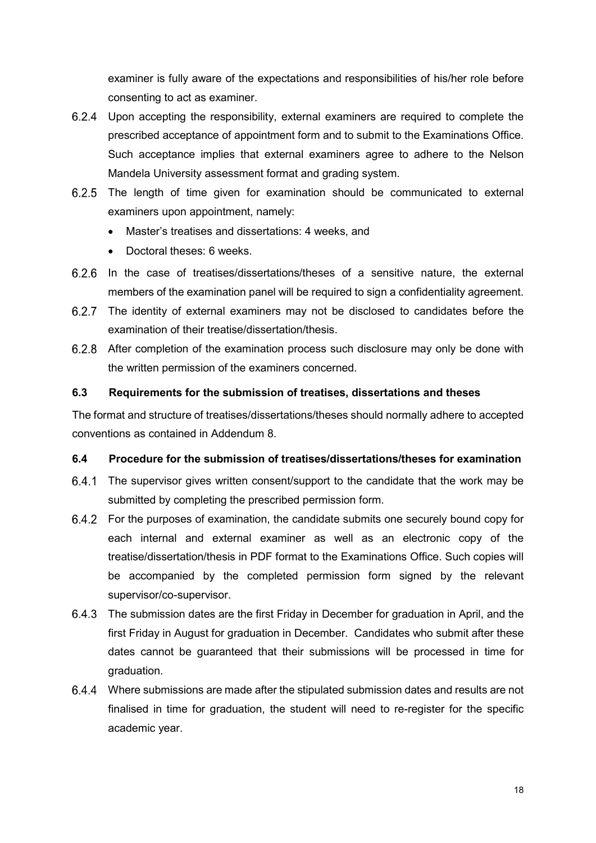examiner is fully aware of the expectations and responsibilities of his/her role before consenting to act as examiner.

- Upon accepting the responsibility, external examiners are required to complete the prescribed acceptance of appointment form and to submit to the Examinations Office. Such acceptance implies that external examiners agree to adhere to the Nelson Mandela University assessment format and grading system.
- 6.2.5 The length of time given for examination should be communicated to external examiners upon appointment, namely:
	- Master's treatises and dissertations: 4 weeks, and
	- Doctoral theses: 6 weeks.
- In the case of treatises/dissertations/theses of a sensitive nature, the external members of the examination panel will be required to sign a confidentiality agreement.
- The identity of external examiners may not be disclosed to candidates before the examination of their treatise/dissertation/thesis.
- 6.2.8 After completion of the examination process such disclosure may only be done with the written permission of the examiners concerned.

## <span id="page-21-0"></span>**6.3 Requirements for the submission of treatises, dissertations and theses**

The format and structure of treatises/dissertations/theses should normally adhere to accepted conventions as contained in Addendum 8.

## <span id="page-21-1"></span>**6.4 Procedure for the submission of treatises/dissertations/theses for examination**

- The supervisor gives written consent/support to the candidate that the work may be submitted by completing the prescribed permission form.
- For the purposes of examination, the candidate submits one securely bound copy for each internal and external examiner as well as an electronic copy of the treatise/dissertation/thesis in PDF format to the Examinations Office. Such copies will be accompanied by the completed permission form signed by the relevant supervisor/co-supervisor.
- The submission dates are the first Friday in December for graduation in April, and the first Friday in August for graduation in December. Candidates who submit after these dates cannot be guaranteed that their submissions will be processed in time for graduation.
- Where submissions are made after the stipulated submission dates and results are not finalised in time for graduation, the student will need to re-register for the specific academic year.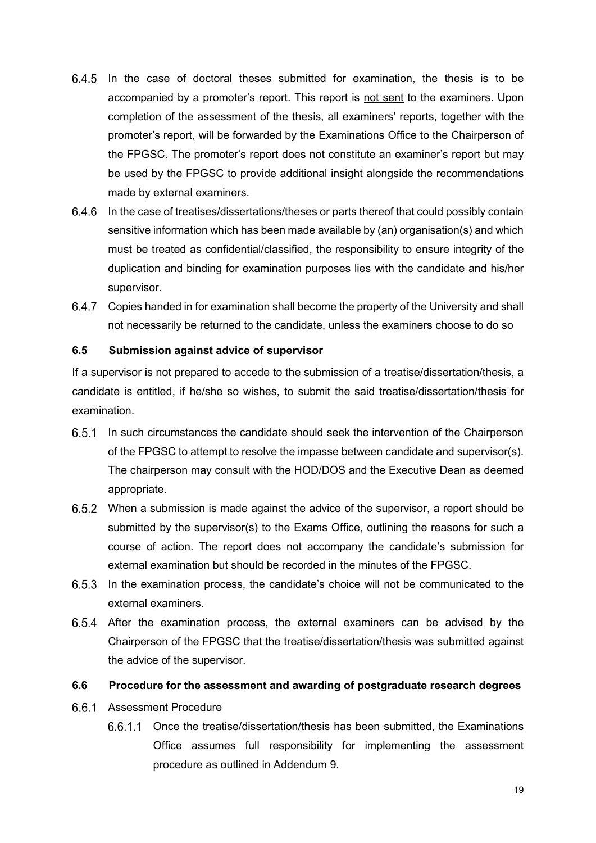- $6.4.5$  In the case of doctoral theses submitted for examination, the thesis is to be accompanied by a promoter's report. This report is not sent to the examiners. Upon completion of the assessment of the thesis, all examiners' reports, together with the promoter's report, will be forwarded by the Examinations Office to the Chairperson of the FPGSC. The promoter's report does not constitute an examiner's report but may be used by the FPGSC to provide additional insight alongside the recommendations made by external examiners.
- 6.4.6 In the case of treatises/dissertations/theses or parts thereof that could possibly contain sensitive information which has been made available by (an) organisation(s) and which must be treated as confidential/classified, the responsibility to ensure integrity of the duplication and binding for examination purposes lies with the candidate and his/her supervisor.
- Copies handed in for examination shall become the property of the University and shall not necessarily be returned to the candidate, unless the examiners choose to do so

## <span id="page-22-0"></span>**6.5 Submission against advice of supervisor**

If a supervisor is not prepared to accede to the submission of a treatise/dissertation/thesis, a candidate is entitled, if he/she so wishes, to submit the said treatise/dissertation/thesis for examination.

- 6.5.1 In such circumstances the candidate should seek the intervention of the Chairperson of the FPGSC to attempt to resolve the impasse between candidate and supervisor(s). The chairperson may consult with the HOD/DOS and the Executive Dean as deemed appropriate.
- When a submission is made against the advice of the supervisor, a report should be submitted by the supervisor(s) to the Exams Office, outlining the reasons for such a course of action. The report does not accompany the candidate's submission for external examination but should be recorded in the minutes of the FPGSC.
- 6.5.3 In the examination process, the candidate's choice will not be communicated to the external examiners.
- After the examination process, the external examiners can be advised by the Chairperson of the FPGSC that the treatise/dissertation/thesis was submitted against the advice of the supervisor.

## <span id="page-22-1"></span>**6.6 Procedure for the assessment and awarding of postgraduate research degrees**

- 6.6.1 Assessment Procedure
	- 6.6.1.1 Once the treatise/dissertation/thesis has been submitted, the Examinations Office assumes full responsibility for implementing the assessment procedure as outlined in Addendum 9.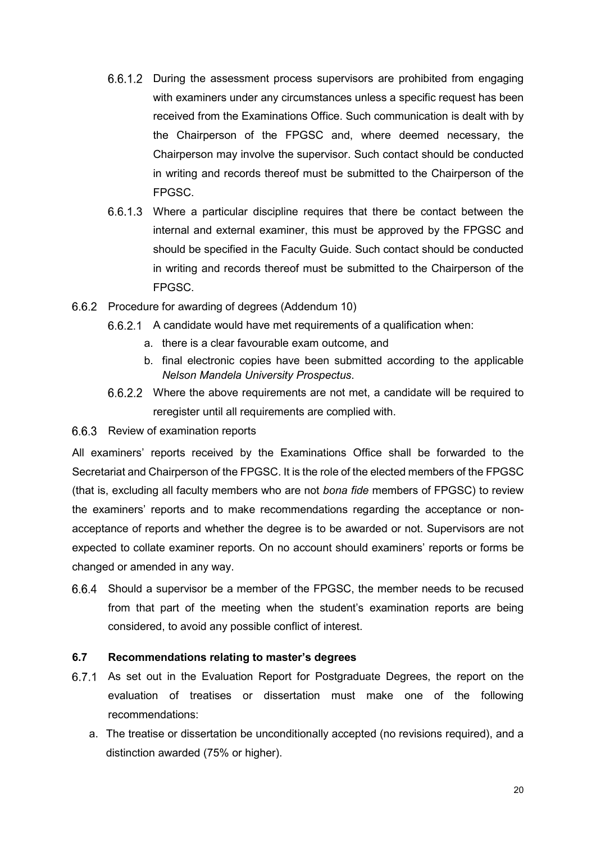- 6.6.1.2 During the assessment process supervisors are prohibited from engaging with examiners under any circumstances unless a specific request has been received from the Examinations Office. Such communication is dealt with by the Chairperson of the FPGSC and, where deemed necessary, the Chairperson may involve the supervisor. Such contact should be conducted in writing and records thereof must be submitted to the Chairperson of the FPGSC.
- Where a particular discipline requires that there be contact between the internal and external examiner, this must be approved by the FPGSC and should be specified in the Faculty Guide. Such contact should be conducted in writing and records thereof must be submitted to the Chairperson of the FPGSC.
- 6.6.2 Procedure for awarding of degrees (Addendum 10)
	- A candidate would have met requirements of a qualification when:
		- a. there is a clear favourable exam outcome, and
		- b. final electronic copies have been submitted according to the applicable *Nelson Mandela University Prospectus*.
	- Where the above requirements are not met, a candidate will be required to reregister until all requirements are complied with.

## 6.6.3 Review of examination reports

All examiners' reports received by the Examinations Office shall be forwarded to the Secretariat and Chairperson of the FPGSC. It is the role of the elected members of the FPGSC (that is, excluding all faculty members who are not *bona fide* members of FPGSC) to review the examiners' reports and to make recommendations regarding the acceptance or nonacceptance of reports and whether the degree is to be awarded or not. Supervisors are not expected to collate examiner reports. On no account should examiners' reports or forms be changed or amended in any way.

Should a supervisor be a member of the FPGSC, the member needs to be recused from that part of the meeting when the student's examination reports are being considered, to avoid any possible conflict of interest.

## <span id="page-23-0"></span>**6.7 Recommendations relating to master's degrees**

- 6.7.1 As set out in the Evaluation Report for Postgraduate Degrees, the report on the evaluation of treatises or dissertation must make one of the following recommendations:
	- a. The treatise or dissertation be unconditionally accepted (no revisions required), and a distinction awarded (75% or higher).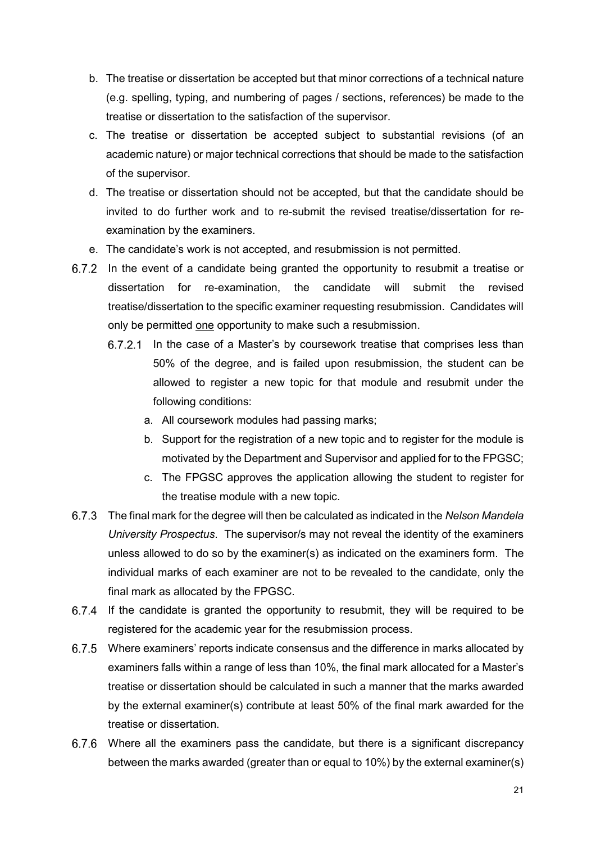- b. The treatise or dissertation be accepted but that minor corrections of a technical nature (e.g. spelling, typing, and numbering of pages / sections, references) be made to the treatise or dissertation to the satisfaction of the supervisor.
- c. The treatise or dissertation be accepted subject to substantial revisions (of an academic nature) or major technical corrections that should be made to the satisfaction of the supervisor.
- d. The treatise or dissertation should not be accepted, but that the candidate should be invited to do further work and to re-submit the revised treatise/dissertation for reexamination by the examiners.
- e. The candidate's work is not accepted, and resubmission is not permitted.
- 6.7.2 In the event of a candidate being granted the opportunity to resubmit a treatise or dissertation for re-examination, the candidate will submit the revised treatise/dissertation to the specific examiner requesting resubmission. Candidates will only be permitted one opportunity to make such a resubmission.
	- 6.7.2.1 In the case of a Master's by coursework treatise that comprises less than 50% of the degree, and is failed upon resubmission, the student can be allowed to register a new topic for that module and resubmit under the following conditions:
		- a. All coursework modules had passing marks;
		- b. Support for the registration of a new topic and to register for the module is motivated by the Department and Supervisor and applied for to the FPGSC;
		- c. The FPGSC approves the application allowing the student to register for the treatise module with a new topic.
- The final mark for the degree will then be calculated as indicated in the *Nelson Mandela University Prospectus*. The supervisor/s may not reveal the identity of the examiners unless allowed to do so by the examiner(s) as indicated on the examiners form. The individual marks of each examiner are not to be revealed to the candidate, only the final mark as allocated by the FPGSC.
- 6.7.4 If the candidate is granted the opportunity to resubmit, they will be required to be registered for the academic year for the resubmission process.
- Where examiners' reports indicate consensus and the difference in marks allocated by examiners falls within a range of less than 10%, the final mark allocated for a Master's treatise or dissertation should be calculated in such a manner that the marks awarded by the external examiner(s) contribute at least 50% of the final mark awarded for the treatise or dissertation.
- Where all the examiners pass the candidate, but there is a significant discrepancy between the marks awarded (greater than or equal to 10%) by the external examiner(s)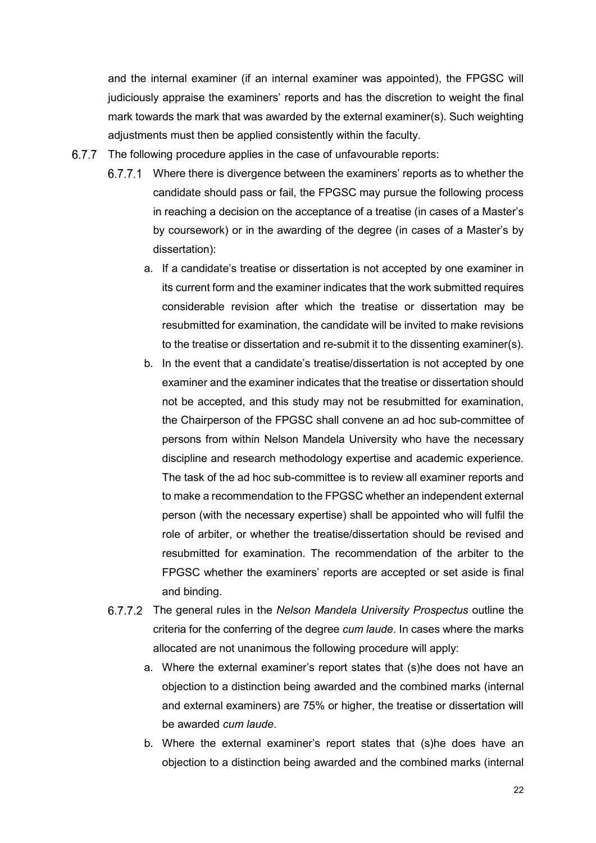and the internal examiner (if an internal examiner was appointed), the FPGSC will judiciously appraise the examiners' reports and has the discretion to weight the final mark towards the mark that was awarded by the external examiner(s). Such weighting adjustments must then be applied consistently within the faculty.

- 6.7.7 The following procedure applies in the case of unfavourable reports:
	- Where there is divergence between the examiners' reports as to whether the candidate should pass or fail, the FPGSC may pursue the following process in reaching a decision on the acceptance of a treatise (in cases of a Master's by coursework) or in the awarding of the degree (in cases of a Master's by dissertation):
		- a. If a candidate's treatise or dissertation is not accepted by one examiner in its current form and the examiner indicates that the work submitted requires considerable revision after which the treatise or dissertation may be resubmitted for examination, the candidate will be invited to make revisions to the treatise or dissertation and re-submit it to the dissenting examiner(s).
		- b. In the event that a candidate's treatise/dissertation is not accepted by one examiner and the examiner indicates that the treatise or dissertation should not be accepted, and this study may not be resubmitted for examination, the Chairperson of the FPGSC shall convene an ad hoc sub-committee of persons from within Nelson Mandela University who have the necessary discipline and research methodology expertise and academic experience. The task of the ad hoc sub-committee is to review all examiner reports and to make a recommendation to the FPGSC whether an independent external person (with the necessary expertise) shall be appointed who will fulfil the role of arbiter, or whether the treatise/dissertation should be revised and resubmitted for examination. The recommendation of the arbiter to the FPGSC whether the examiners' reports are accepted or set aside is final and binding.
	- The general rules in the *Nelson Mandela University Prospectus* outline the criteria for the conferring of the degree *cum laude*. In cases where the marks allocated are not unanimous the following procedure will apply:
		- a. Where the external examiner's report states that (s)he does not have an objection to a distinction being awarded and the combined marks (internal and external examiners) are 75% or higher, the treatise or dissertation will be awarded *cum laude*.
		- b. Where the external examiner's report states that (s)he does have an objection to a distinction being awarded and the combined marks (internal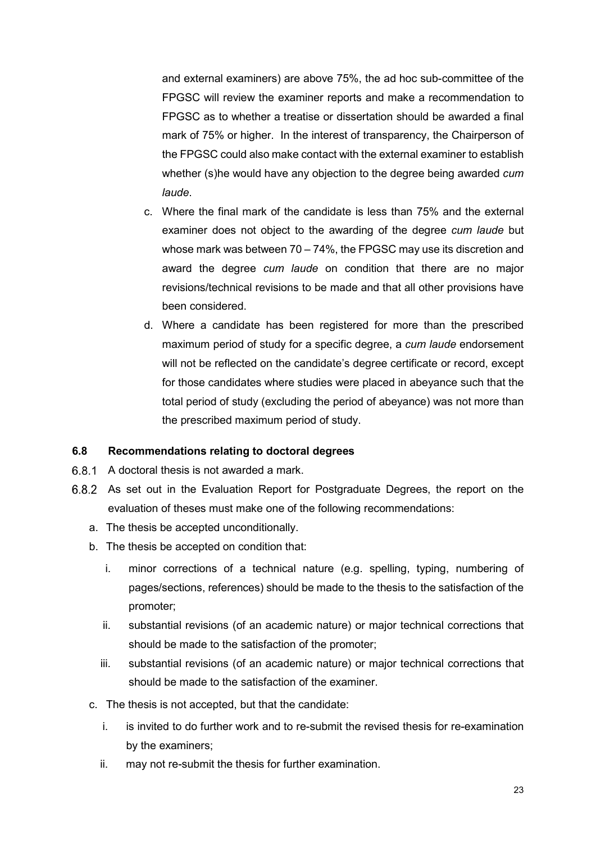and external examiners) are above 75%, the ad hoc sub-committee of the FPGSC will review the examiner reports and make a recommendation to FPGSC as to whether a treatise or dissertation should be awarded a final mark of 75% or higher. In the interest of transparency, the Chairperson of the FPGSC could also make contact with the external examiner to establish whether (s)he would have any objection to the degree being awarded *cum laude*.

- c. Where the final mark of the candidate is less than 75% and the external examiner does not object to the awarding of the degree *cum laude* but whose mark was between 70 – 74%, the FPGSC may use its discretion and award the degree *cum laude* on condition that there are no major revisions/technical revisions to be made and that all other provisions have been considered.
- d. Where a candidate has been registered for more than the prescribed maximum period of study for a specific degree, a *cum laude* endorsement will not be reflected on the candidate's degree certificate or record, except for those candidates where studies were placed in abeyance such that the total period of study (excluding the period of abeyance) was not more than the prescribed maximum period of study.

## <span id="page-26-0"></span>**6.8 Recommendations relating to doctoral degrees**

- A doctoral thesis is not awarded a mark.
- 6.8.2 As set out in the Evaluation Report for Postgraduate Degrees, the report on the evaluation of theses must make one of the following recommendations:
	- a. The thesis be accepted unconditionally.
	- b. The thesis be accepted on condition that:
		- i. minor corrections of a technical nature (e.g. spelling, typing, numbering of pages/sections, references) should be made to the thesis to the satisfaction of the promoter;
		- ii. substantial revisions (of an academic nature) or major technical corrections that should be made to the satisfaction of the promoter;
		- iii. substantial revisions (of an academic nature) or major technical corrections that should be made to the satisfaction of the examiner.
	- c. The thesis is not accepted, but that the candidate:
		- i. is invited to do further work and to re-submit the revised thesis for re-examination by the examiners;
		- ii. may not re-submit the thesis for further examination.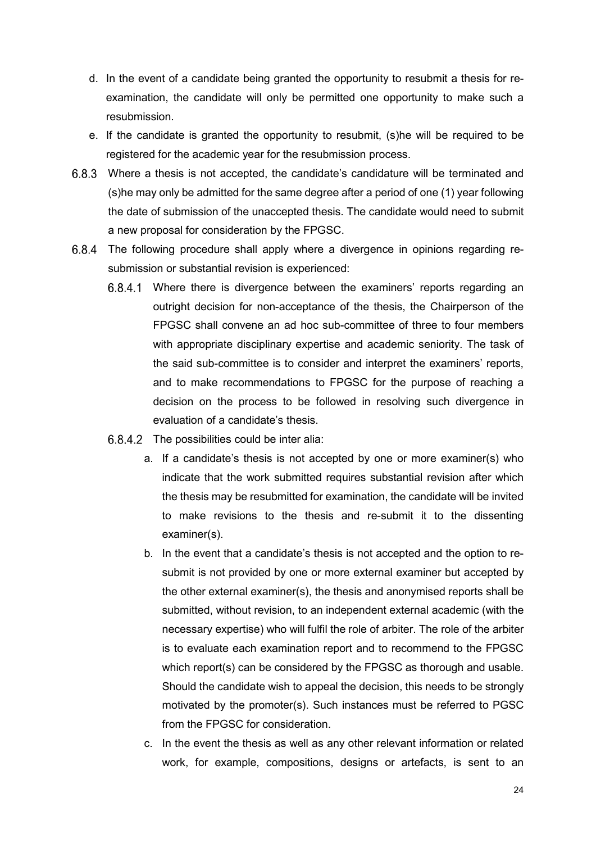- d. In the event of a candidate being granted the opportunity to resubmit a thesis for reexamination, the candidate will only be permitted one opportunity to make such a resubmission.
- e. If the candidate is granted the opportunity to resubmit, (s)he will be required to be registered for the academic year for the resubmission process.
- Where a thesis is not accepted, the candidate's candidature will be terminated and (s)he may only be admitted for the same degree after a period of one (1) year following the date of submission of the unaccepted thesis. The candidate would need to submit a new proposal for consideration by the FPGSC.
- The following procedure shall apply where a divergence in opinions regarding resubmission or substantial revision is experienced:
	- 6.8.4.1 Where there is divergence between the examiners' reports regarding an outright decision for non-acceptance of the thesis, the Chairperson of the FPGSC shall convene an ad hoc sub-committee of three to four members with appropriate disciplinary expertise and academic seniority. The task of the said sub-committee is to consider and interpret the examiners' reports, and to make recommendations to FPGSC for the purpose of reaching a decision on the process to be followed in resolving such divergence in evaluation of a candidate's thesis.
	- $6.8.4.2$  The possibilities could be inter alia:
		- a. If a candidate's thesis is not accepted by one or more examiner(s) who indicate that the work submitted requires substantial revision after which the thesis may be resubmitted for examination, the candidate will be invited to make revisions to the thesis and re-submit it to the dissenting examiner(s).
		- b. In the event that a candidate's thesis is not accepted and the option to resubmit is not provided by one or more external examiner but accepted by the other external examiner(s), the thesis and anonymised reports shall be submitted, without revision, to an independent external academic (with the necessary expertise) who will fulfil the role of arbiter. The role of the arbiter is to evaluate each examination report and to recommend to the FPGSC which report(s) can be considered by the FPGSC as thorough and usable. Should the candidate wish to appeal the decision, this needs to be strongly motivated by the promoter(s). Such instances must be referred to PGSC from the FPGSC for consideration.
		- c. In the event the thesis as well as any other relevant information or related work, for example, compositions, designs or artefacts, is sent to an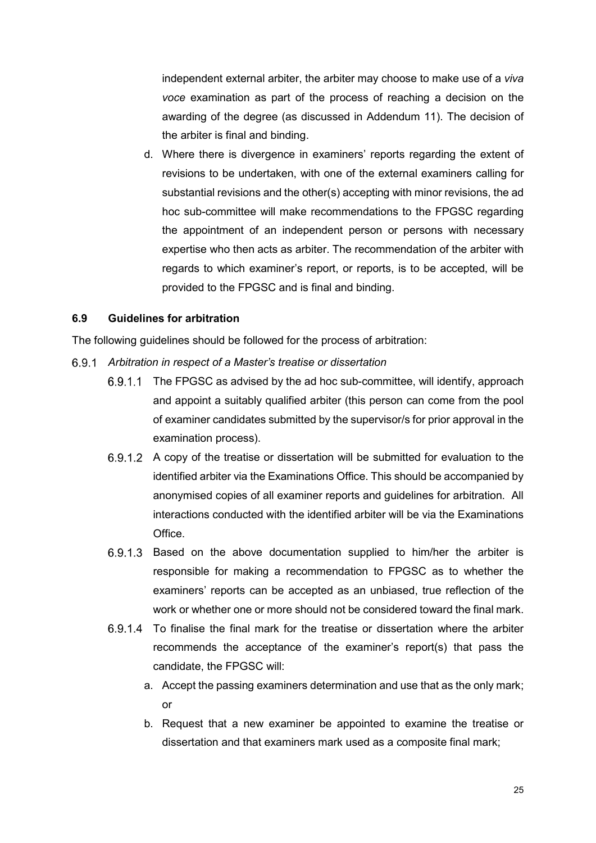independent external arbiter, the arbiter may choose to make use of a *viva voce* examination as part of the process of reaching a decision on the awarding of the degree (as discussed in Addendum 11). The decision of the arbiter is final and binding.

d. Where there is divergence in examiners' reports regarding the extent of revisions to be undertaken, with one of the external examiners calling for substantial revisions and the other(s) accepting with minor revisions, the ad hoc sub-committee will make recommendations to the FPGSC regarding the appointment of an independent person or persons with necessary expertise who then acts as arbiter. The recommendation of the arbiter with regards to which examiner's report, or reports, is to be accepted, will be provided to the FPGSC and is final and binding.

## <span id="page-28-0"></span>**6.9 Guidelines for arbitration**

The following guidelines should be followed for the process of arbitration:

- *Arbitration in respect of a Master's treatise or dissertation*
	- 6.9.1.1 The FPGSC as advised by the ad hoc sub-committee, will identify, approach and appoint a suitably qualified arbiter (this person can come from the pool of examiner candidates submitted by the supervisor/s for prior approval in the examination process).
	- 6.9.1.2 A copy of the treatise or dissertation will be submitted for evaluation to the identified arbiter via the Examinations Office. This should be accompanied by anonymised copies of all examiner reports and guidelines for arbitration. All interactions conducted with the identified arbiter will be via the Examinations **Office**
	- 6.9.1.3 Based on the above documentation supplied to him/her the arbiter is responsible for making a recommendation to FPGSC as to whether the examiners' reports can be accepted as an unbiased, true reflection of the work or whether one or more should not be considered toward the final mark.
	- $6.9.1.4$  To finalise the final mark for the treatise or dissertation where the arbiter recommends the acceptance of the examiner's report(s) that pass the candidate, the FPGSC will:
		- a. Accept the passing examiners determination and use that as the only mark; or
		- b. Request that a new examiner be appointed to examine the treatise or dissertation and that examiners mark used as a composite final mark;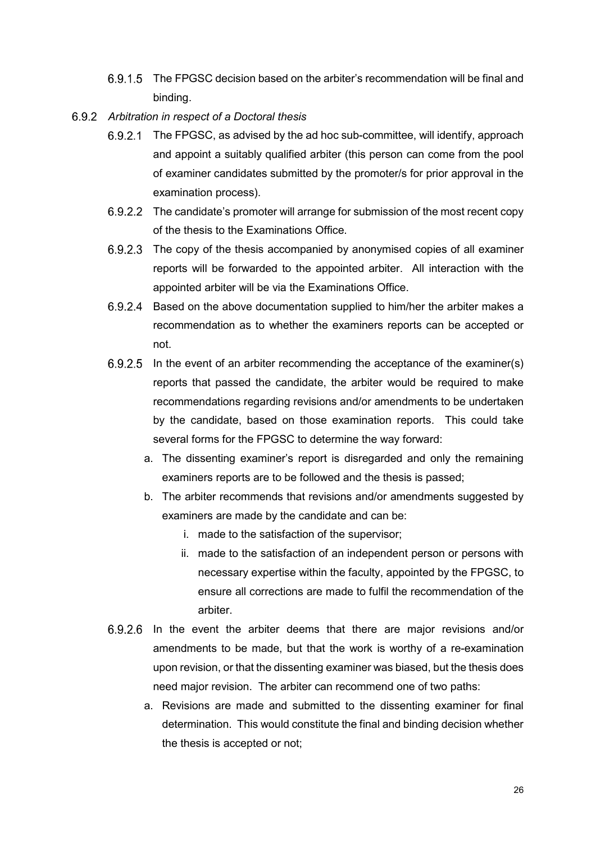- 6.9.1.5 The FPGSC decision based on the arbiter's recommendation will be final and binding.
- *Arbitration in respect of a Doctoral thesis*
	- 6.9.2.1 The FPGSC, as advised by the ad hoc sub-committee, will identify, approach and appoint a suitably qualified arbiter (this person can come from the pool of examiner candidates submitted by the promoter/s for prior approval in the examination process).
	- 6.9.2.2 The candidate's promoter will arrange for submission of the most recent copy of the thesis to the Examinations Office.
	- $6.9.2.3$  The copy of the thesis accompanied by anonymised copies of all examiner reports will be forwarded to the appointed arbiter. All interaction with the appointed arbiter will be via the Examinations Office.
	- Based on the above documentation supplied to him/her the arbiter makes a  $6.9.2.4$ recommendation as to whether the examiners reports can be accepted or not.
	- $6.9.2.5$  In the event of an arbiter recommending the acceptance of the examiner(s) reports that passed the candidate, the arbiter would be required to make recommendations regarding revisions and/or amendments to be undertaken by the candidate, based on those examination reports. This could take several forms for the FPGSC to determine the way forward:
		- a. The dissenting examiner's report is disregarded and only the remaining examiners reports are to be followed and the thesis is passed;
		- b. The arbiter recommends that revisions and/or amendments suggested by examiners are made by the candidate and can be:
			- i. made to the satisfaction of the supervisor;
			- ii. made to the satisfaction of an independent person or persons with necessary expertise within the faculty, appointed by the FPGSC, to ensure all corrections are made to fulfil the recommendation of the arbiter.
	- 6.9.2.6 In the event the arbiter deems that there are major revisions and/or amendments to be made, but that the work is worthy of a re-examination upon revision, or that the dissenting examiner was biased, but the thesis does need major revision. The arbiter can recommend one of two paths:
		- a. Revisions are made and submitted to the dissenting examiner for final determination. This would constitute the final and binding decision whether the thesis is accepted or not;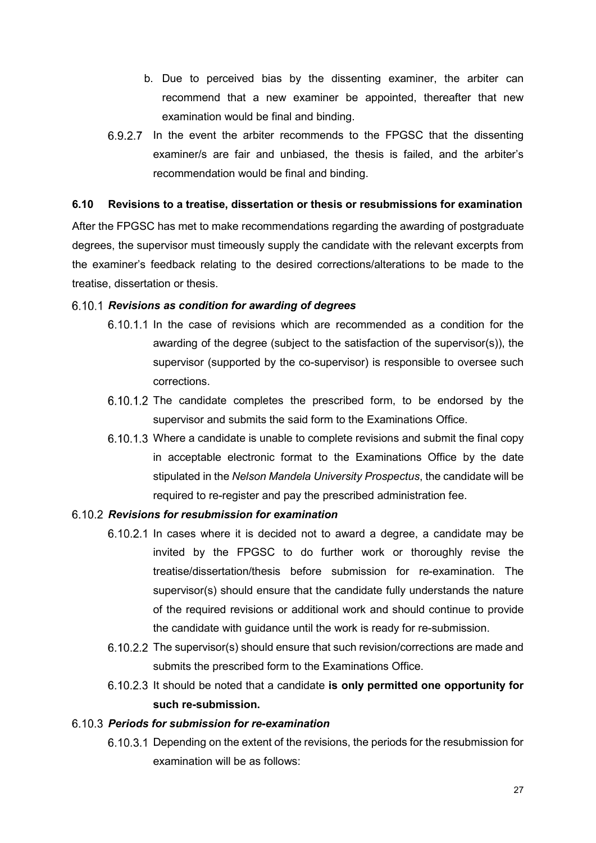- b. Due to perceived bias by the dissenting examiner, the arbiter can recommend that a new examiner be appointed, thereafter that new examination would be final and binding.
- $6.9.2.7$  In the event the arbiter recommends to the FPGSC that the dissenting examiner/s are fair and unbiased, the thesis is failed, and the arbiter's recommendation would be final and binding.

## <span id="page-30-0"></span>**6.10 Revisions to a treatise, dissertation or thesis or resubmissions for examination**

After the FPGSC has met to make recommendations regarding the awarding of postgraduate degrees, the supervisor must timeously supply the candidate with the relevant excerpts from the examiner's feedback relating to the desired corrections/alterations to be made to the treatise, dissertation or thesis.

## *Revisions as condition for awarding of degrees*

- 6.10.1.1 In the case of revisions which are recommended as a condition for the awarding of the degree (subject to the satisfaction of the supervisor(s)), the supervisor (supported by the co-supervisor) is responsible to oversee such corrections.
- $6.10.1.2$  The candidate completes the prescribed form, to be endorsed by the supervisor and submits the said form to the Examinations Office.
- Where a candidate is unable to complete revisions and submit the final copy in acceptable electronic format to the Examinations Office by the date stipulated in the *Nelson Mandela University Prospectus*, the candidate will be required to re-register and pay the prescribed administration fee.

## *Revisions for resubmission for examination*

- 6.10.2.1 In cases where it is decided not to award a degree, a candidate may be invited by the FPGSC to do further work or thoroughly revise the treatise/dissertation/thesis before submission for re-examination. The supervisor(s) should ensure that the candidate fully understands the nature of the required revisions or additional work and should continue to provide the candidate with guidance until the work is ready for re-submission.
- $6.10.2.2$  The supervisor(s) should ensure that such revision/corrections are made and submits the prescribed form to the Examinations Office.
- 6.10.2.3 It should be noted that a candidate **is only permitted one opportunity for such re-submission.**

## *Periods for submission for re-examination*

6.10.3.1 Depending on the extent of the revisions, the periods for the resubmission for examination will be as follows: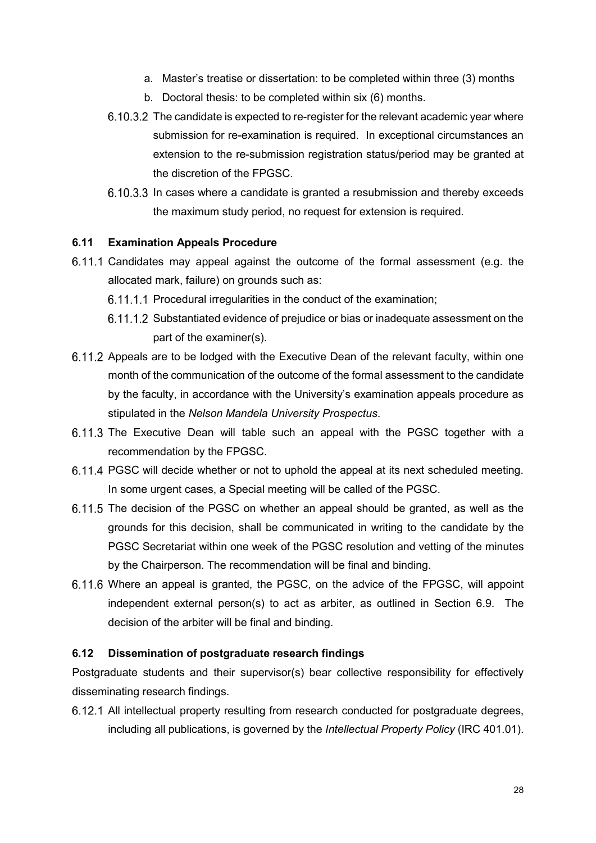- a. Master's treatise or dissertation: to be completed within three (3) months
- b. Doctoral thesis: to be completed within six (6) months.
- 6.10.3.2 The candidate is expected to re-register for the relevant academic year where submission for re-examination is required. In exceptional circumstances an extension to the re-submission registration status/period may be granted at the discretion of the FPGSC.
- 6.10.3.3 In cases where a candidate is granted a resubmission and thereby exceeds the maximum study period, no request for extension is required.

#### <span id="page-31-0"></span>**6.11 Examination Appeals Procedure**

- Candidates may appeal against the outcome of the formal assessment (e.g. the allocated mark, failure) on grounds such as:
	- 6.11.1.1 Procedural irregularities in the conduct of the examination;
	- 6.11.1.2 Substantiated evidence of prejudice or bias or inadequate assessment on the part of the examiner(s).
- 6.11.2 Appeals are to be lodged with the Executive Dean of the relevant faculty, within one month of the communication of the outcome of the formal assessment to the candidate by the faculty, in accordance with the University's examination appeals procedure as stipulated in the *Nelson Mandela University Prospectus*.
- 6.11.3 The Executive Dean will table such an appeal with the PGSC together with a recommendation by the FPGSC.
- 6.11.4 PGSC will decide whether or not to uphold the appeal at its next scheduled meeting. In some urgent cases, a Special meeting will be called of the PGSC.
- 6.11.5 The decision of the PGSC on whether an appeal should be granted, as well as the grounds for this decision, shall be communicated in writing to the candidate by the PGSC Secretariat within one week of the PGSC resolution and vetting of the minutes by the Chairperson. The recommendation will be final and binding.
- Where an appeal is granted, the PGSC, on the advice of the FPGSC, will appoint independent external person(s) to act as arbiter, as outlined in Section 6.9. The decision of the arbiter will be final and binding.

#### <span id="page-31-1"></span>**6.12 Dissemination of postgraduate research findings**

Postgraduate students and their supervisor(s) bear collective responsibility for effectively disseminating research findings.

6.12.1 All intellectual property resulting from research conducted for postgraduate degrees, including all publications, is governed by the *Intellectual Property Policy* (IRC 401.01).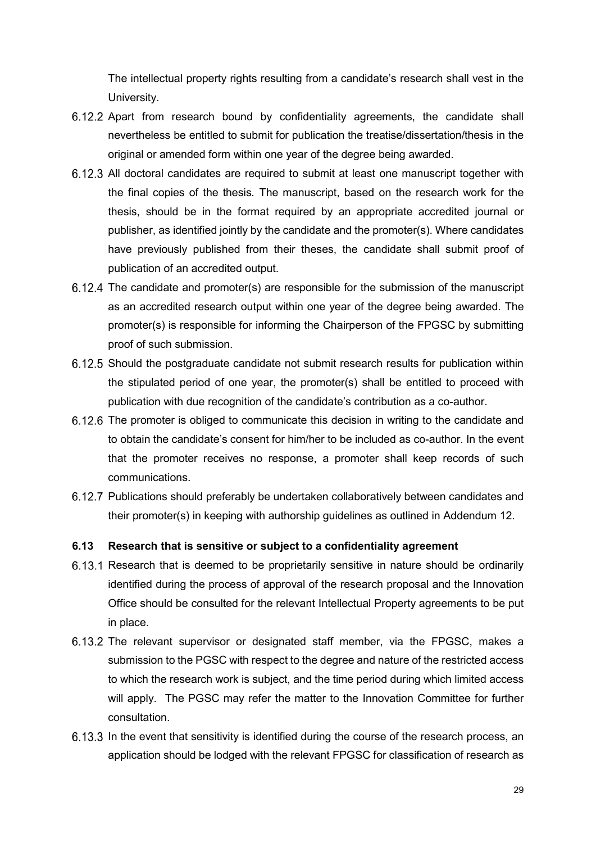The intellectual property rights resulting from a candidate's research shall vest in the University.

- 6.12.2 Apart from research bound by confidentiality agreements, the candidate shall nevertheless be entitled to submit for publication the treatise/dissertation/thesis in the original or amended form within one year of the degree being awarded.
- All doctoral candidates are required to submit at least one manuscript together with the final copies of the thesis*.* The manuscript, based on the research work for the thesis, should be in the format required by an appropriate accredited journal or publisher, as identified jointly by the candidate and the promoter(s). Where candidates have previously published from their theses, the candidate shall submit proof of publication of an accredited output.
- 6.12.4 The candidate and promoter(s) are responsible for the submission of the manuscript as an accredited research output within one year of the degree being awarded. The promoter(s) is responsible for informing the Chairperson of the FPGSC by submitting proof of such submission.
- Should the postgraduate candidate not submit research results for publication within the stipulated period of one year, the promoter(s) shall be entitled to proceed with publication with due recognition of the candidate's contribution as a co-author.
- 6.12.6 The promoter is obliged to communicate this decision in writing to the candidate and to obtain the candidate's consent for him/her to be included as co-author. In the event that the promoter receives no response, a promoter shall keep records of such communications.
- 6.12.7 Publications should preferably be undertaken collaboratively between candidates and their promoter(s) in keeping with authorship guidelines as outlined in Addendum 12.

#### <span id="page-32-0"></span>**6.13 Research that is sensitive or subject to a confidentiality agreement**

- 6.13.1 Research that is deemed to be proprietarily sensitive in nature should be ordinarily identified during the process of approval of the research proposal and the Innovation Office should be consulted for the relevant Intellectual Property agreements to be put in place.
- 6.13.2 The relevant supervisor or designated staff member, via the FPGSC, makes a submission to the PGSC with respect to the degree and nature of the restricted access to which the research work is subject, and the time period during which limited access will apply. The PGSC may refer the matter to the Innovation Committee for further consultation.
- 6.13.3 In the event that sensitivity is identified during the course of the research process, an application should be lodged with the relevant FPGSC for classification of research as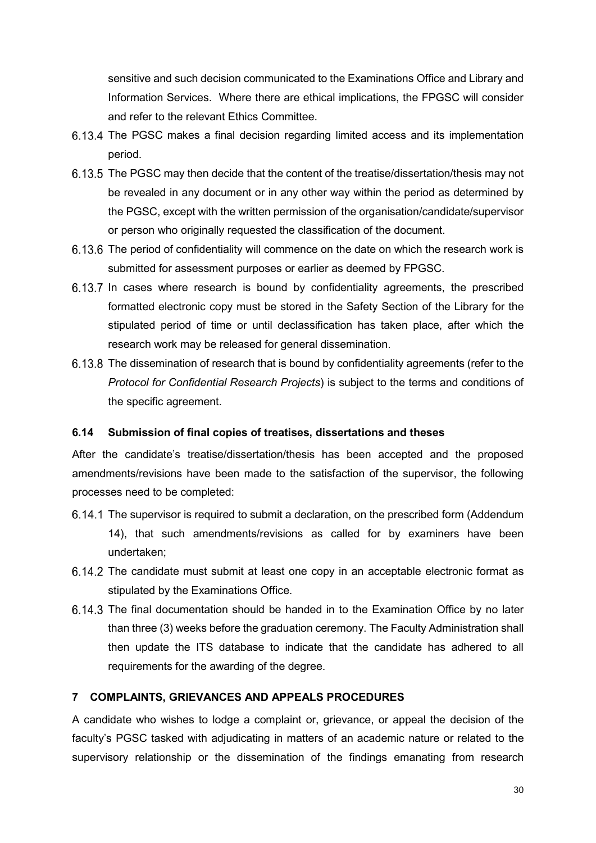sensitive and such decision communicated to the Examinations Office and Library and Information Services. Where there are ethical implications, the FPGSC will consider and refer to the relevant Ethics Committee.

- 6.13.4 The PGSC makes a final decision regarding limited access and its implementation period.
- 6.13.5 The PGSC may then decide that the content of the treatise/dissertation/thesis may not be revealed in any document or in any other way within the period as determined by the PGSC, except with the written permission of the organisation/candidate/supervisor or person who originally requested the classification of the document.
- 6.13.6 The period of confidentiality will commence on the date on which the research work is submitted for assessment purposes or earlier as deemed by FPGSC.
- 6.13.7 In cases where research is bound by confidentiality agreements, the prescribed formatted electronic copy must be stored in the Safety Section of the Library for the stipulated period of time or until declassification has taken place, after which the research work may be released for general dissemination.
- 6.13.8 The dissemination of research that is bound by confidentiality agreements (refer to the *Protocol for Confidential Research Projects*) is subject to the terms and conditions of the specific agreement.

## <span id="page-33-0"></span>**6.14 Submission of final copies of treatises, dissertations and theses**

After the candidate's treatise/dissertation/thesis has been accepted and the proposed amendments/revisions have been made to the satisfaction of the supervisor, the following processes need to be completed:

- The supervisor is required to submit a declaration, on the prescribed form (Addendum 14), that such amendments/revisions as called for by examiners have been undertaken;
- 6.14.2 The candidate must submit at least one copy in an acceptable electronic format as stipulated by the Examinations Office.
- 6.14.3 The final documentation should be handed in to the Examination Office by no later than three (3) weeks before the graduation ceremony. The Faculty Administration shall then update the ITS database to indicate that the candidate has adhered to all requirements for the awarding of the degree.

## <span id="page-33-1"></span>**7 COMPLAINTS, GRIEVANCES AND APPEALS PROCEDURES**

A candidate who wishes to lodge a complaint or, grievance, or appeal the decision of the faculty's PGSC tasked with adjudicating in matters of an academic nature or related to the supervisory relationship or the dissemination of the findings emanating from research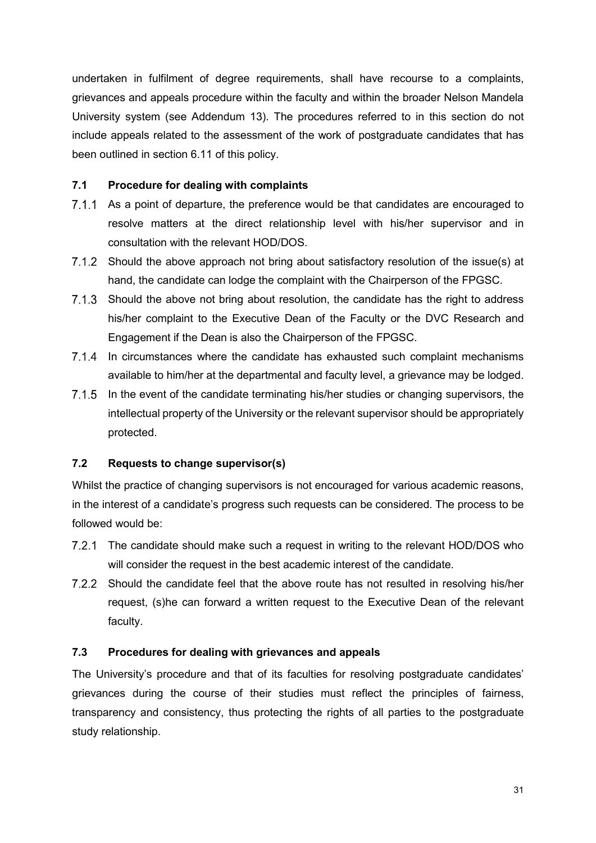undertaken in fulfilment of degree requirements, shall have recourse to a complaints, grievances and appeals procedure within the faculty and within the broader Nelson Mandela University system (see Addendum 13). The procedures referred to in this section do not include appeals related to the assessment of the work of postgraduate candidates that has been outlined in section 6.11 of this policy.

## <span id="page-34-0"></span>**7.1 Procedure for dealing with complaints**

- 7.1.1 As a point of departure, the preference would be that candidates are encouraged to resolve matters at the direct relationship level with his/her supervisor and in consultation with the relevant HOD/DOS.
- Should the above approach not bring about satisfactory resolution of the issue(s) at hand, the candidate can lodge the complaint with the Chairperson of the FPGSC.
- 7.1.3 Should the above not bring about resolution, the candidate has the right to address his/her complaint to the Executive Dean of the Faculty or the DVC Research and Engagement if the Dean is also the Chairperson of the FPGSC.
- $7.1.4$ In circumstances where the candidate has exhausted such complaint mechanisms available to him/her at the departmental and faculty level, a grievance may be lodged.
- 7.1.5 In the event of the candidate terminating his/her studies or changing supervisors, the intellectual property of the University or the relevant supervisor should be appropriately protected.

## <span id="page-34-1"></span>**7.2 Requests to change supervisor(s)**

Whilst the practice of changing supervisors is not encouraged for various academic reasons, in the interest of a candidate's progress such requests can be considered. The process to be followed would be:

- The candidate should make such a request in writing to the relevant HOD/DOS who will consider the request in the best academic interest of the candidate.
- 7.2.2 Should the candidate feel that the above route has not resulted in resolving his/her request, (s)he can forward a written request to the Executive Dean of the relevant faculty.

## <span id="page-34-2"></span>**7.3 Procedures for dealing with grievances and appeals**

The University's procedure and that of its faculties for resolving postgraduate candidates' grievances during the course of their studies must reflect the principles of fairness, transparency and consistency, thus protecting the rights of all parties to the postgraduate study relationship.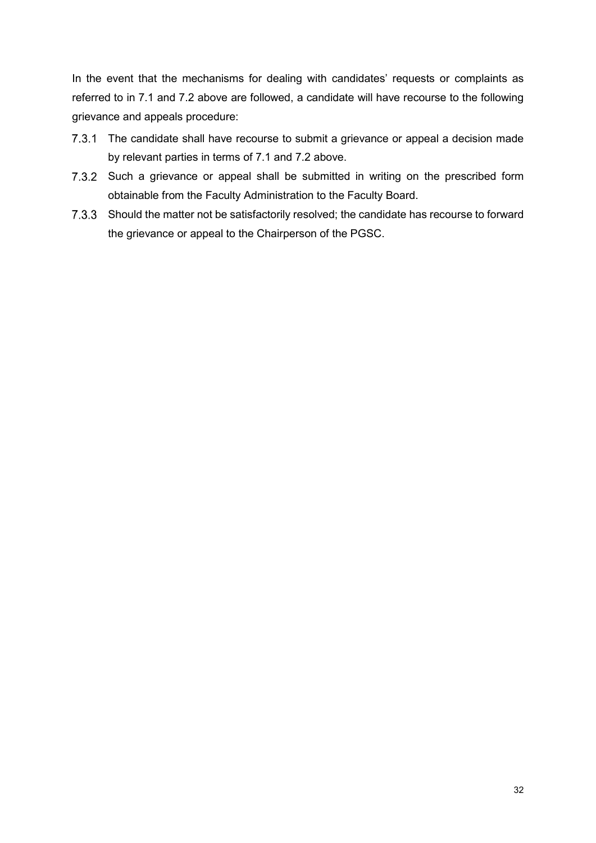In the event that the mechanisms for dealing with candidates' requests or complaints as referred to in 7.1 and 7.2 above are followed, a candidate will have recourse to the following grievance and appeals procedure:

- 7.3.1 The candidate shall have recourse to submit a grievance or appeal a decision made by relevant parties in terms of 7.1 and 7.2 above.
- 7.3.2 Such a grievance or appeal shall be submitted in writing on the prescribed form obtainable from the Faculty Administration to the Faculty Board.
- 7.3.3 Should the matter not be satisfactorily resolved; the candidate has recourse to forward the grievance or appeal to the Chairperson of the PGSC.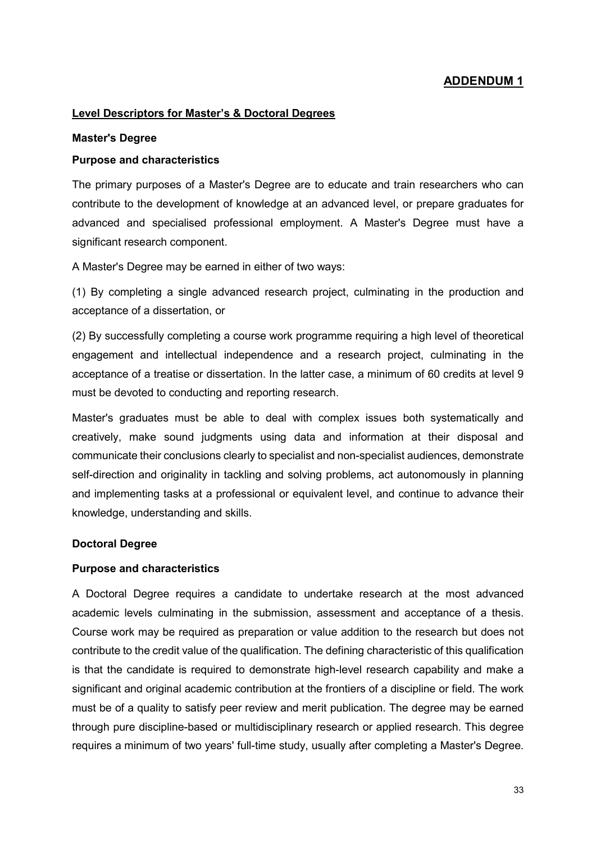#### **Level Descriptors for Master's & Doctoral Degrees**

#### **Master's Degree**

#### **Purpose and characteristics**

The primary purposes of a Master's Degree are to educate and train researchers who can contribute to the development of knowledge at an advanced level, or prepare graduates for advanced and specialised professional employment. A Master's Degree must have a significant research component.

A Master's Degree may be earned in either of two ways:

(1) By completing a single advanced research project, culminating in the production and acceptance of a dissertation, or

(2) By successfully completing a course work programme requiring a high level of theoretical engagement and intellectual independence and a research project, culminating in the acceptance of a treatise or dissertation. In the latter case, a minimum of 60 credits at level 9 must be devoted to conducting and reporting research.

Master's graduates must be able to deal with complex issues both systematically and creatively, make sound judgments using data and information at their disposal and communicate their conclusions clearly to specialist and non-specialist audiences, demonstrate self-direction and originality in tackling and solving problems, act autonomously in planning and implementing tasks at a professional or equivalent level, and continue to advance their knowledge, understanding and skills.

#### **Doctoral Degree**

#### **Purpose and characteristics**

A Doctoral Degree requires a candidate to undertake research at the most advanced academic levels culminating in the submission, assessment and acceptance of a thesis. Course work may be required as preparation or value addition to the research but does not contribute to the credit value of the qualification. The defining characteristic of this qualification is that the candidate is required to demonstrate high-level research capability and make a significant and original academic contribution at the frontiers of a discipline or field. The work must be of a quality to satisfy peer review and merit publication. The degree may be earned through pure discipline-based or multidisciplinary research or applied research. This degree requires a minimum of two years' full-time study, usually after completing a Master's Degree.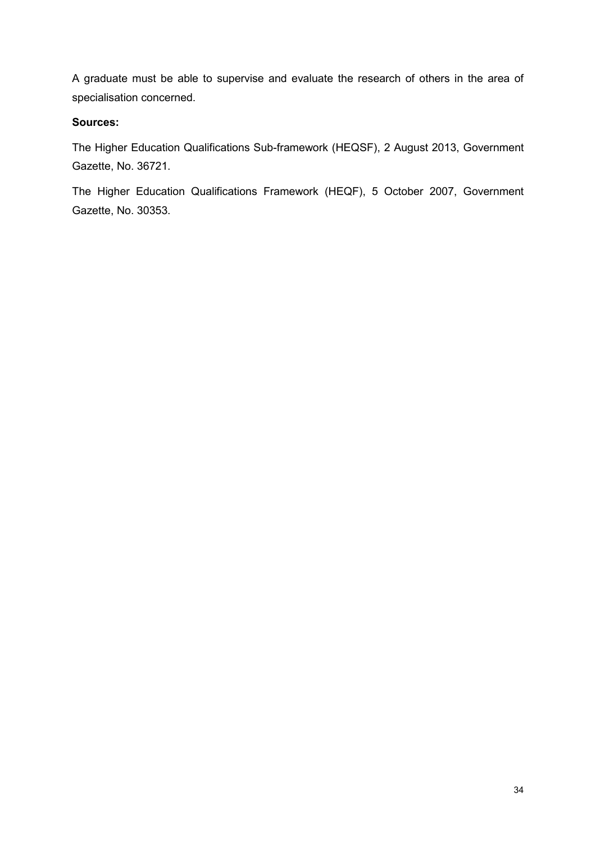A graduate must be able to supervise and evaluate the research of others in the area of specialisation concerned.

## **Sources:**

The Higher Education Qualifications Sub-framework (HEQSF), 2 August 2013, Government Gazette, No. 36721.

The Higher Education Qualifications Framework (HEQF), 5 October 2007, Government Gazette, No. 30353.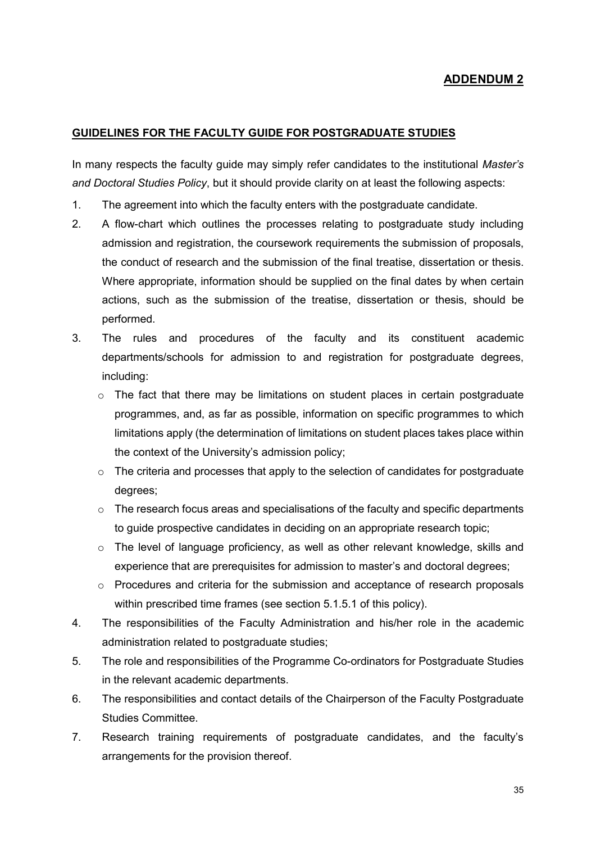#### **GUIDELINES FOR THE FACULTY GUIDE FOR POSTGRADUATE STUDIES**

In many respects the faculty guide may simply refer candidates to the institutional *Master's and Doctoral Studies Policy*, but it should provide clarity on at least the following aspects:

- 1. The agreement into which the faculty enters with the postgraduate candidate.
- 2. A flow-chart which outlines the processes relating to postgraduate study including admission and registration, the coursework requirements the submission of proposals, the conduct of research and the submission of the final treatise, dissertation or thesis. Where appropriate, information should be supplied on the final dates by when certain actions, such as the submission of the treatise, dissertation or thesis, should be performed.
- 3. The rules and procedures of the faculty and its constituent academic departments/schools for admission to and registration for postgraduate degrees, including:
	- $\circ$  The fact that there may be limitations on student places in certain postgraduate programmes, and, as far as possible, information on specific programmes to which limitations apply (the determination of limitations on student places takes place within the context of the University's admission policy;
	- $\circ$  The criteria and processes that apply to the selection of candidates for postgraduate degrees;
	- $\circ$  The research focus areas and specialisations of the faculty and specific departments to guide prospective candidates in deciding on an appropriate research topic;
	- $\circ$  The level of language proficiency, as well as other relevant knowledge, skills and experience that are prerequisites for admission to master's and doctoral degrees;
	- o Procedures and criteria for the submission and acceptance of research proposals within prescribed time frames (see section 5.1.5.1 of this policy).
- 4. The responsibilities of the Faculty Administration and his/her role in the academic administration related to postgraduate studies;
- 5. The role and responsibilities of the Programme Co-ordinators for Postgraduate Studies in the relevant academic departments.
- 6. The responsibilities and contact details of the Chairperson of the Faculty Postgraduate Studies Committee.
- 7. Research training requirements of postgraduate candidates, and the faculty's arrangements for the provision thereof.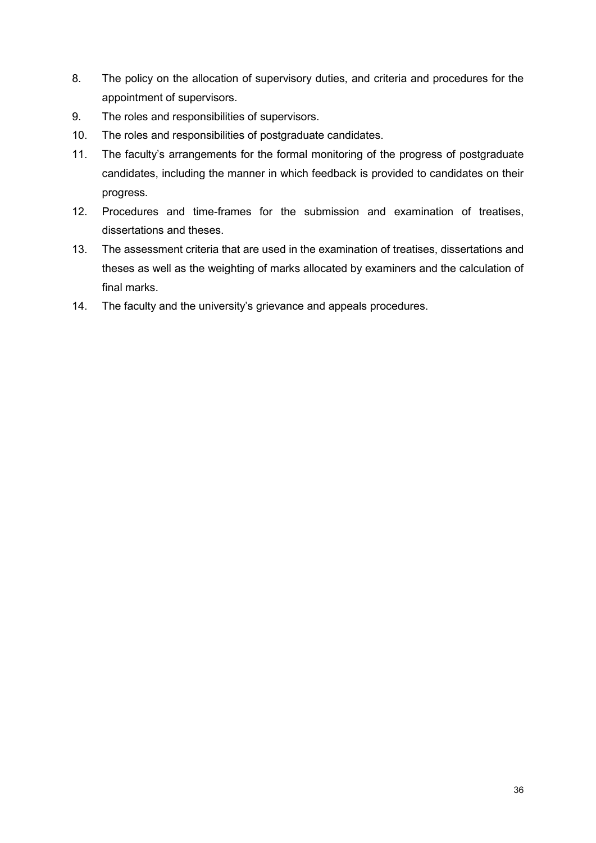- 8. The policy on the allocation of supervisory duties, and criteria and procedures for the appointment of supervisors.
- 9. The roles and responsibilities of supervisors.
- 10. The roles and responsibilities of postgraduate candidates.
- 11. The faculty's arrangements for the formal monitoring of the progress of postgraduate candidates, including the manner in which feedback is provided to candidates on their progress.
- 12. Procedures and time-frames for the submission and examination of treatises, dissertations and theses.
- 13. The assessment criteria that are used in the examination of treatises, dissertations and theses as well as the weighting of marks allocated by examiners and the calculation of final marks.
- 14. The faculty and the university's grievance and appeals procedures.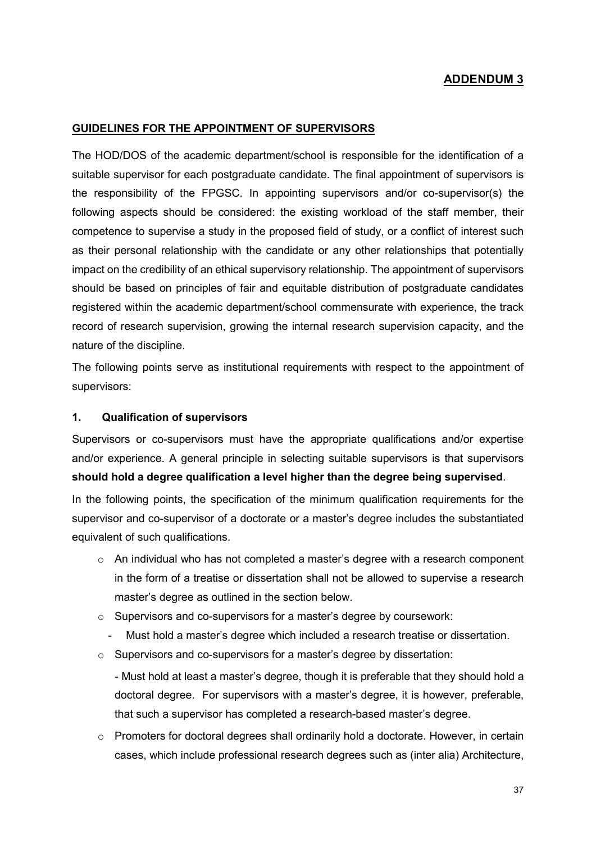#### **GUIDELINES FOR THE APPOINTMENT OF SUPERVISORS**

The HOD/DOS of the academic department/school is responsible for the identification of a suitable supervisor for each postgraduate candidate. The final appointment of supervisors is the responsibility of the FPGSC. In appointing supervisors and/or co-supervisor(s) the following aspects should be considered: the existing workload of the staff member, their competence to supervise a study in the proposed field of study, or a conflict of interest such as their personal relationship with the candidate or any other relationships that potentially impact on the credibility of an ethical supervisory relationship. The appointment of supervisors should be based on principles of fair and equitable distribution of postgraduate candidates registered within the academic department/school commensurate with experience, the track record of research supervision, growing the internal research supervision capacity, and the nature of the discipline.

The following points serve as institutional requirements with respect to the appointment of supervisors:

#### **1. Qualification of supervisors**

Supervisors or co-supervisors must have the appropriate qualifications and/or expertise and/or experience. A general principle in selecting suitable supervisors is that supervisors **should hold a degree qualification a level higher than the degree being supervised**.

In the following points, the specification of the minimum qualification requirements for the supervisor and co-supervisor of a doctorate or a master's degree includes the substantiated equivalent of such qualifications.

- o An individual who has not completed a master's degree with a research component in the form of a treatise or dissertation shall not be allowed to supervise a research master's degree as outlined in the section below.
- o Supervisors and co-supervisors for a master's degree by coursework:
	- Must hold a master's degree which included a research treatise or dissertation.
- o Supervisors and co-supervisors for a master's degree by dissertation:

- Must hold at least a master's degree, though it is preferable that they should hold a doctoral degree. For supervisors with a master's degree, it is however, preferable, that such a supervisor has completed a research-based master's degree.

 $\circ$  Promoters for doctoral degrees shall ordinarily hold a doctorate. However, in certain cases, which include professional research degrees such as (inter alia) Architecture,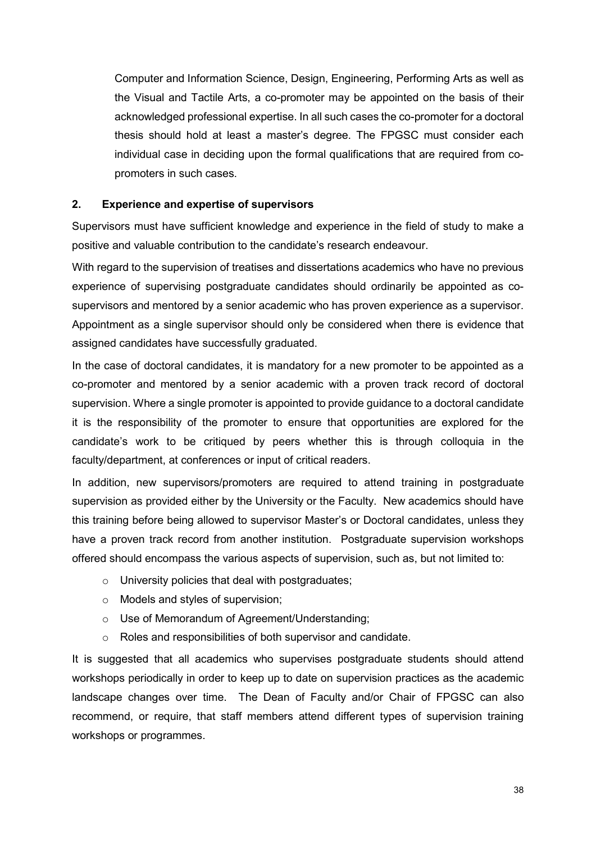Computer and Information Science, Design, Engineering, Performing Arts as well as the Visual and Tactile Arts, a co-promoter may be appointed on the basis of their acknowledged professional expertise. In all such cases the co-promoter for a doctoral thesis should hold at least a master's degree. The FPGSC must consider each individual case in deciding upon the formal qualifications that are required from copromoters in such cases.

#### **2. Experience and expertise of supervisors**

Supervisors must have sufficient knowledge and experience in the field of study to make a positive and valuable contribution to the candidate's research endeavour.

With regard to the supervision of treatises and dissertations academics who have no previous experience of supervising postgraduate candidates should ordinarily be appointed as cosupervisors and mentored by a senior academic who has proven experience as a supervisor. Appointment as a single supervisor should only be considered when there is evidence that assigned candidates have successfully graduated.

In the case of doctoral candidates, it is mandatory for a new promoter to be appointed as a co-promoter and mentored by a senior academic with a proven track record of doctoral supervision. Where a single promoter is appointed to provide guidance to a doctoral candidate it is the responsibility of the promoter to ensure that opportunities are explored for the candidate's work to be critiqued by peers whether this is through colloquia in the faculty/department, at conferences or input of critical readers.

In addition, new supervisors/promoters are required to attend training in postgraduate supervision as provided either by the University or the Faculty. New academics should have this training before being allowed to supervisor Master's or Doctoral candidates, unless they have a proven track record from another institution. Postgraduate supervision workshops offered should encompass the various aspects of supervision, such as, but not limited to:

- $\circ$  University policies that deal with postgraduates;
- o Models and styles of supervision;
- o Use of Memorandum of Agreement/Understanding;
- o Roles and responsibilities of both supervisor and candidate.

It is suggested that all academics who supervises postgraduate students should attend workshops periodically in order to keep up to date on supervision practices as the academic landscape changes over time. The Dean of Faculty and/or Chair of FPGSC can also recommend, or require, that staff members attend different types of supervision training workshops or programmes.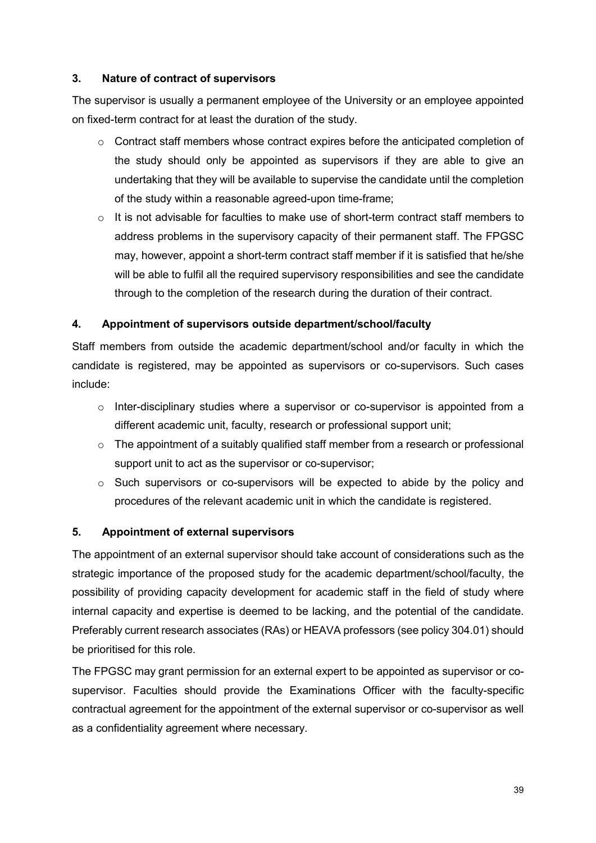## **3. Nature of contract of supervisors**

The supervisor is usually a permanent employee of the University or an employee appointed on fixed-term contract for at least the duration of the study.

- o Contract staff members whose contract expires before the anticipated completion of the study should only be appointed as supervisors if they are able to give an undertaking that they will be available to supervise the candidate until the completion of the study within a reasonable agreed-upon time-frame;
- $\circ$  It is not advisable for faculties to make use of short-term contract staff members to address problems in the supervisory capacity of their permanent staff. The FPGSC may, however, appoint a short-term contract staff member if it is satisfied that he/she will be able to fulfil all the required supervisory responsibilities and see the candidate through to the completion of the research during the duration of their contract.

## **4. Appointment of supervisors outside department/school/faculty**

Staff members from outside the academic department/school and/or faculty in which the candidate is registered, may be appointed as supervisors or co-supervisors. Such cases include:

- $\circ$  Inter-disciplinary studies where a supervisor or co-supervisor is appointed from a different academic unit, faculty, research or professional support unit;
- $\circ$  The appointment of a suitably qualified staff member from a research or professional support unit to act as the supervisor or co-supervisor;
- o Such supervisors or co-supervisors will be expected to abide by the policy and procedures of the relevant academic unit in which the candidate is registered.

#### **5. Appointment of external supervisors**

The appointment of an external supervisor should take account of considerations such as the strategic importance of the proposed study for the academic department/school/faculty, the possibility of providing capacity development for academic staff in the field of study where internal capacity and expertise is deemed to be lacking, and the potential of the candidate. Preferably current research associates (RAs) or HEAVA professors (see policy 304.01) should be prioritised for this role.

The FPGSC may grant permission for an external expert to be appointed as supervisor or cosupervisor. Faculties should provide the Examinations Officer with the faculty-specific contractual agreement for the appointment of the external supervisor or co-supervisor as well as a confidentiality agreement where necessary.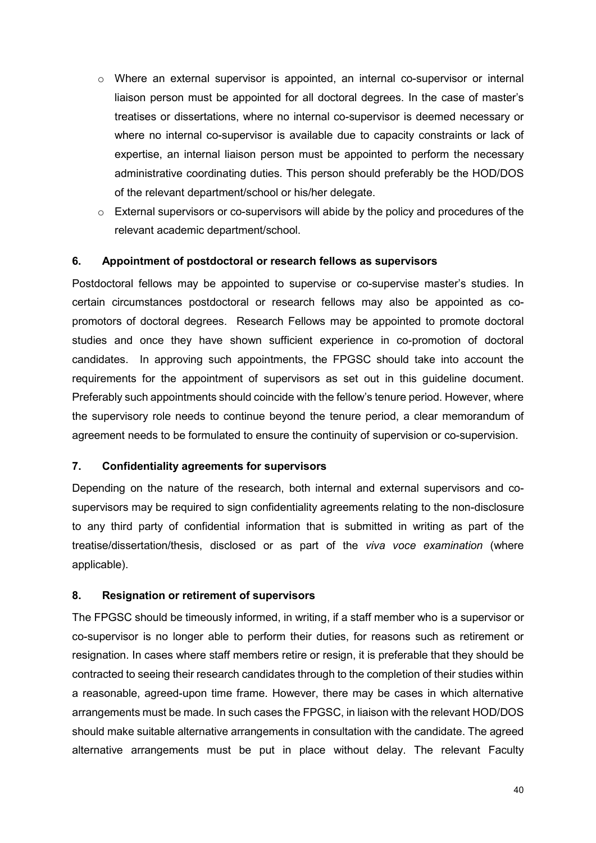- $\circ$  Where an external supervisor is appointed, an internal co-supervisor or internal liaison person must be appointed for all doctoral degrees. In the case of master's treatises or dissertations, where no internal co-supervisor is deemed necessary or where no internal co-supervisor is available due to capacity constraints or lack of expertise, an internal liaison person must be appointed to perform the necessary administrative coordinating duties. This person should preferably be the HOD/DOS of the relevant department/school or his/her delegate.
- o External supervisors or co-supervisors will abide by the policy and procedures of the relevant academic department/school.

#### **6. Appointment of postdoctoral or research fellows as supervisors**

Postdoctoral fellows may be appointed to supervise or co-supervise master's studies. In certain circumstances postdoctoral or research fellows may also be appointed as copromotors of doctoral degrees. Research Fellows may be appointed to promote doctoral studies and once they have shown sufficient experience in co-promotion of doctoral candidates. In approving such appointments, the FPGSC should take into account the requirements for the appointment of supervisors as set out in this guideline document. Preferably such appointments should coincide with the fellow's tenure period. However, where the supervisory role needs to continue beyond the tenure period, a clear memorandum of agreement needs to be formulated to ensure the continuity of supervision or co-supervision.

#### **7. Confidentiality agreements for supervisors**

Depending on the nature of the research, both internal and external supervisors and cosupervisors may be required to sign confidentiality agreements relating to the non-disclosure to any third party of confidential information that is submitted in writing as part of the treatise/dissertation/thesis, disclosed or as part of the *viva voce examination* (where applicable).

## **8. Resignation or retirement of supervisors**

The FPGSC should be timeously informed, in writing, if a staff member who is a supervisor or co-supervisor is no longer able to perform their duties, for reasons such as retirement or resignation. In cases where staff members retire or resign, it is preferable that they should be contracted to seeing their research candidates through to the completion of their studies within a reasonable, agreed-upon time frame. However, there may be cases in which alternative arrangements must be made. In such cases the FPGSC, in liaison with the relevant HOD/DOS should make suitable alternative arrangements in consultation with the candidate. The agreed alternative arrangements must be put in place without delay. The relevant Faculty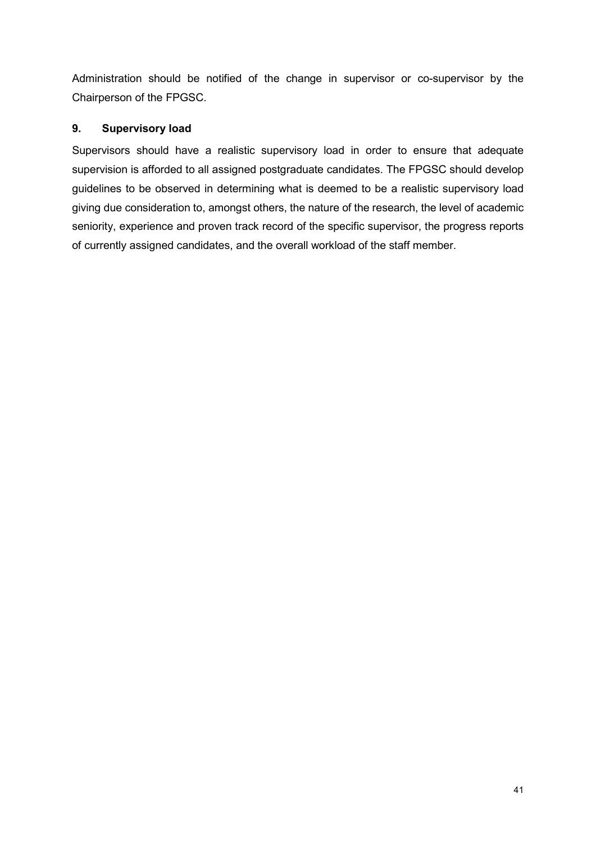Administration should be notified of the change in supervisor or co-supervisor by the Chairperson of the FPGSC.

## **9. Supervisory load**

Supervisors should have a realistic supervisory load in order to ensure that adequate supervision is afforded to all assigned postgraduate candidates. The FPGSC should develop guidelines to be observed in determining what is deemed to be a realistic supervisory load giving due consideration to, amongst others, the nature of the research, the level of academic seniority, experience and proven track record of the specific supervisor, the progress reports of currently assigned candidates, and the overall workload of the staff member.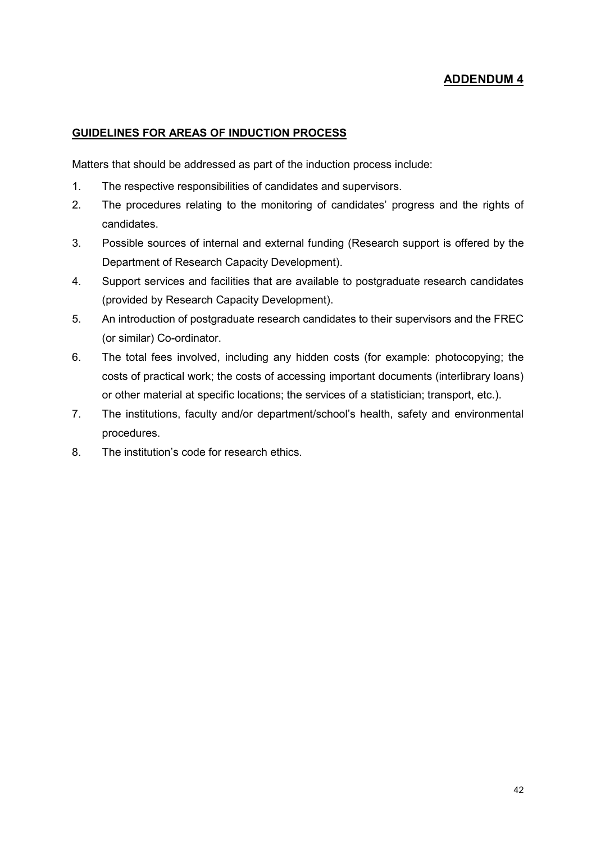#### **GUIDELINES FOR AREAS OF INDUCTION PROCESS**

Matters that should be addressed as part of the induction process include:

- 1. The respective responsibilities of candidates and supervisors.
- 2. The procedures relating to the monitoring of candidates' progress and the rights of candidates.
- 3. Possible sources of internal and external funding (Research support is offered by the Department of Research Capacity Development).
- 4. Support services and facilities that are available to postgraduate research candidates (provided by Research Capacity Development).
- 5. An introduction of postgraduate research candidates to their supervisors and the FREC (or similar) Co-ordinator.
- 6. The total fees involved, including any hidden costs (for example: photocopying; the costs of practical work; the costs of accessing important documents (interlibrary loans) or other material at specific locations; the services of a statistician; transport, etc.).
- 7. The institutions, faculty and/or department/school's health, safety and environmental procedures.
- 8. The institution's code for research ethics.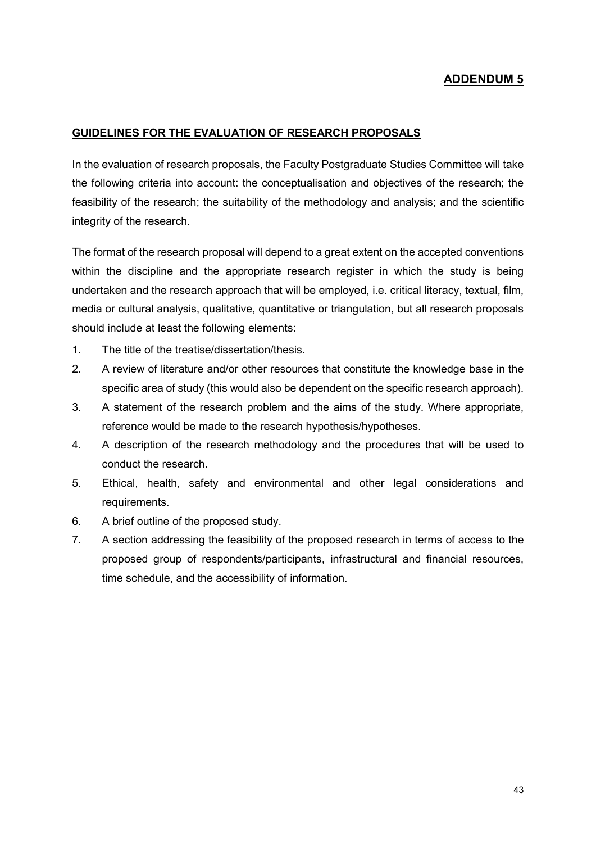#### **GUIDELINES FOR THE EVALUATION OF RESEARCH PROPOSALS**

In the evaluation of research proposals, the Faculty Postgraduate Studies Committee will take the following criteria into account: the conceptualisation and objectives of the research; the feasibility of the research; the suitability of the methodology and analysis; and the scientific integrity of the research.

The format of the research proposal will depend to a great extent on the accepted conventions within the discipline and the appropriate research register in which the study is being undertaken and the research approach that will be employed, i.e. critical literacy, textual, film, media or cultural analysis, qualitative, quantitative or triangulation, but all research proposals should include at least the following elements:

- 1. The title of the treatise/dissertation/thesis.
- 2. A review of literature and/or other resources that constitute the knowledge base in the specific area of study (this would also be dependent on the specific research approach).
- 3. A statement of the research problem and the aims of the study. Where appropriate, reference would be made to the research hypothesis/hypotheses.
- 4. A description of the research methodology and the procedures that will be used to conduct the research.
- 5. Ethical, health, safety and environmental and other legal considerations and requirements.
- 6. A brief outline of the proposed study.
- 7. A section addressing the feasibility of the proposed research in terms of access to the proposed group of respondents/participants, infrastructural and financial resources, time schedule, and the accessibility of information.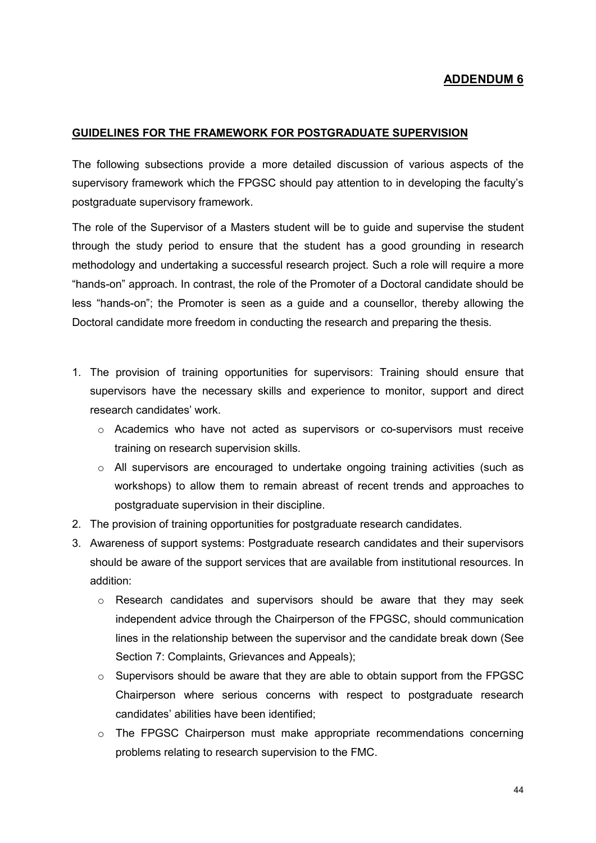#### **GUIDELINES FOR THE FRAMEWORK FOR POSTGRADUATE SUPERVISION**

The following subsections provide a more detailed discussion of various aspects of the supervisory framework which the FPGSC should pay attention to in developing the faculty's postgraduate supervisory framework.

The role of the Supervisor of a Masters student will be to guide and supervise the student through the study period to ensure that the student has a good grounding in research methodology and undertaking a successful research project. Such a role will require a more "hands-on" approach. In contrast, the role of the Promoter of a Doctoral candidate should be less "hands-on"; the Promoter is seen as a guide and a counsellor, thereby allowing the Doctoral candidate more freedom in conducting the research and preparing the thesis.

- 1. The provision of training opportunities for supervisors: Training should ensure that supervisors have the necessary skills and experience to monitor, support and direct research candidates' work.
	- $\circ$  Academics who have not acted as supervisors or co-supervisors must receive training on research supervision skills.
	- o All supervisors are encouraged to undertake ongoing training activities (such as workshops) to allow them to remain abreast of recent trends and approaches to postgraduate supervision in their discipline.
- 2. The provision of training opportunities for postgraduate research candidates.
- 3. Awareness of support systems: Postgraduate research candidates and their supervisors should be aware of the support services that are available from institutional resources. In addition:
	- $\circ$  Research candidates and supervisors should be aware that they may seek independent advice through the Chairperson of the FPGSC, should communication lines in the relationship between the supervisor and the candidate break down (See Section 7: Complaints, Grievances and Appeals);
	- $\circ$  Supervisors should be aware that they are able to obtain support from the FPGSC Chairperson where serious concerns with respect to postgraduate research candidates' abilities have been identified;
	- $\circ$  The FPGSC Chairperson must make appropriate recommendations concerning problems relating to research supervision to the FMC.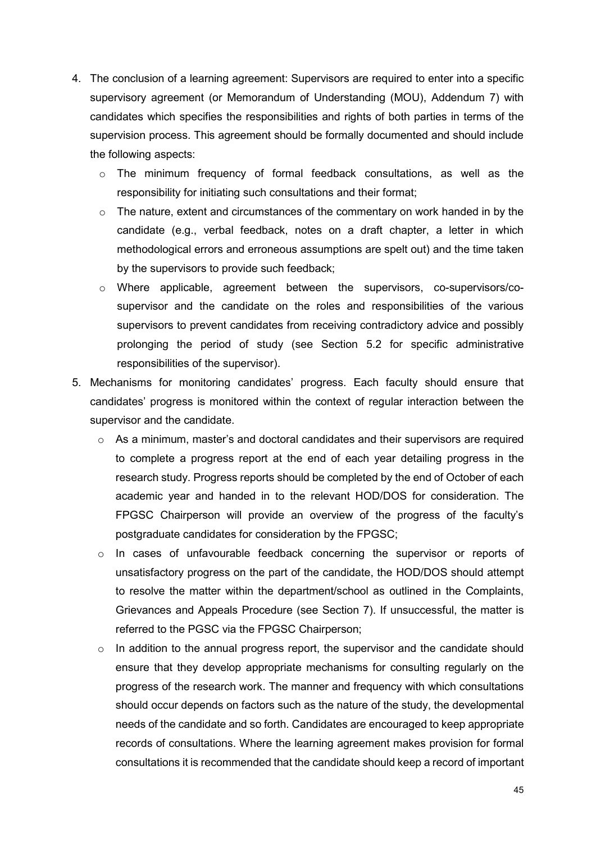- 4. The conclusion of a learning agreement: Supervisors are required to enter into a specific supervisory agreement (or Memorandum of Understanding (MOU), Addendum 7) with candidates which specifies the responsibilities and rights of both parties in terms of the supervision process. This agreement should be formally documented and should include the following aspects:
	- o The minimum frequency of formal feedback consultations, as well as the responsibility for initiating such consultations and their format;
	- $\circ$  The nature, extent and circumstances of the commentary on work handed in by the candidate (e.g., verbal feedback, notes on a draft chapter, a letter in which methodological errors and erroneous assumptions are spelt out) and the time taken by the supervisors to provide such feedback;
	- o Where applicable, agreement between the supervisors, co-supervisors/cosupervisor and the candidate on the roles and responsibilities of the various supervisors to prevent candidates from receiving contradictory advice and possibly prolonging the period of study (see Section 5.2 for specific administrative responsibilities of the supervisor).
- 5. Mechanisms for monitoring candidates' progress. Each faculty should ensure that candidates' progress is monitored within the context of regular interaction between the supervisor and the candidate.
	- o As a minimum, master's and doctoral candidates and their supervisors are required to complete a progress report at the end of each year detailing progress in the research study. Progress reports should be completed by the end of October of each academic year and handed in to the relevant HOD/DOS for consideration. The FPGSC Chairperson will provide an overview of the progress of the faculty's postgraduate candidates for consideration by the FPGSC;
	- $\circ$  In cases of unfavourable feedback concerning the supervisor or reports of unsatisfactory progress on the part of the candidate, the HOD/DOS should attempt to resolve the matter within the department/school as outlined in the Complaints, Grievances and Appeals Procedure (see Section 7). If unsuccessful, the matter is referred to the PGSC via the FPGSC Chairperson;
	- $\circ$  In addition to the annual progress report, the supervisor and the candidate should ensure that they develop appropriate mechanisms for consulting regularly on the progress of the research work. The manner and frequency with which consultations should occur depends on factors such as the nature of the study, the developmental needs of the candidate and so forth. Candidates are encouraged to keep appropriate records of consultations. Where the learning agreement makes provision for formal consultations it is recommended that the candidate should keep a record of important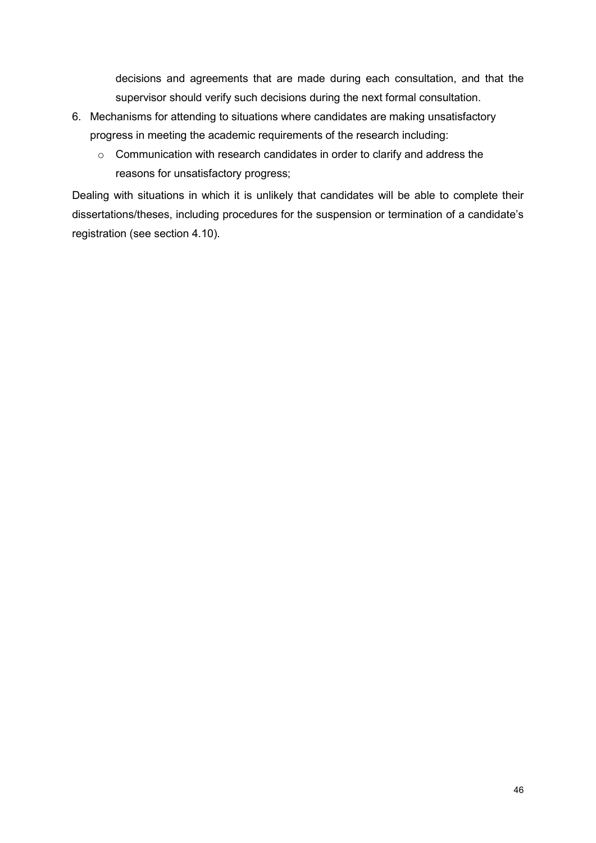decisions and agreements that are made during each consultation, and that the supervisor should verify such decisions during the next formal consultation.

- 6. Mechanisms for attending to situations where candidates are making unsatisfactory progress in meeting the academic requirements of the research including:
	- o Communication with research candidates in order to clarify and address the reasons for unsatisfactory progress;

Dealing with situations in which it is unlikely that candidates will be able to complete their dissertations/theses, including procedures for the suspension or termination of a candidate's registration (see section 4.10).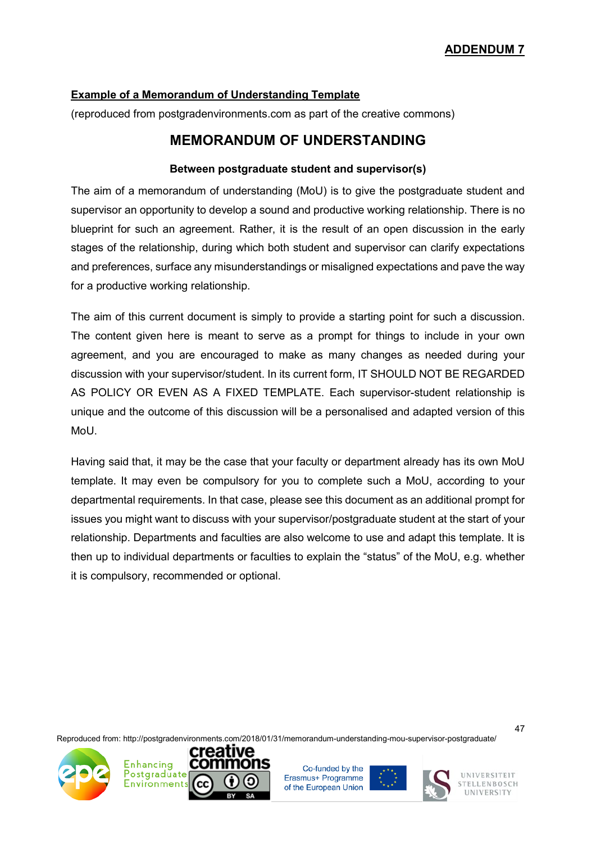## **Example of a Memorandum of Understanding Template**

(reproduced from postgradenvironments.com as part of the creative commons)

# **MEMORANDUM OF UNDERSTANDING**

### **Between postgraduate student and supervisor(s)**

The aim of a memorandum of understanding (MoU) is to give the postgraduate student and supervisor an opportunity to develop a sound and productive working relationship. There is no blueprint for such an agreement. Rather, it is the result of an open discussion in the early stages of the relationship, during which both student and supervisor can clarify expectations and preferences, surface any misunderstandings or misaligned expectations and pave the way for a productive working relationship.

The aim of this current document is simply to provide a starting point for such a discussion. The content given here is meant to serve as a prompt for things to include in your own agreement, and you are encouraged to make as many changes as needed during your discussion with your supervisor/student. In its current form, IT SHOULD NOT BE REGARDED AS POLICY OR EVEN AS A FIXED TEMPLATE. Each supervisor-student relationship is unique and the outcome of this discussion will be a personalised and adapted version of this MoU.

Having said that, it may be the case that your faculty or department already has its own MoU template. It may even be compulsory for you to complete such a MoU, according to your departmental requirements. In that case, please see this document as an additional prompt for issues you might want to discuss with your supervisor/postgraduate student at the start of your relationship. Departments and faculties are also welcome to use and adapt this template. It is then up to individual departments or faculties to explain the "status" of the MoU, e.g. whether it is compulsory, recommended or optional.

Reproduced from: http://postgradenvironments.com/2018/01/31/memorandum-understanding-mou-supervisor-postgraduate/



Co-funded by the Erasmus+ Programme of the European Union





47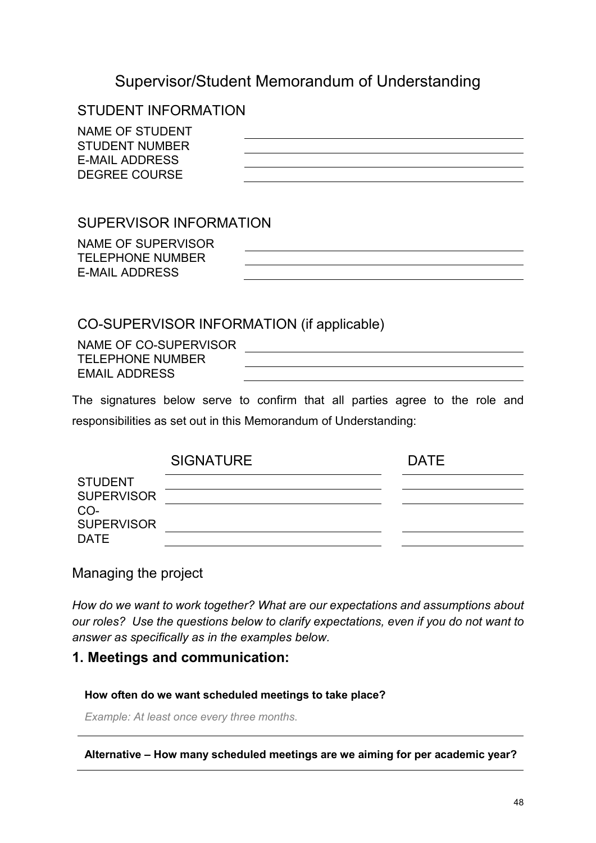# Supervisor/Student Memorandum of Understanding

# STUDENT INFORMATION

| NAME OF STUDENT       |  |
|-----------------------|--|
| <b>STUDENT NUMBER</b> |  |
| E-MAIL ADDRESS        |  |
| DEGREE COURSE         |  |

# SUPERVISOR INFORMATION

NAME OF SUPERVISOR TELEPHONE NUMBER E-MAIL ADDRESS

# CO-SUPERVISOR INFORMATION (if applicable)

NAME OF CO-SUPERVISOR TELEPHONE NUMBER EMAIL ADDRESS

The signatures below serve to confirm that all parties agree to the role and responsibilities as set out in this Memorandum of Understanding:

|                                     | <b>SIGNATURE</b> | <b>DATE</b> |
|-------------------------------------|------------------|-------------|
| <b>STUDENT</b><br><b>SUPERVISOR</b> |                  |             |
| CO-<br><b>SUPERVISOR</b>            |                  |             |
| <b>DATE</b>                         |                  |             |

# Managing the project

*How do we want to work together? What are our expectations and assumptions about our roles? Use the questions below to clarify expectations, even if you do not want to answer as specifically as in the examples below.*

# **1. Meetings and communication:**

#### **How often do we want scheduled meetings to take place?**

*Example: At least once every three months*.

**Alternative – How many scheduled meetings are we aiming for per academic year?**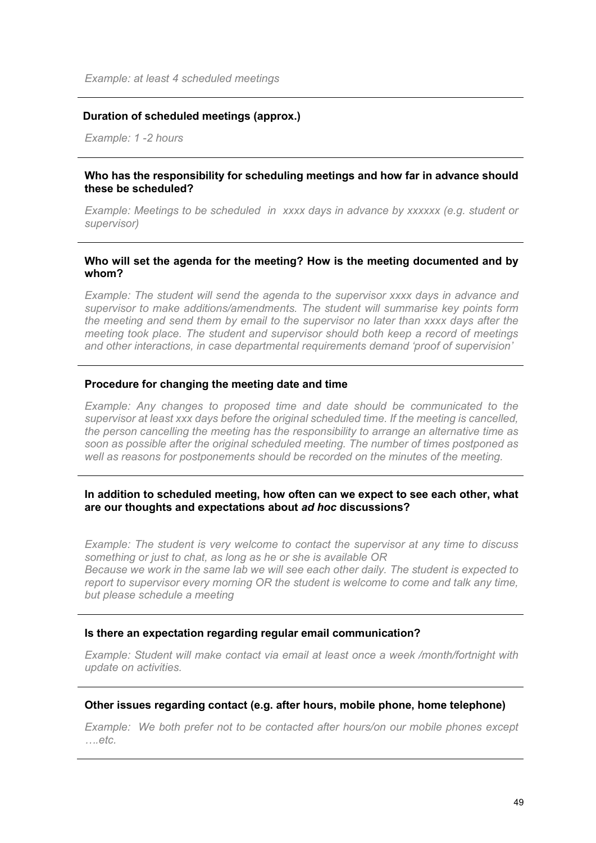#### **Duration of scheduled meetings (approx.)**

*Example: 1 -2 hours*

#### **Who has the responsibility for scheduling meetings and how far in advance should these be scheduled?**

*Example: Meetings to be scheduled in xxxx days in advance by xxxxxx (e.g. student or supervisor)*

#### **Who will set the agenda for the meeting? How is the meeting documented and by whom?**

*Example: The student will send the agenda to the supervisor xxxx days in advance and supervisor to make additions/amendments. The student will summarise key points form the meeting and send them by email to the supervisor no later than xxxx days after the meeting took place. The student and supervisor should both keep a record of meetings and other interactions, in case departmental requirements demand 'proof of supervision'*

#### **Procedure for changing the meeting date and time**

*Example: Any changes to proposed time and date should be communicated to the supervisor at least xxx days before the original scheduled time. If the meeting is cancelled, the person cancelling the meeting has the responsibility to arrange an alternative time as soon as possible after the original scheduled meeting. The number of times postponed as well as reasons for postponements should be recorded on the minutes of the meeting.* 

#### **In addition to scheduled meeting, how often can we expect to see each other, what are our thoughts and expectations about** *ad hoc* **discussions?**

*Example: The student is very welcome to contact the supervisor at any time to discuss something or just to chat, as long as he or she is available OR Because we work in the same lab we will see each other daily. The student is expected to report to supervisor every morning OR the student is welcome to come and talk any time, but please schedule a meeting*

#### **Is there an expectation regarding regular email communication?**

*Example: Student will make contact via email at least once a week /month/fortnight with update on activities.*

#### **Other issues regarding contact (e.g. after hours, mobile phone, home telephone)**

*Example: We both prefer not to be contacted after hours/on our mobile phones except ….etc.*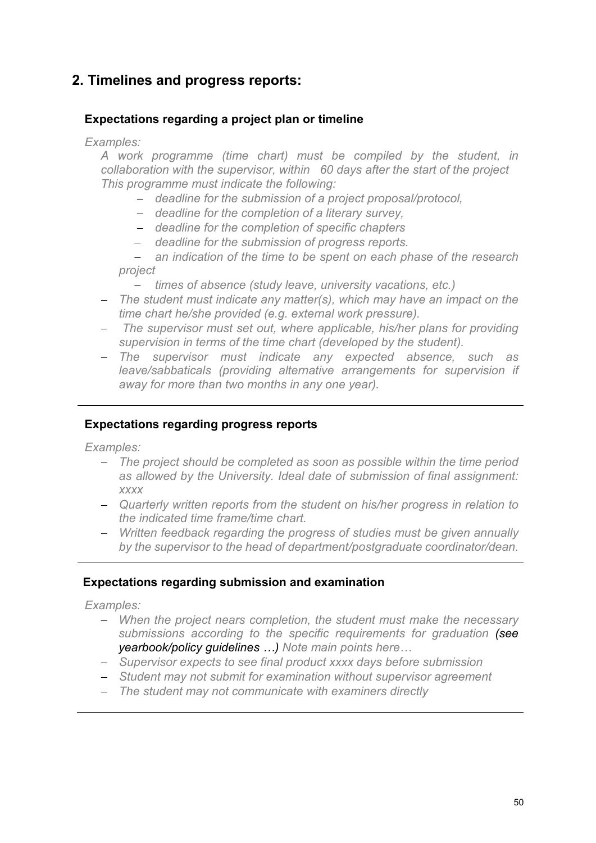# **2. Timelines and progress reports:**

# **Expectations regarding a project plan or timeline**

*Examples:* 

*A work programme (time chart) must be compiled by the student, in collaboration with the supervisor, within 60 days after the start of the project This programme must indicate the following:*

- − *deadline for the submission of a project proposal/protocol,*
- − *deadline for the completion of a literary survey,*
- − *deadline for the completion of specific chapters*
- − *deadline for the submission of progress reports.*

− *an indication of the time to be spent on each phase of the research project* 

- − *times of absence (study leave, university vacations, etc.)*
- − *The student must indicate any matter(s), which may have an impact on the time chart he/she provided (e.g. external work pressure).*
- − *The supervisor must set out, where applicable, his/her plans for providing supervision in terms of the time chart (developed by the student).*
- − *The supervisor must indicate any expected absence, such as leave/sabbaticals (providing alternative arrangements for supervision if away for more than two months in any one year).*

## **Expectations regarding progress reports**

*Examples:* 

- − *The project should be completed as soon as possible within the time period as allowed by the University. Ideal date of submission of final assignment: xxxx*
- − *Quarterly written reports from the student on his/her progress in relation to the indicated time frame/time chart.*
- − *Written feedback regarding the progress of studies must be given annually by the supervisor to the head of department/postgraduate coordinator/dean.*

## **Expectations regarding submission and examination**

*Examples:* 

- − *When the project nears completion, the student must make the necessary submissions according to the specific requirements for graduation (see yearbook/policy guidelines …) Note main points here…*
- − *Supervisor expects to see final product xxxx days before submission*
- − *Student may not submit for examination without supervisor agreement*
- − *The student may not communicate with examiners directly*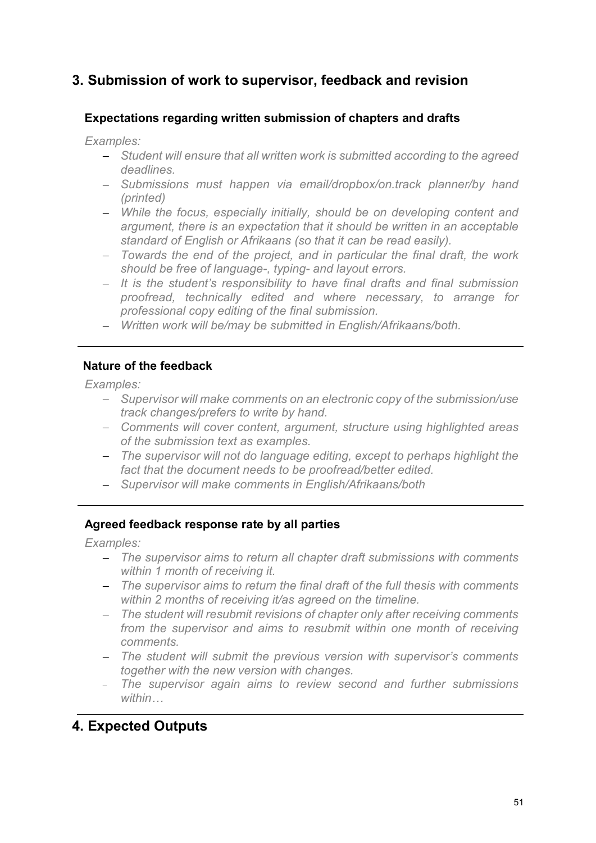# **3. Submission of work to supervisor, feedback and revision**

## **Expectations regarding written submission of chapters and drafts**

*Examples:* 

- − *Student will ensure that all written work is submitted according to the agreed deadlines.*
- − *Submissions must happen via email/dropbox/on.track planner/by hand (printed)*
- − *While the focus, especially initially, should be on developing content and argument, there is an expectation that it should be written in an acceptable standard of English or Afrikaans (so that it can be read easily).*
- − *Towards the end of the project, and in particular the final draft, the work should be free of language-, typing- and layout errors.*
- − *It is the student's responsibility to have final drafts and final submission proofread, technically edited and where necessary, to arrange for professional copy editing of the final submission.*
- − *Written work will be/may be submitted in English/Afrikaans/both.*

## **Nature of the feedback**

*Examples:* 

- − *Supervisor will make comments on an electronic copy of the submission/use track changes/prefers to write by hand.*
- − *Comments will cover content, argument, structure using highlighted areas of the submission text as examples.*
- − *The supervisor will not do language editing, except to perhaps highlight the fact that the document needs to be proofread/better edited.*
- − *Supervisor will make comments in English/Afrikaans/both*

## **Agreed feedback response rate by all parties**

*Examples:* 

- − *The supervisor aims to return all chapter draft submissions with comments within 1 month of receiving it.*
- − *The supervisor aims to return the final draft of the full thesis with comments within 2 months of receiving it/as agreed on the timeline.*
- − *The student will resubmit revisions of chapter only after receiving comments from the supervisor and aims to resubmit within one month of receiving comments.*
- − *The student will submit the previous version with supervisor's comments together with the new version with changes.*
- <sup>−</sup> *The supervisor again aims to review second and further submissions within…*

# **4. Expected Outputs**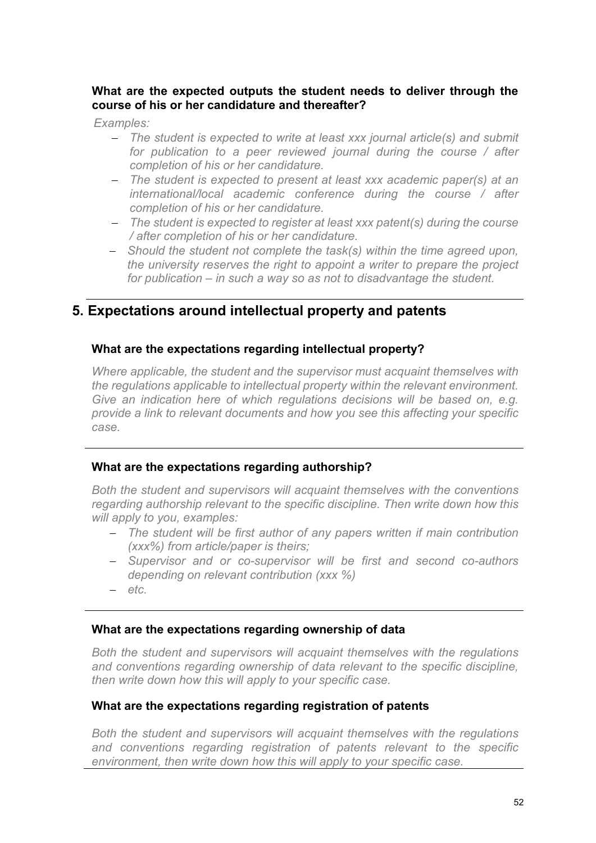## **What are the expected outputs the student needs to deliver through the course of his or her candidature and thereafter?**

*Examples:* 

- − *The student is expected to write at least xxx journal article(s) and submit for publication to a peer reviewed journal during the course / after completion of his or her candidature.*
- − *The student is expected to present at least xxx academic paper(s) at an international/local academic conference during the course / after completion of his or her candidature.*
- − *The student is expected to register at least xxx patent(s) during the course / after completion of his or her candidature.*
- − *Should the student not complete the task(s) within the time agreed upon, the university reserves the right to appoint a writer to prepare the project for publication – in such a way so as not to disadvantage the student.*

# **5. Expectations around intellectual property and patents**

## **What are the expectations regarding intellectual property?**

*Where applicable, the student and the supervisor must acquaint themselves with the regulations applicable to intellectual property within the relevant environment.*  Give an indication here of which regulations decisions will be based on, e.g. *provide a link to relevant documents and how you see this affecting your specific case.*

## **What are the expectations regarding authorship?**

*Both the student and supervisors will acquaint themselves with the conventions regarding authorship relevant to the specific discipline. Then write down how this will apply to you, examples:* 

- − *The student will be first author of any papers written if main contribution (xxx%) from article/paper is theirs;*
- − *Supervisor and or co-supervisor will be first and second co-authors depending on relevant contribution (xxx %)*
- − *etc.*

## **What are the expectations regarding ownership of data**

*Both the student and supervisors will acquaint themselves with the regulations and conventions regarding ownership of data relevant to the specific discipline, then write down how this will apply to your specific case.*

## **What are the expectations regarding registration of patents**

*Both the student and supervisors will acquaint themselves with the regulations and conventions regarding registration of patents relevant to the specific environment, then write down how this will apply to your specific case.*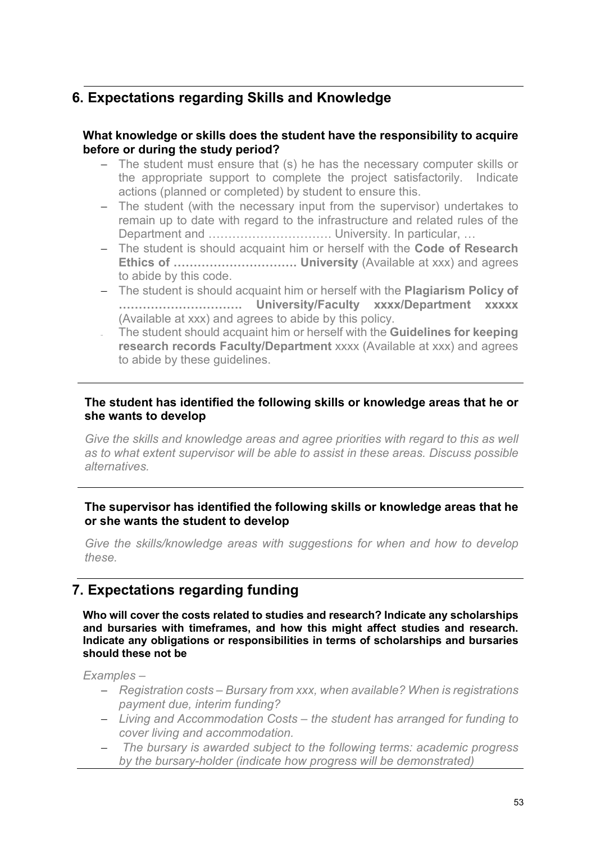# **6. Expectations regarding Skills and Knowledge**

## **What knowledge or skills does the student have the responsibility to acquire before or during the study period?**

- − The student must ensure that (s) he has the necessary computer skills or the appropriate support to complete the project satisfactorily. Indicate actions (planned or completed) by student to ensure this.
- − The student (with the necessary input from the supervisor) undertakes to remain up to date with regard to the infrastructure and related rules of the Department and ………………………………………… University. In particular, ...
- − The student is should acquaint him or herself with the **Code of Research Ethics of …………………………. University** (Available at xxx) and agrees to abide by this code.
- − The student is should acquaint him or herself with the **Plagiarism Policy of …………………………. University/Faculty xxxx/Department xxxxx** (Available at xxx) and agrees to abide by this policy.
- <sup>−</sup> The student should acquaint him or herself with the **Guidelines for keeping research records Faculty/Department** xxxx (Available at xxx) and agrees to abide by these guidelines.

## **The student has identified the following skills or knowledge areas that he or she wants to develop**

Give the skills and knowledge areas and agree priorities with regard to this as well *as to what extent supervisor will be able to assist in these areas. Discuss possible alternatives.* 

## **The supervisor has identified the following skills or knowledge areas that he or she wants the student to develop**

*Give the skills/knowledge areas with suggestions for when and how to develop these.*

# **7. Expectations regarding funding**

**Who will cover the costs related to studies and research? Indicate any scholarships and bursaries with timeframes, and how this might affect studies and research. Indicate any obligations or responsibilities in terms of scholarships and bursaries should these not be** 

*Examples –*

- − *Registration costs – Bursary from xxx, when available? When is registrations payment due, interim funding?*
- − *Living and Accommodation Costs – the student has arranged for funding to cover living and accommodation.*
- − *The bursary is awarded subject to the following terms: academic progress by the bursary-holder (indicate how progress will be demonstrated)*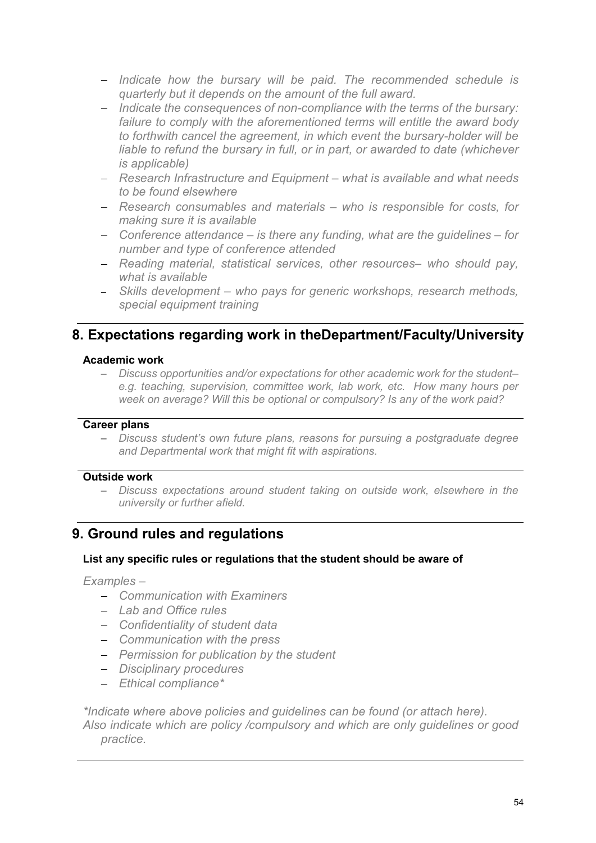- − *Indicate how the bursary will be paid. The recommended schedule is quarterly but it depends on the amount of the full award.*
- − *Indicate the consequences of non-compliance with the terms of the bursary: failure to comply with the aforementioned terms will entitle the award body to forthwith cancel the agreement, in which event the bursary-holder will be liable to refund the bursary in full, or in part, or awarded to date (whichever is applicable)*
- − *Research Infrastructure and Equipment – what is available and what needs to be found elsewhere*
- − *Research consumables and materials – who is responsible for costs, for making sure it is available*
- − *Conference attendance – is there any funding, what are the guidelines – for number and type of conference attended*
- − *Reading material, statistical services, other resources– who should pay, what is available*
- − *Skills development – who pays for generic workshops, research methods, special equipment training*

# **8. Expectations regarding work in theDepartment/Faculty/University**

#### **Academic work**

− *Discuss opportunities and/or expectations for other academic work for the student– e.g. teaching, supervision, committee work, lab work, etc. How many hours per week on average? Will this be optional or compulsory? Is any of the work paid?* 

#### **Career plans**

− *Discuss student's own future plans, reasons for pursuing a postgraduate degree and Departmental work that might fit with aspirations.* 

## **Outside work**

− *Discuss expectations around student taking on outside work, elsewhere in the university or further afield.*

# **9. Ground rules and regulations**

## **List any specific rules or regulations that the student should be aware of**

*Examples –*

- − *Communication with Examiners*
- − *Lab and Office rules*
- − *Confidentiality of student data*
- − *Communication with the press*
- − *Permission for publication by the student*
- − *Disciplinary procedures*
- − *Ethical compliance\**

*\*Indicate where above policies and guidelines can be found (or attach here). Also indicate which are policy /compulsory and which are only guidelines or good practice.*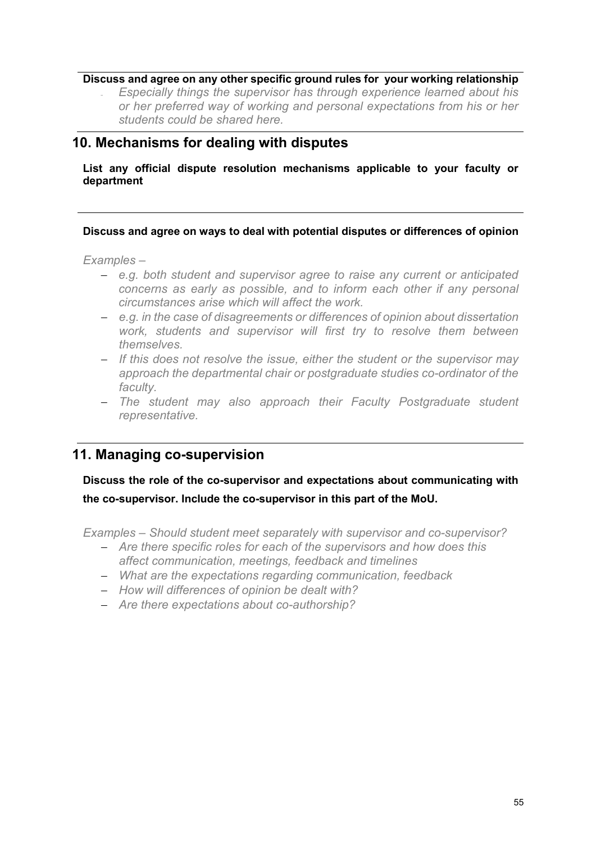#### **Discuss and agree on any other specific ground rules for your working relationship**

<sup>−</sup> *Especially things the supervisor has through experience learned about his or her preferred way of working and personal expectations from his or her students could be shared here.*

# **10. Mechanisms for dealing with disputes**

**List any official dispute resolution mechanisms applicable to your faculty or department** 

#### **Discuss and agree on ways to deal with potential disputes or differences of opinion**

*Examples –* 

- − *e.g. both student and supervisor agree to raise any current or anticipated concerns as early as possible, and to inform each other if any personal circumstances arise which will affect the work.*
- − *e.g. in the case of disagreements or differences of opinion about dissertation work, students and supervisor will first try to resolve them between themselves.*
- − *If this does not resolve the issue, either the student or the supervisor may approach the departmental chair or postgraduate studies co-ordinator of the faculty.*
- − *The student may also approach their Faculty Postgraduate student representative.*

# **11. Managing co-supervision**

**Discuss the role of the co-supervisor and expectations about communicating with the co-supervisor. Include the co-supervisor in this part of the MoU.**

*Examples – Should student meet separately with supervisor and co-supervisor?*

- − *Are there specific roles for each of the supervisors and how does this affect communication, meetings, feedback and timelines*
- − *What are the expectations regarding communication, feedback*
- − *How will differences of opinion be dealt with?*
- − *Are there expectations about co-authorship?*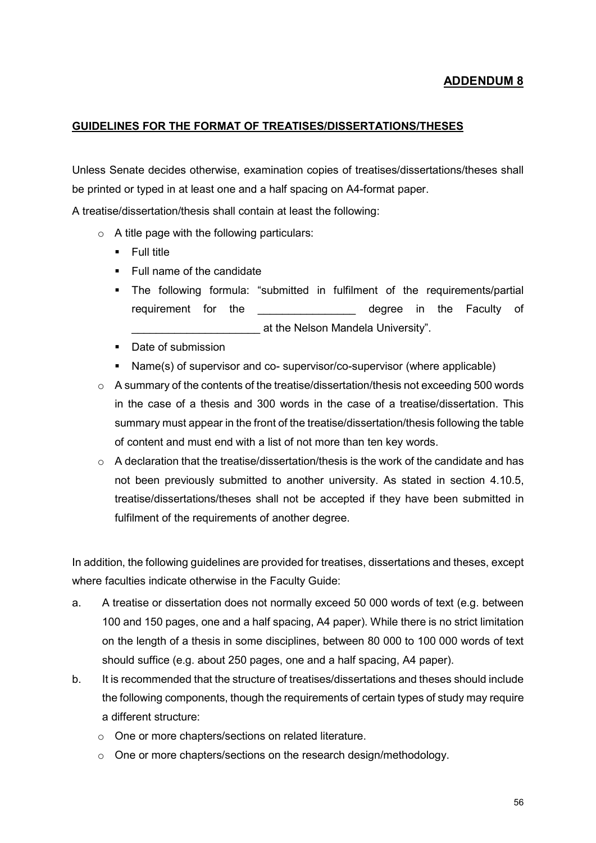#### **GUIDELINES FOR THE FORMAT OF TREATISES/DISSERTATIONS/THESES**

Unless Senate decides otherwise, examination copies of treatises/dissertations/theses shall be printed or typed in at least one and a half spacing on A4-format paper.

A treatise/dissertation/thesis shall contain at least the following:

- $\circ$  A title page with the following particulars:
	- **Full title**
	- **Full name of the candidate**
	- The following formula: "submitted in fulfilment of the requirements/partial requirement for the **Example 2** degree in the Faculty of \_\_\_\_\_\_\_\_\_\_\_\_\_\_\_\_\_\_\_\_\_ at the Nelson Mandela University".
	- Date of submission
	- Name(s) of supervisor and co- supervisor/co-supervisor (where applicable)
- $\circ$  A summary of the contents of the treatise/dissertation/thesis not exceeding 500 words in the case of a thesis and 300 words in the case of a treatise/dissertation. This summary must appear in the front of the treatise/dissertation/thesis following the table of content and must end with a list of not more than ten key words.
- $\circ$  A declaration that the treatise/dissertation/thesis is the work of the candidate and has not been previously submitted to another university. As stated in section 4.10.5, treatise/dissertations/theses shall not be accepted if they have been submitted in fulfilment of the requirements of another degree.

In addition, the following guidelines are provided for treatises, dissertations and theses, except where faculties indicate otherwise in the Faculty Guide:

- a. A treatise or dissertation does not normally exceed 50 000 words of text (e.g. between 100 and 150 pages, one and a half spacing, A4 paper). While there is no strict limitation on the length of a thesis in some disciplines, between 80 000 to 100 000 words of text should suffice (e.g. about 250 pages, one and a half spacing, A4 paper).
- b. It is recommended that the structure of treatises/dissertations and theses should include the following components, though the requirements of certain types of study may require a different structure:
	- o One or more chapters/sections on related literature.
	- $\circ$  One or more chapters/sections on the research design/methodology.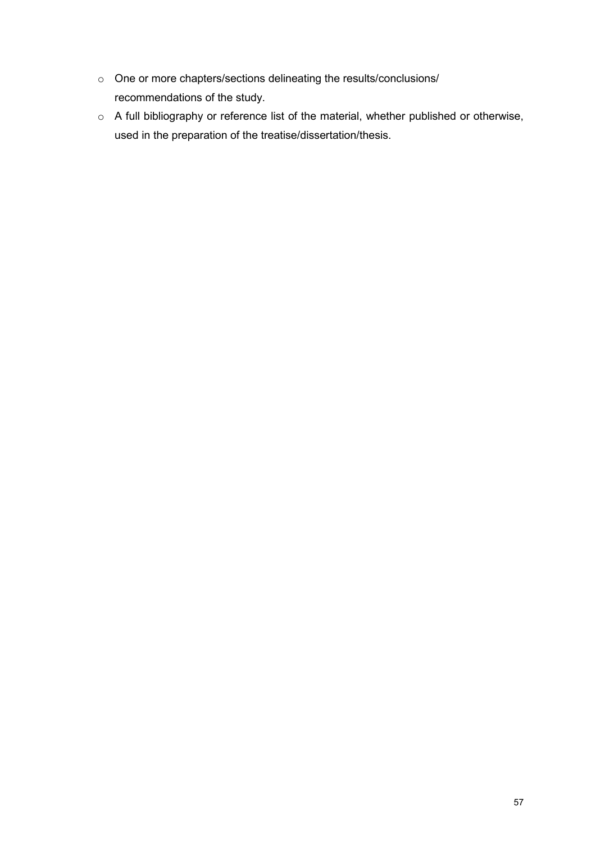- o One or more chapters/sections delineating the results/conclusions/ recommendations of the study.
- o A full bibliography or reference list of the material, whether published or otherwise, used in the preparation of the treatise/dissertation/thesis.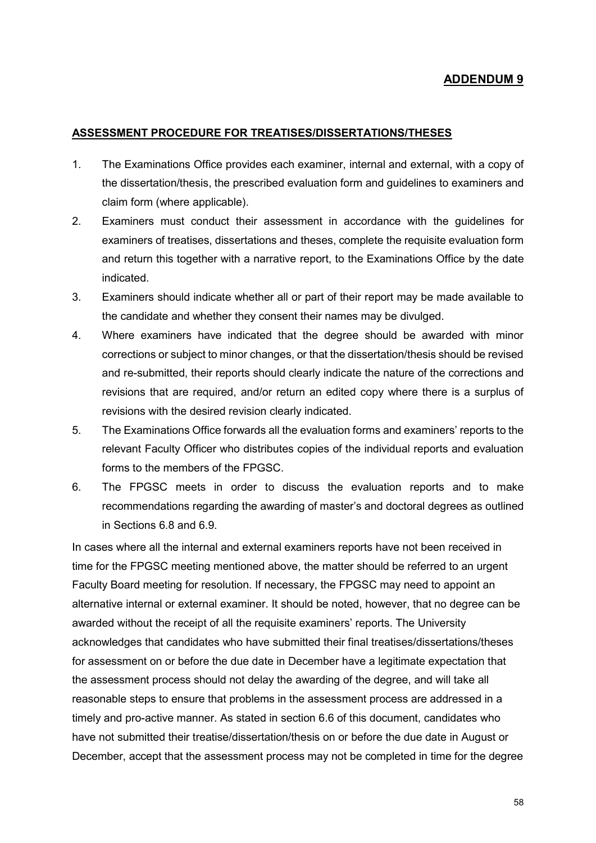#### **ASSESSMENT PROCEDURE FOR TREATISES/DISSERTATIONS/THESES**

- 1. The Examinations Office provides each examiner, internal and external, with a copy of the dissertation/thesis, the prescribed evaluation form and guidelines to examiners and claim form (where applicable).
- 2. Examiners must conduct their assessment in accordance with the guidelines for examiners of treatises, dissertations and theses, complete the requisite evaluation form and return this together with a narrative report, to the Examinations Office by the date indicated.
- 3. Examiners should indicate whether all or part of their report may be made available to the candidate and whether they consent their names may be divulged.
- 4. Where examiners have indicated that the degree should be awarded with minor corrections or subject to minor changes, or that the dissertation/thesis should be revised and re-submitted, their reports should clearly indicate the nature of the corrections and revisions that are required, and/or return an edited copy where there is a surplus of revisions with the desired revision clearly indicated.
- 5. The Examinations Office forwards all the evaluation forms and examiners' reports to the relevant Faculty Officer who distributes copies of the individual reports and evaluation forms to the members of the FPGSC.
- 6. The FPGSC meets in order to discuss the evaluation reports and to make recommendations regarding the awarding of master's and doctoral degrees as outlined in Sections 6.8 and 6.9.

In cases where all the internal and external examiners reports have not been received in time for the FPGSC meeting mentioned above, the matter should be referred to an urgent Faculty Board meeting for resolution. If necessary, the FPGSC may need to appoint an alternative internal or external examiner. It should be noted, however, that no degree can be awarded without the receipt of all the requisite examiners' reports. The University acknowledges that candidates who have submitted their final treatises/dissertations/theses for assessment on or before the due date in December have a legitimate expectation that the assessment process should not delay the awarding of the degree, and will take all reasonable steps to ensure that problems in the assessment process are addressed in a timely and pro-active manner. As stated in section 6.6 of this document, candidates who have not submitted their treatise/dissertation/thesis on or before the due date in August or December, accept that the assessment process may not be completed in time for the degree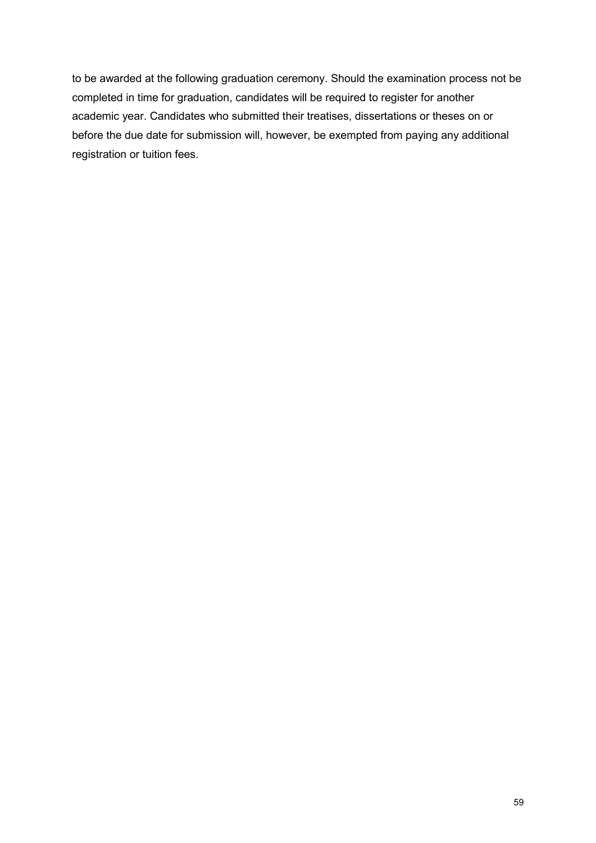to be awarded at the following graduation ceremony. Should the examination process not be completed in time for graduation, candidates will be required to register for another academic year. Candidates who submitted their treatises, dissertations or theses on or before the due date for submission will, however, be exempted from paying any additional registration or tuition fees.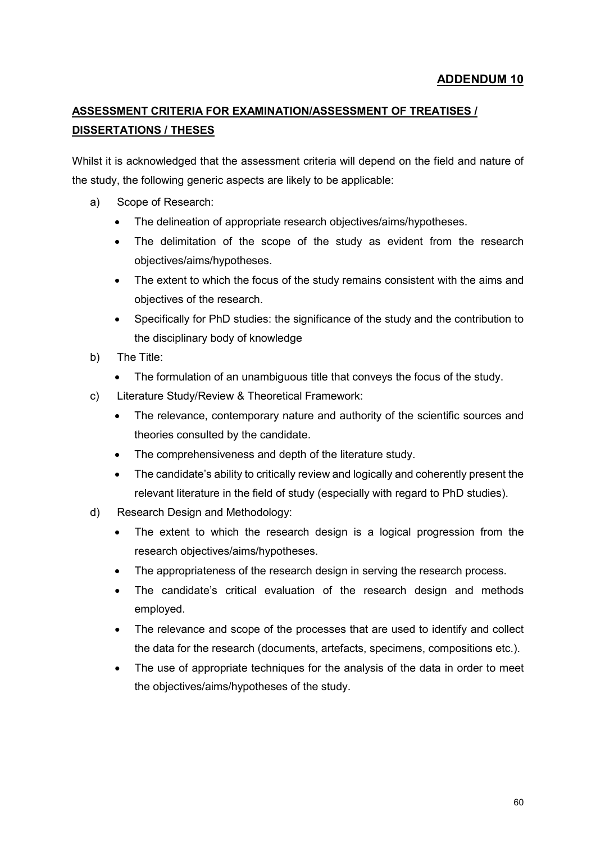# **ASSESSMENT CRITERIA FOR EXAMINATION/ASSESSMENT OF TREATISES / DISSERTATIONS / THESES**

Whilst it is acknowledged that the assessment criteria will depend on the field and nature of the study, the following generic aspects are likely to be applicable:

- a) Scope of Research:
	- The delineation of appropriate research objectives/aims/hypotheses.
	- The delimitation of the scope of the study as evident from the research objectives/aims/hypotheses.
	- The extent to which the focus of the study remains consistent with the aims and objectives of the research.
	- Specifically for PhD studies: the significance of the study and the contribution to the disciplinary body of knowledge
- b) The Title:
	- The formulation of an unambiguous title that conveys the focus of the study.
- c) Literature Study/Review & Theoretical Framework:
	- The relevance, contemporary nature and authority of the scientific sources and theories consulted by the candidate.
	- The comprehensiveness and depth of the literature study.
	- The candidate's ability to critically review and logically and coherently present the relevant literature in the field of study (especially with regard to PhD studies).
- d) Research Design and Methodology:
	- The extent to which the research design is a logical progression from the research objectives/aims/hypotheses.
	- The appropriateness of the research design in serving the research process.
	- The candidate's critical evaluation of the research design and methods employed.
	- The relevance and scope of the processes that are used to identify and collect the data for the research (documents, artefacts, specimens, compositions etc.).
	- The use of appropriate techniques for the analysis of the data in order to meet the objectives/aims/hypotheses of the study.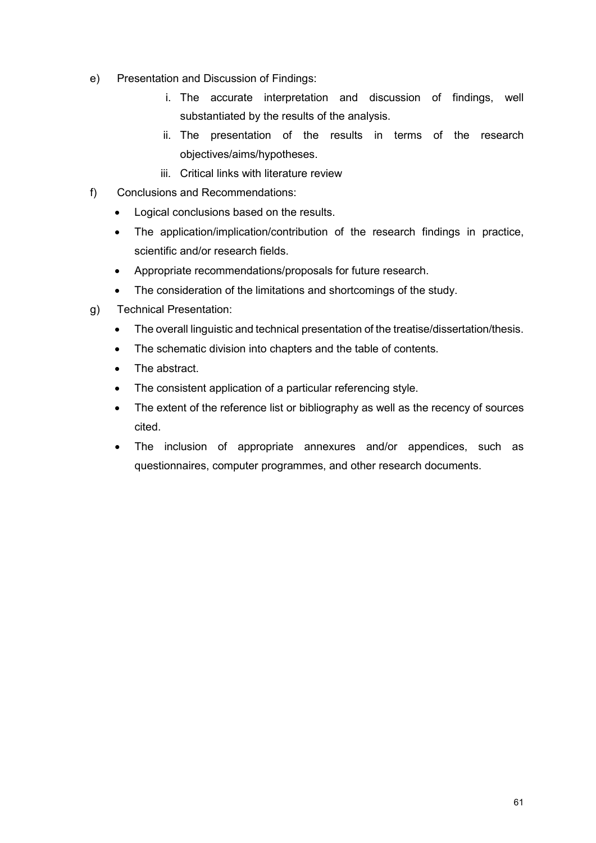- e) Presentation and Discussion of Findings:
	- i. The accurate interpretation and discussion of findings, well substantiated by the results of the analysis.
	- ii. The presentation of the results in terms of the research objectives/aims/hypotheses.
	- iii. Critical links with literature review
- f) Conclusions and Recommendations:
	- Logical conclusions based on the results.
	- The application/implication/contribution of the research findings in practice, scientific and/or research fields.
	- Appropriate recommendations/proposals for future research.
	- The consideration of the limitations and shortcomings of the study.
- g) Technical Presentation:
	- The overall linguistic and technical presentation of the treatise/dissertation/thesis.
	- The schematic division into chapters and the table of contents.
	- The abstract
	- The consistent application of a particular referencing style.
	- The extent of the reference list or bibliography as well as the recency of sources cited.
	- The inclusion of appropriate annexures and/or appendices, such as questionnaires, computer programmes, and other research documents.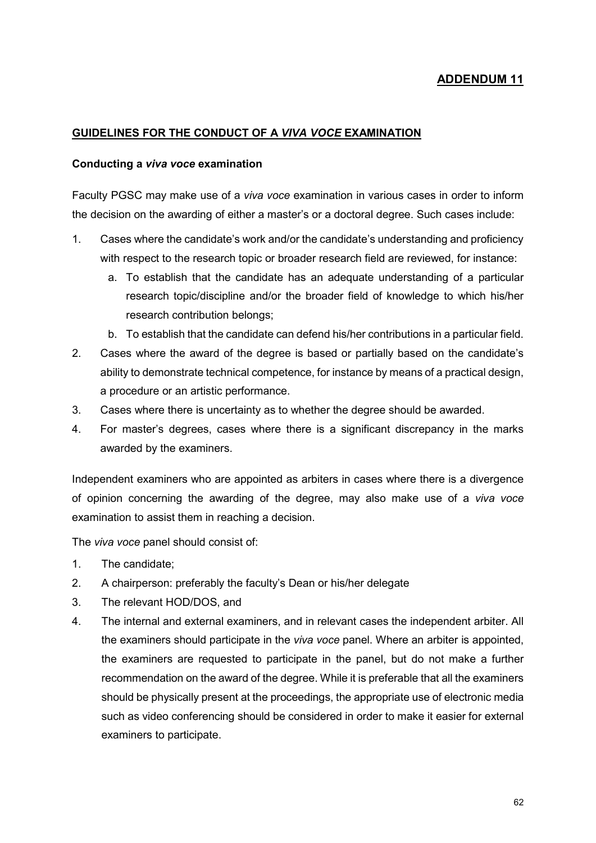#### **GUIDELINES FOR THE CONDUCT OF A** *VIVA VOCE* **EXAMINATION**

#### **Conducting a** *viva voce* **examination**

Faculty PGSC may make use of a *viva voce* examination in various cases in order to inform the decision on the awarding of either a master's or a doctoral degree. Such cases include:

- 1. Cases where the candidate's work and/or the candidate's understanding and proficiency with respect to the research topic or broader research field are reviewed, for instance:
	- a. To establish that the candidate has an adequate understanding of a particular research topic/discipline and/or the broader field of knowledge to which his/her research contribution belongs;
	- b. To establish that the candidate can defend his/her contributions in a particular field.
- 2. Cases where the award of the degree is based or partially based on the candidate's ability to demonstrate technical competence, for instance by means of a practical design, a procedure or an artistic performance.
- 3. Cases where there is uncertainty as to whether the degree should be awarded.
- 4. For master's degrees, cases where there is a significant discrepancy in the marks awarded by the examiners.

Independent examiners who are appointed as arbiters in cases where there is a divergence of opinion concerning the awarding of the degree, may also make use of a *viva voce* examination to assist them in reaching a decision.

The *viva voce* panel should consist of:

- 1. The candidate;
- 2. A chairperson: preferably the faculty's Dean or his/her delegate
- 3. The relevant HOD/DOS, and
- 4. The internal and external examiners, and in relevant cases the independent arbiter. All the examiners should participate in the *viva voce* panel. Where an arbiter is appointed, the examiners are requested to participate in the panel, but do not make a further recommendation on the award of the degree. While it is preferable that all the examiners should be physically present at the proceedings, the appropriate use of electronic media such as video conferencing should be considered in order to make it easier for external examiners to participate.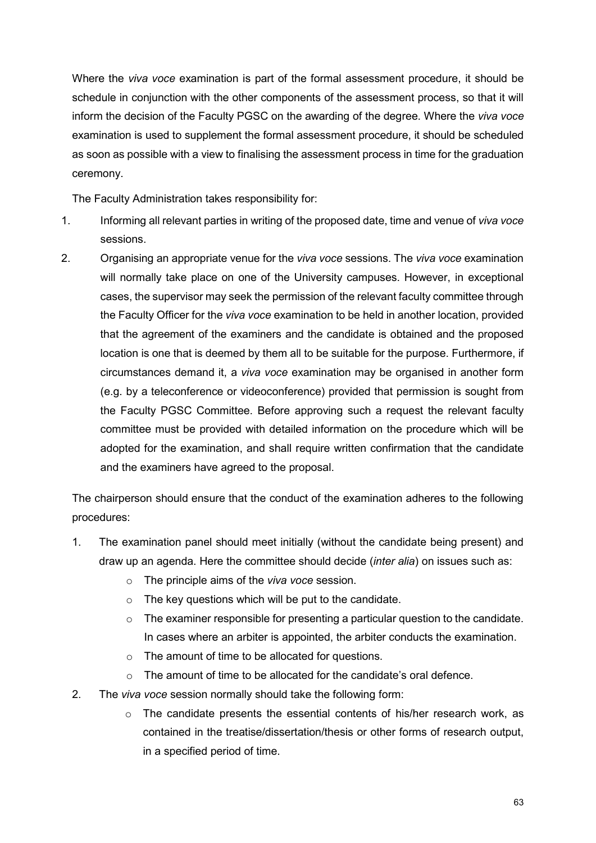Where the *viva voce* examination is part of the formal assessment procedure, it should be schedule in conjunction with the other components of the assessment process, so that it will inform the decision of the Faculty PGSC on the awarding of the degree. Where the *viva voce* examination is used to supplement the formal assessment procedure, it should be scheduled as soon as possible with a view to finalising the assessment process in time for the graduation ceremony.

The Faculty Administration takes responsibility for:

- 1. Informing all relevant parties in writing of the proposed date, time and venue of *viva voce*  sessions.
- 2. Organising an appropriate venue for the *viva voce* sessions. The *viva voce* examination will normally take place on one of the University campuses. However, in exceptional cases, the supervisor may seek the permission of the relevant faculty committee through the Faculty Officer for the *viva voce* examination to be held in another location, provided that the agreement of the examiners and the candidate is obtained and the proposed location is one that is deemed by them all to be suitable for the purpose. Furthermore, if circumstances demand it, a *viva voce* examination may be organised in another form (e.g. by a teleconference or videoconference) provided that permission is sought from the Faculty PGSC Committee. Before approving such a request the relevant faculty committee must be provided with detailed information on the procedure which will be adopted for the examination, and shall require written confirmation that the candidate and the examiners have agreed to the proposal.

The chairperson should ensure that the conduct of the examination adheres to the following procedures:

- 1. The examination panel should meet initially (without the candidate being present) and draw up an agenda. Here the committee should decide (*inter alia*) on issues such as:
	- o The principle aims of the *viva voce* session.
	- $\circ$  The key questions which will be put to the candidate.
	- $\circ$  The examiner responsible for presenting a particular question to the candidate. In cases where an arbiter is appointed, the arbiter conducts the examination.
	- o The amount of time to be allocated for questions.
	- $\circ$  The amount of time to be allocated for the candidate's oral defence.
- 2. The *viva voce* session normally should take the following form:
	- $\circ$  The candidate presents the essential contents of his/her research work, as contained in the treatise/dissertation/thesis or other forms of research output, in a specified period of time.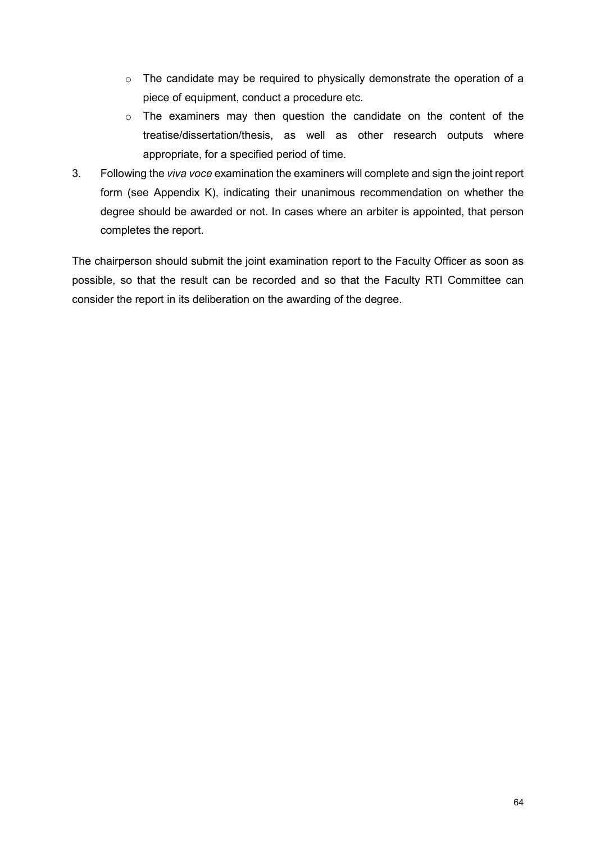- o The candidate may be required to physically demonstrate the operation of a piece of equipment, conduct a procedure etc.
- o The examiners may then question the candidate on the content of the treatise/dissertation/thesis, as well as other research outputs where appropriate, for a specified period of time.
- 3. Following the *viva voce* examination the examiners will complete and sign the joint report form (see Appendix K), indicating their unanimous recommendation on whether the degree should be awarded or not. In cases where an arbiter is appointed, that person completes the report.

The chairperson should submit the joint examination report to the Faculty Officer as soon as possible, so that the result can be recorded and so that the Faculty RTI Committee can consider the report in its deliberation on the awarding of the degree.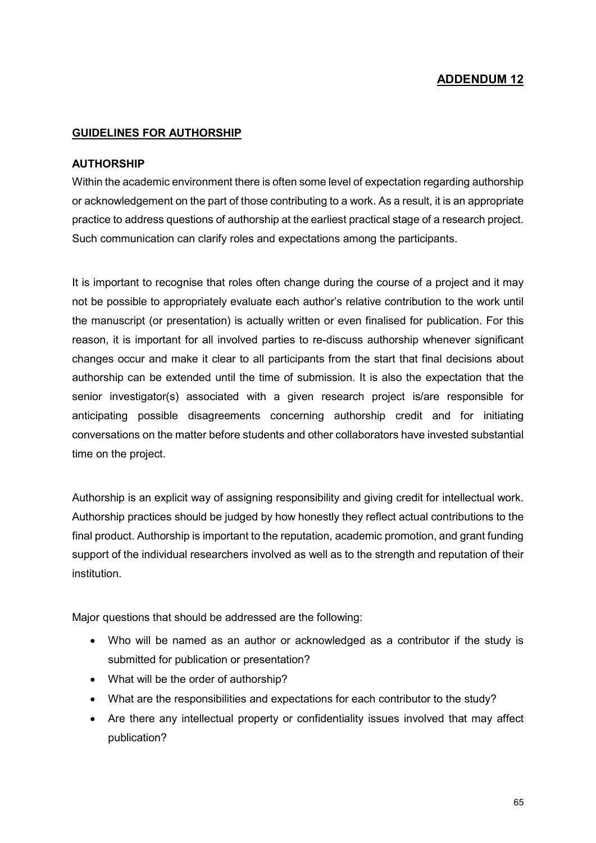#### **GUIDELINES FOR AUTHORSHIP**

#### **AUTHORSHIP**

Within the academic environment there is often some level of expectation regarding authorship or acknowledgement on the part of those contributing to a work. As a result, it is an appropriate practice to address questions of authorship at the earliest practical stage of a research project. Such communication can clarify roles and expectations among the participants.

It is important to recognise that roles often change during the course of a project and it may not be possible to appropriately evaluate each author's relative contribution to the work until the manuscript (or presentation) is actually written or even finalised for publication. For this reason, it is important for all involved parties to re-discuss authorship whenever significant changes occur and make it clear to all participants from the start that final decisions about authorship can be extended until the time of submission. It is also the expectation that the senior investigator(s) associated with a given research project is/are responsible for anticipating possible disagreements concerning authorship credit and for initiating conversations on the matter before students and other collaborators have invested substantial time on the project.

Authorship is an explicit way of assigning responsibility and giving credit for intellectual work. Authorship practices should be judged by how honestly they reflect actual contributions to the final product. Authorship is important to the reputation, academic promotion, and grant funding support of the individual researchers involved as well as to the strength and reputation of their institution.

Major questions that should be addressed are the following:

- Who will be named as an author or acknowledged as a contributor if the study is submitted for publication or presentation?
- What will be the order of authorship?
- What are the responsibilities and expectations for each contributor to the study?
- Are there any intellectual property or confidentiality issues involved that may affect publication?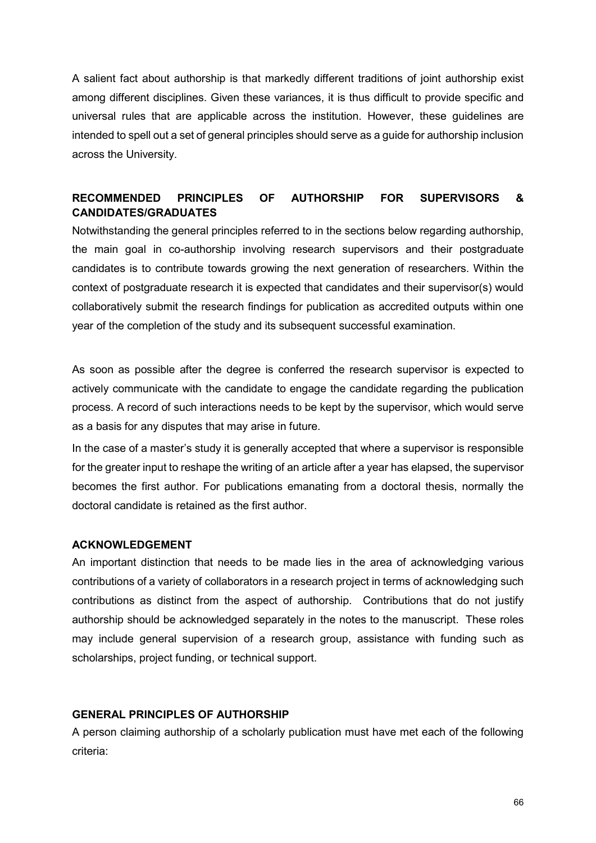A salient fact about authorship is that markedly different traditions of joint authorship exist among different disciplines. Given these variances, it is thus difficult to provide specific and universal rules that are applicable across the institution. However, these guidelines are intended to spell out a set of general principles should serve as a guide for authorship inclusion across the University.

## **RECOMMENDED PRINCIPLES OF AUTHORSHIP FOR SUPERVISORS & CANDIDATES/GRADUATES**

Notwithstanding the general principles referred to in the sections below regarding authorship, the main goal in co-authorship involving research supervisors and their postgraduate candidates is to contribute towards growing the next generation of researchers. Within the context of postgraduate research it is expected that candidates and their supervisor(s) would collaboratively submit the research findings for publication as accredited outputs within one year of the completion of the study and its subsequent successful examination.

As soon as possible after the degree is conferred the research supervisor is expected to actively communicate with the candidate to engage the candidate regarding the publication process. A record of such interactions needs to be kept by the supervisor, which would serve as a basis for any disputes that may arise in future.

In the case of a master's study it is generally accepted that where a supervisor is responsible for the greater input to reshape the writing of an article after a year has elapsed, the supervisor becomes the first author. For publications emanating from a doctoral thesis, normally the doctoral candidate is retained as the first author.

#### **ACKNOWLEDGEMENT**

An important distinction that needs to be made lies in the area of acknowledging various contributions of a variety of collaborators in a research project in terms of acknowledging such contributions as distinct from the aspect of authorship. Contributions that do not justify authorship should be acknowledged separately in the notes to the manuscript. These roles may include general supervision of a research group, assistance with funding such as scholarships, project funding, or technical support.

#### **GENERAL PRINCIPLES OF AUTHORSHIP**

A person claiming authorship of a scholarly publication must have met each of the following criteria: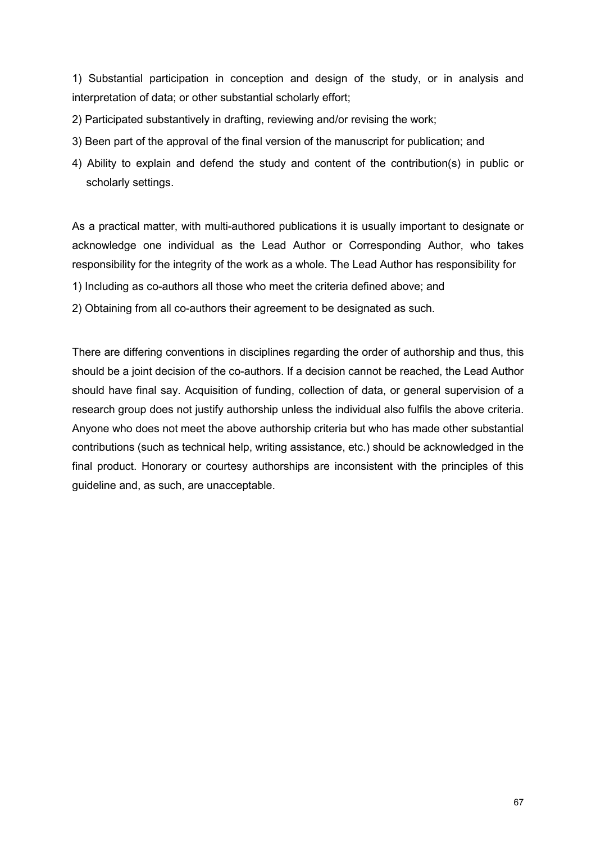1) Substantial participation in conception and design of the study, or in analysis and interpretation of data; or other substantial scholarly effort;

2) Participated substantively in drafting, reviewing and/or revising the work;

- 3) Been part of the approval of the final version of the manuscript for publication; and
- 4) Ability to explain and defend the study and content of the contribution(s) in public or scholarly settings.

As a practical matter, with multi-authored publications it is usually important to designate or acknowledge one individual as the Lead Author or Corresponding Author, who takes responsibility for the integrity of the work as a whole. The Lead Author has responsibility for

1) Including as co-authors all those who meet the criteria defined above; and

2) Obtaining from all co-authors their agreement to be designated as such.

There are differing conventions in disciplines regarding the order of authorship and thus, this should be a joint decision of the co-authors. If a decision cannot be reached, the Lead Author should have final say. Acquisition of funding, collection of data, or general supervision of a research group does not justify authorship unless the individual also fulfils the above criteria. Anyone who does not meet the above authorship criteria but who has made other substantial contributions (such as technical help, writing assistance, etc.) should be acknowledged in the final product. Honorary or courtesy authorships are inconsistent with the principles of this guideline and, as such, are unacceptable.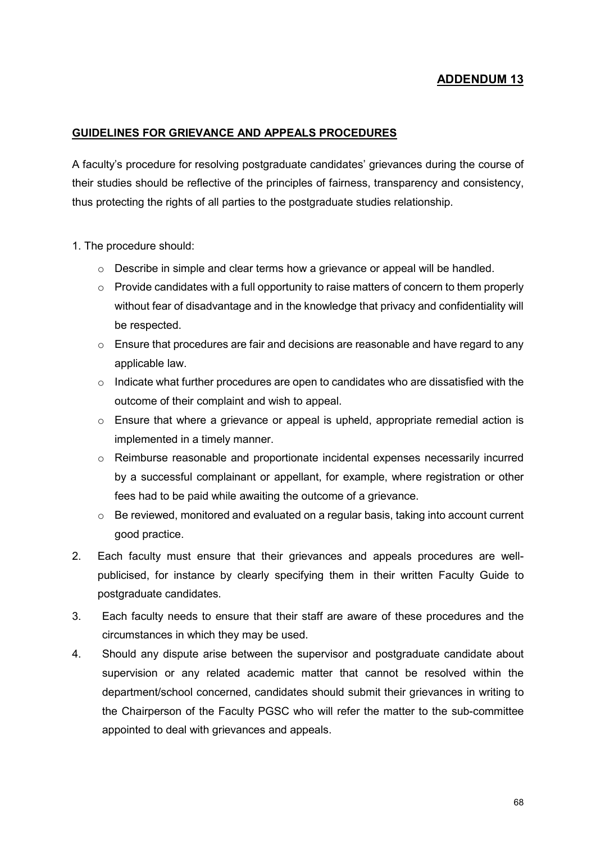#### **GUIDELINES FOR GRIEVANCE AND APPEALS PROCEDURES**

A faculty's procedure for resolving postgraduate candidates' grievances during the course of their studies should be reflective of the principles of fairness, transparency and consistency, thus protecting the rights of all parties to the postgraduate studies relationship.

- 1. The procedure should:
	- o Describe in simple and clear terms how a grievance or appeal will be handled.
	- $\circ$  Provide candidates with a full opportunity to raise matters of concern to them properly without fear of disadvantage and in the knowledge that privacy and confidentiality will be respected.
	- o Ensure that procedures are fair and decisions are reasonable and have regard to any applicable law.
	- $\circ$  Indicate what further procedures are open to candidates who are dissatisfied with the outcome of their complaint and wish to appeal.
	- $\circ$  Ensure that where a grievance or appeal is upheld, appropriate remedial action is implemented in a timely manner.
	- o Reimburse reasonable and proportionate incidental expenses necessarily incurred by a successful complainant or appellant, for example, where registration or other fees had to be paid while awaiting the outcome of a grievance.
	- o Be reviewed, monitored and evaluated on a regular basis, taking into account current good practice.
- 2. Each faculty must ensure that their grievances and appeals procedures are wellpublicised, for instance by clearly specifying them in their written Faculty Guide to postgraduate candidates.
- 3. Each faculty needs to ensure that their staff are aware of these procedures and the circumstances in which they may be used.
- 4. Should any dispute arise between the supervisor and postgraduate candidate about supervision or any related academic matter that cannot be resolved within the department/school concerned, candidates should submit their grievances in writing to the Chairperson of the Faculty PGSC who will refer the matter to the sub-committee appointed to deal with grievances and appeals.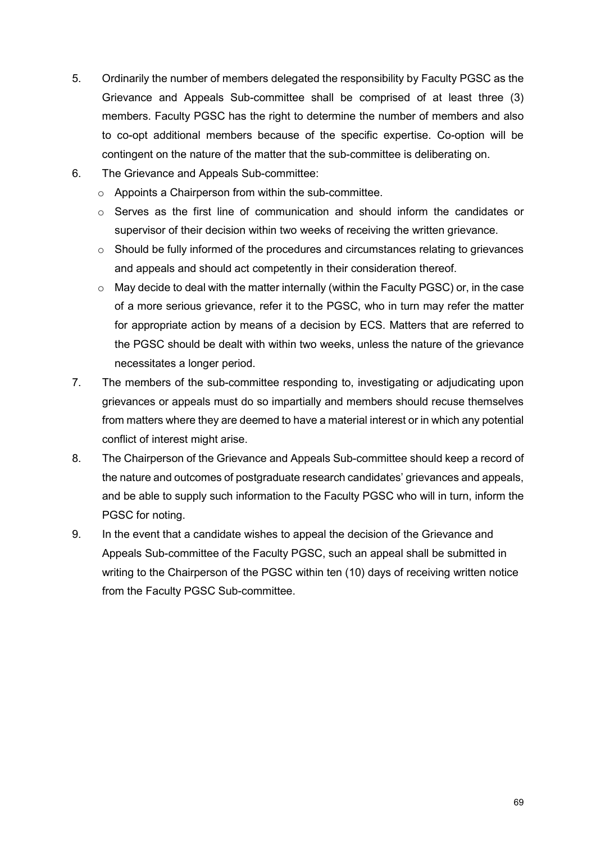- 5. Ordinarily the number of members delegated the responsibility by Faculty PGSC as the Grievance and Appeals Sub-committee shall be comprised of at least three (3) members. Faculty PGSC has the right to determine the number of members and also to co-opt additional members because of the specific expertise. Co-option will be contingent on the nature of the matter that the sub-committee is deliberating on.
- 6. The Grievance and Appeals Sub-committee:
	- o Appoints a Chairperson from within the sub-committee.
	- o Serves as the first line of communication and should inform the candidates or supervisor of their decision within two weeks of receiving the written grievance.
	- o Should be fully informed of the procedures and circumstances relating to grievances and appeals and should act competently in their consideration thereof.
	- $\circ$  May decide to deal with the matter internally (within the Faculty PGSC) or, in the case of a more serious grievance, refer it to the PGSC, who in turn may refer the matter for appropriate action by means of a decision by ECS. Matters that are referred to the PGSC should be dealt with within two weeks, unless the nature of the grievance necessitates a longer period.
- 7. The members of the sub-committee responding to, investigating or adjudicating upon grievances or appeals must do so impartially and members should recuse themselves from matters where they are deemed to have a material interest or in which any potential conflict of interest might arise.
- 8. The Chairperson of the Grievance and Appeals Sub-committee should keep a record of the nature and outcomes of postgraduate research candidates' grievances and appeals, and be able to supply such information to the Faculty PGSC who will in turn, inform the PGSC for noting.
- 9. In the event that a candidate wishes to appeal the decision of the Grievance and Appeals Sub-committee of the Faculty PGSC, such an appeal shall be submitted in writing to the Chairperson of the PGSC within ten (10) days of receiving written notice from the Faculty PGSC Sub-committee.